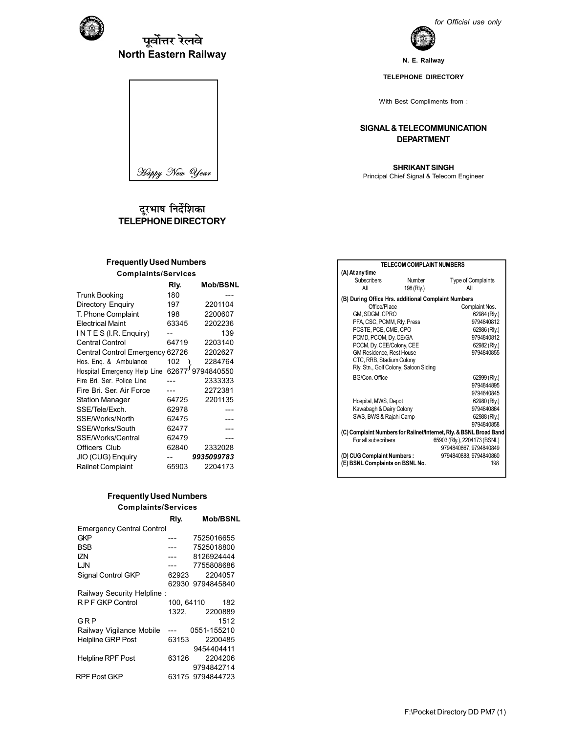

# पूर्वोत्तर रेलवे<br>North Eastern Railway



# दूरभाष निर्देशिका TELEPHONE DIRECTORY

#### Complaints/Services Frequently Used Numbers

|                                  | Rly.  | <b>Mob/BSNL</b>  |
|----------------------------------|-------|------------------|
| Trunk Booking                    | 180   |                  |
| Directory Enquiry                | 197   | 2201104          |
| T. Phone Complaint               | 198   | 2200607          |
| <b>Electrical Maint</b>          | 63345 | 2202236          |
| $INTES$ (I.R. Enquiry)           |       | 139              |
| <b>Central Control</b>           | 64719 | 2203140          |
| <b>Central Control Emergency</b> | 62726 | 2202627          |
| Hos. Eng. & Ambulance            | 102   | 2284764          |
| Hospital Emergency Help Line     |       | 62677'9794840550 |
| Fire Bri. Ser. Police Line       |       | 2333333          |
| Fire Bri, Ser, Air Force         |       | 2272381          |
| <b>Station Manager</b>           | 64725 | 2201135          |
| SSE/Tele/Exch.                   | 62978 |                  |
| SSE/Works/North                  | 62475 |                  |
| SSE/Works/South                  | 62477 |                  |
| SSE/Works/Central                | 62479 |                  |
| Officers Club                    | 62840 | 2332028          |
| JIO (CUG) Enquiry                |       | 9935099783       |
| <b>Railnet Complaint</b>         | 65903 | 2204173          |

#### Complaints/Services Frequently Used Numbers

|                                  | Rly.      | <b>Mob/BSNL</b>  |
|----------------------------------|-----------|------------------|
| <b>Emergency Central Control</b> |           |                  |
| <b>GKP</b>                       |           | 7525016655       |
| <b>BSB</b>                       | ---       | 7525018800       |
| IZN                              | ---       | 8126924444       |
| LJN                              | $---$     | 7755808686       |
| Signal Control GKP               | 62923     | 2204057          |
|                                  |           | 62930 9794845840 |
| Railway Security Helpline:       |           |                  |
| R P F GKP Control                | 100.64110 | 182              |
|                                  |           | 1322. 2200889    |
| GRP                              |           | 1512             |
| Railway Vigilance Mobile         |           | 0551-155210      |
| <b>Helpline GRP Post</b>         | 63153     | 2200485          |
|                                  |           | 9454404411       |
| <b>Helpline RPF Post</b>         | 63126     | 2204206          |
|                                  |           | 9794842714       |
| RPF Post GKP                     |           | 63175 9794844723 |

for Official use only

N. E. Railway

#### TELEPHONE DIRECTORY

With Best Compliments from :

#### SIGNAL & TELECOMMUNICATION DEPARTMENT

|                                                     |            | TELECOM COMPLAINT NUMBERS                                          |
|-----------------------------------------------------|------------|--------------------------------------------------------------------|
| (A) At any time                                     |            |                                                                    |
| Subscribers                                         | Number     | Type of Complaints                                                 |
| All                                                 | 198 (Rly.) | All                                                                |
| (B) During Office Hrs. additional Complaint Numbers |            |                                                                    |
| Office/Place                                        |            | Complaint Nos.                                                     |
| GM, SDGM, CPRO                                      |            | 62984 (RIy.)                                                       |
| PFA, CSC, PCMM, Rly. Press                          |            | 9794840812                                                         |
| PCSTE, PCE, CME, CPO                                |            | 62986 (Rly.)                                                       |
| PCMD, PCOM, Dy. CE/GA                               |            | 9794840812                                                         |
| PCCM, Dy. CEE/Colony, CEE                           |            | 62982 (Rly.)                                                       |
| GM Residence, Rest House                            |            | 9794840855                                                         |
| CTC, RRB, Stadium Colony                            |            |                                                                    |
| Rly. Stn., Golf Colony, Saloon Siding               |            |                                                                    |
| BG/Con. Office                                      |            | 62999 (Rly.)                                                       |
|                                                     |            | 9794844895                                                         |
|                                                     |            | 9794840845                                                         |
| Hospital, MWS, Depot                                |            | 62980 (Rly.)                                                       |
| Kawabagh & Dairy Colony                             |            | 9794840864                                                         |
| SWS, BWS & Rajahi Camp                              |            | 62988 (Rly.)                                                       |
|                                                     |            | 9794840858                                                         |
|                                                     |            | (C) Complaint Numbers for Railnet/Internet, Rly. & BSNL Broad Band |
| For all subscribers                                 |            | 65903 (Rly.), 2204173 (BSNL)                                       |
|                                                     |            | 9794840867, 9794840849                                             |
| (D) CUG Complaint Numbers:                          |            | 9794840888.9794840860                                              |
| (E) BSNL Complaints on BSNL No.                     |            | 198                                                                |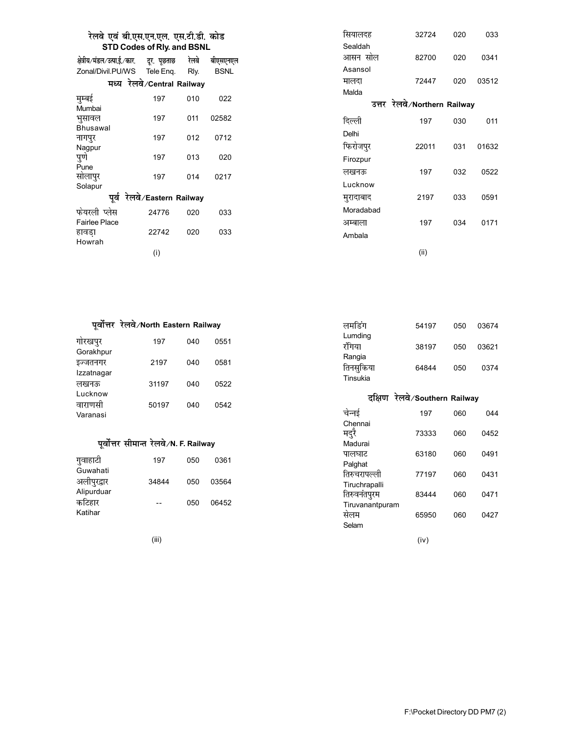# रेलवे एवं बी.एस.एन.एल. एस.टी.डी. कोड<br>STD Codes of Rly. and BSNL

| क्षेत्रीय∕मंडल∕उत्पा.ई.∕कार. |     | रेलवे<br>दूर, पूछताछ         | बीएसएनएल    | आसन सोल   | 827               |
|------------------------------|-----|------------------------------|-------------|-----------|-------------------|
| Zonal/Divil.PU/WS            |     | Tele Eng.<br>Rly.            | <b>BSNL</b> | Asansol   |                   |
|                              |     | मध्य रेलवे/Central Railway   |             | मालदा     | 724               |
| मुम्बई                       |     | 197<br>010                   | 022         | Malda     |                   |
| Mumbai                       |     |                              |             |           | उत्तर रेलवे ∕Nort |
| भुसावल                       |     | 197<br>011                   | 02582       | दिल्ली    | 19                |
| <b>Bhusawal</b><br>नागपुर    |     | 197<br>012                   | 0712        | Delhi     |                   |
| Nagpur<br>पुणे               |     |                              |             | फिरोजपुर  | 220               |
|                              |     | 197<br>013                   | 020         | Firozpur  |                   |
| Pune<br>सोलापुर              |     | 197<br>014                   | 0217        | लखनऊ      | 19                |
| Solapur                      |     |                              |             | Lucknow   |                   |
|                              |     | पूर्व रेलवे ∕Eastern Railway |             | मुरादाबाद | 219               |
| फेयरली प्लेस                 |     | 24776<br>020                 | 033         | Moradabad |                   |
| <b>Fairlee Place</b>         |     |                              |             | अम्बाला   | 19                |
| हावडा<br>Howrah              |     | 020<br>22742                 | 033         | Ambala    |                   |
|                              | (i) |                              |             |           | (ii)              |

| सियालदह   | 32724                        | 020 | 033   |
|-----------|------------------------------|-----|-------|
| Sealdah   |                              |     |       |
| आसन सोल   | 82700                        | 020 | 0341  |
| Asansol   |                              |     |       |
| मालदा     | 72447                        | 020 | 03512 |
| Malda     |                              |     |       |
|           | उत्तर रेलवे/Northern Railway |     |       |
| दिल्ली    | 197                          | 030 | 011   |
| Delhi     |                              |     |       |
| फिरोजपुर  | 22011                        | 031 | 01632 |
| Firozpur  |                              |     |       |
| लखनऊ      | 197                          | 032 | 0522  |
| Lucknow   |                              |     |       |
| मुरादाबाद | 2197                         | 033 | 0591  |
| Moradabad |                              |     |       |
| अम्बाला   | 197                          | 034 | 0171  |
| Ambala    |                              |     |       |
|           | (i)                          |     |       |

# पूर्वोत्तर रेलवे / North Eastern Railway

| गोरखपुर    | 197   | 040 | 0551 |
|------------|-------|-----|------|
| Gorakhpur  |       |     |      |
| इज्जतनगर   | 2197  | 040 | 0581 |
| Izzatnagar |       |     |      |
| लखनऊ       | 31197 | 040 | 0522 |
| Lucknow    |       |     |      |
| वाराणसी    | 50197 | 040 | 0542 |
| Varanasi   |       |     |      |

# पूर्वोत्तर सीमान्त रेलवे ∕N. F. Railway

| गुवाहाटी    | 197   | 050 | 0361  |
|-------------|-------|-----|-------|
| Guwahati    |       |     |       |
| अलीपुरद्वार | 34844 | 050 | 03564 |
| Alipurduar  |       |     |       |
| कटिहार      |       | 050 | 06452 |
| Katihar     |       |     |       |
|             |       |     |       |

| लमडिंग    | 54197 | 050 | 03674 |
|-----------|-------|-----|-------|
| Lumding   |       |     |       |
| रंगिया    | 38197 | 050 | 03621 |
| Rangia    |       |     |       |
| तिनसुकिया | 64844 | 050 | 0374  |
| Tinsukia  |       |     |       |

#### दक्षिण रेलवे/Southern Railway

| 0197  | 040                  | 0542  |                 |       |     |      |
|-------|----------------------|-------|-----------------|-------|-----|------|
|       |                      |       | चेन्नई          | 197   | 060 | 044  |
|       |                      |       | Chennai         |       |     |      |
|       |                      |       | मदुरै           | 73333 | 060 | 0452 |
|       | रेलवे ∕N. F. Railway |       | Madurai         |       |     |      |
|       |                      |       | पालघाट          | 63180 | 060 | 0491 |
| 197   | 050                  | 0361  | Palghat         |       |     |      |
|       |                      |       | तिरुचरापल्ली    | 77197 | 060 | 0431 |
| 4844  | 050                  | 03564 | Tiruchrapalli   |       |     |      |
|       |                      |       | तिरुवनंतपुरम    | 83444 | 060 | 0471 |
|       | 050                  | 06452 | Tiruvanantpuram |       |     |      |
|       |                      |       | सेलम            | 65950 | 060 | 0427 |
|       |                      |       | Selam           |       |     |      |
| (iii) |                      |       |                 | (iv)  |     |      |
|       |                      |       |                 |       |     |      |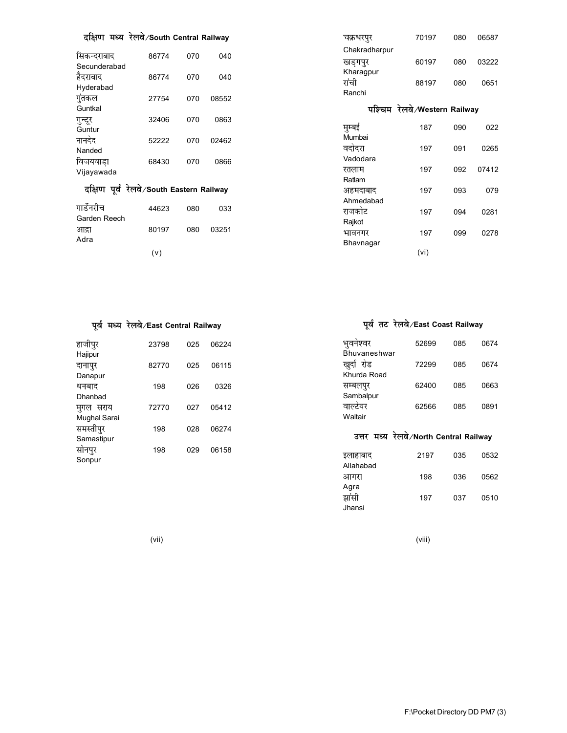# दक्षिण मध्य रेलवे/South Central Railway

| सिकन्दराबाद  | 86774 | 070 | 040   |
|--------------|-------|-----|-------|
| Secunderabad |       |     |       |
| हैदराबाद     | 86774 | 070 | 040   |
| Hyderabad    |       |     |       |
| गुंतकल       | 27754 | 070 | 08552 |
| Guntkal      |       |     |       |
| गुन्दूर      | 32406 | 070 | 0863  |
| Guntur       |       |     |       |
| नानदेद       | 52222 | 070 | 02462 |
| Nanded       |       |     |       |
| विजयवाडा     | 68430 | 070 | 0866  |
| Vijayawada   |       |     |       |

# दक्षिण पूर्व रेलवे ∕South Eastern Railway

| गार्डेनरीच   | 44623 | 080 | 033   |
|--------------|-------|-----|-------|
| Garden Reech |       |     |       |
| आद्रा        | 80197 | 080 | 03251 |
| Adra         |       |     |       |
|              | (v)   |     |       |

| चक्रधरपुर     | 70197 | 080 | 06587 |
|---------------|-------|-----|-------|
| Chakradharpur |       |     |       |
| खडगपुर        | 60197 | 080 | 03222 |
| Kharagpur     |       |     |       |
| रांची         | 88197 | 080 | 0651  |
| Ranchi        |       |     |       |
|               |       |     |       |

## पश्चिम रेलवे/Western Railway

| i2406                | u / u | U863  |           |      |     |       |
|----------------------|-------|-------|-----------|------|-----|-------|
|                      |       |       | मुम्बइ    | 187  | 090 | 022   |
| 2222                 | 070   | 02462 | Mumbai    |      |     |       |
|                      |       |       | वदोदरा    | 197  | 091 | 0265  |
| 8430                 | 070   | 0866  | Vadodara  |      |     |       |
|                      |       |       | रतलाम     | 197  | 092 | 07412 |
|                      |       |       | Ratlam    |      |     |       |
| outh Eastern Railway |       |       | अहमदाबाद  | 197  | 093 | 079   |
|                      |       |       | Ahmedabad |      |     |       |
| 4623                 | 080   | 033   | राजकोट    | 197  | 094 | 0281  |
|                      |       |       | Rajkot    |      |     |       |
| 0197                 | 080   | 03251 | भावनगर    | 197  | 099 | 0278  |
|                      |       |       | Bhavnagar |      |     |       |
| (v)                  |       |       |           | (vi) |     |       |

# पूर्व मध्य रेलवे∕East Central Railway

| हाजीपुर      | 23798 | 025 | 06224 |
|--------------|-------|-----|-------|
| Hajipur      |       |     |       |
| दानापुर      | 82770 | 025 | 06115 |
| Danapur      |       |     |       |
| धनबाद        | 198   | 026 | 0326  |
| Dhanbad      |       |     |       |
| मगल सराय     | 72770 | 027 | 05412 |
| Mughal Sarai |       |     |       |
| समस्तीपुर    | 198   | 028 | 06274 |
| Samastipur   |       |     |       |
| सोनपुर       | 198   | 029 | 06158 |
| Sonpur       |       |     |       |

# पूर्व तटर्ेलवे∕East Coast Railway

| भुवनेश्वर                              | 52699 | 085 | 0674 |
|----------------------------------------|-------|-----|------|
| <b>Bhuvaneshwar</b>                    |       |     |      |
| खुर्दा रोड                             | 72299 | 085 | 0674 |
| Khurda Road                            |       |     |      |
| सम्बलपुर                               | 62400 | 085 | 0663 |
| Sambalpur<br>वाल्टेयर                  |       |     |      |
| Waltair                                | 62566 | 085 | 0891 |
|                                        |       |     |      |
|                                        |       |     |      |
| उत्तर मध्य रेलवे/North Central Railway |       |     |      |
| इलाहाबाद                               | 2197  | 035 | 0532 |
| Allahabad                              |       |     |      |
| आगरा                                   | 198   | 036 | 0562 |

(vii) (viii)

Jhansi

197 037 0510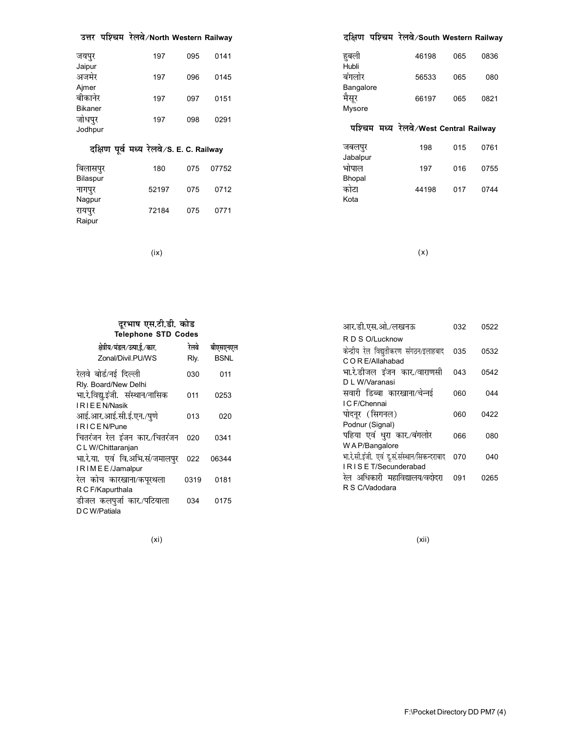# उत्तर पश्चिम रेलवे/North Western Railway

| जयपुर                    | 197 | 095 | 0141 |
|--------------------------|-----|-----|------|
| Jaipur<br>अजमेर          | 197 | 096 | 0145 |
| Ajmer<br>बीकानेर         | 197 | 097 | 0151 |
| <b>Bikaner</b><br>जोधपुर | 197 | 098 | 0291 |
| Jodhpur                  |     |     |      |

# दक्षिण पूर्व मध्य रेलवे/S. E. C. Railway

| बिलासपुर | 180   | 075 | 07752 |
|----------|-------|-----|-------|
| Bilaspur |       |     |       |
| नागपुर   | 52197 | 075 | 0712  |
| Nagpur   |       |     |       |
| रायपुर   | 72184 | 075 | 0771  |
| Raipur   |       |     |       |

 $(x)$  (x)

# दक्षिण पश्चिम रेलवे/South Western Railway

| हबली              | 46198 | 065 | 0836 |
|-------------------|-------|-----|------|
| Hubli<br>बंगलोर   | 56533 | 065 | 080  |
| Bangalore<br>मसूर | 66197 | 065 | 0821 |
| Mysore            |       |     |      |

# पश्चिम मध्य रेलवे/West Central Railway

| जबलपुर        | 198   | 015 | 0761 |
|---------------|-------|-----|------|
| Jabalpur      |       |     |      |
| भोपाल         | 197   | 016 | 0755 |
| <b>Bhopal</b> |       |     |      |
| कोटा          | 44198 | 017 | 0744 |
| Kota          |       |     |      |

| दूरभाष एस.टी.डी. कोड       |  |
|----------------------------|--|
| <b>Telephone STD Codes</b> |  |

| क्षेत्रीय∕मंडल∕उत्पा.ई.∕कार.<br>Zonal/Divil.PU/WS               | रेलवे<br>Rly. | बीएसएनएल<br><b>BSNL</b> |
|-----------------------------------------------------------------|---------------|-------------------------|
| रेलवे बोर्ड/नई दिल्ली                                           | 030           | 011                     |
| Rly. Board/New Delhi<br>भा.रे.विद्यु.इंजी. संस्थान/नासिक        | 011           | 0253                    |
| IRIFFN/Nasik<br>आई.आर.आई.सी.ई.एन./पुणे                          | 013           | 020                     |
| IRICFN/Pune                                                     |               |                         |
| चितरंजन रेल इंजन कार./चितरंजन<br>C L W/Chittaranjan             | 020           | 0341                    |
| भा.रे.या. एवं वि.अभि.सं/जमालपुर<br>IRIMEE/Jamalpur              | 022           | 06344                   |
| रेल कोच कारखाना/कपूरथला                                         | 0319          | 0181                    |
| R C F/Kapurthala<br>डीजल कलपुर्जा कार./पटियाला<br>D C W/Patiala | 034           | 0175                    |
|                                                                 |               |                         |

| आर.डी.एस.ओ./लखनऊ                             | 032 | 0522 |
|----------------------------------------------|-----|------|
| R D S O/Lucknow                              |     |      |
| केन्द्रीय रेल विद्युतीकरण संगठन/इलाहबाद      | 035 | 0532 |
| C.O.R F/Allahabad                            |     |      |
| भा.रे.डीजल इंजन कार./वाराणसी                 | 043 | 0542 |
| D I W/Varanasi                               |     |      |
| सवारी डिब्बा कारखाना/चेन्नई                  | 060 | 044  |
| I C F/Chennai                                |     |      |
| पोदनूर (सिगनल)                               | 060 | 0422 |
| Podnur (Signal)                              |     |      |
| पहिया एवं धुरा कार./बंगलोर                   | 066 | 080  |
| W A P/Bangalore                              |     |      |
| भा.रे.सी.इंजी. एवं दू.सं.संस्थान/सिकन्दराबाद | 070 | 040  |
| <b>IRISFT/Secunderabad</b>                   |     |      |
| रेल अधिकारी महाविद्यालय/वदोदरा               | 091 | 0265 |
| R S C/Vadodara                               |     |      |

(xi) (xii)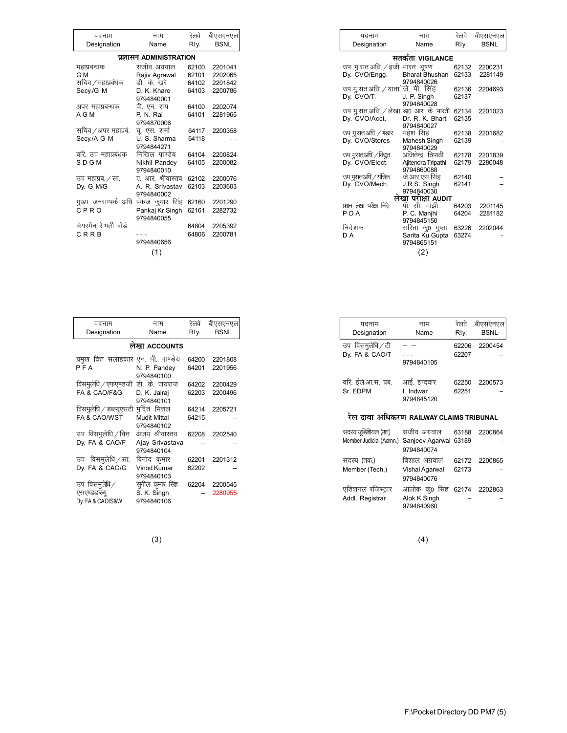| पदनाम                                     | नाम                    | रेलवे | बीएसएनएल।   | पदनाम                              |                           |
|-------------------------------------------|------------------------|-------|-------------|------------------------------------|---------------------------|
| Designation                               | Name                   | Rly.  | <b>BSNL</b> | Designation                        |                           |
|                                           | प्रशासन ADMINISTRATION |       |             |                                    | सतकता vig                 |
| महाप्रबन्धक                               | राजीव अग्रवाल          | 62100 | 2201041     | उप मु.सत.अधि. / इंजी. भारत भूष     |                           |
| G M                                       | Rajiv Agrawal          | 62101 | 2202065     | Dy. CVO/Engg.                      | <b>Bharat Bl</b>          |
| सचिव / महाप्रबंधक                         | डी. के. खरे            | 64102 | 2201842     |                                    | 9794840                   |
| Secy./G M                                 | D. K. Khare            | 64103 | 2200786     | उप मु.सत.अधि. / याता. जे.  पी.  रि |                           |
|                                           | 9794840001             |       |             | Dy. CVO/T.                         | J. P. Sing                |
| अपर महाप्रबन्धक                           | पी. एन. राय            | 64100 | 2202074     |                                    | 97948400                  |
| A G M                                     | P. N. Rai              | 64101 | 2281965     | उप मृ.सत.अधि. / लेखा डा0 आर. :     |                           |
|                                           | 9794870006             |       |             | Dy. CVO/Acct.                      | Dr. R. K.<br>97948400     |
| सचिव / अपर महाप्रबं.                      | यू. एस. शर्मा          | 64117 | 2200358     | उप मूसत.अधि. / भंडार               | महेश सिंह                 |
| Secy./A G M                               | U. S. Sharma           | 64118 |             | Dy. CVO/Stores                     | Mahesh S                  |
|                                           | 9794844271             |       |             |                                    | 97948400                  |
| वरि. उप महाप्रबंधक                        | निखिल पाण्डेय          | 64104 | 2200824     | उप मुसत:अधि / विद्यूत              | अजितेन्द्र ।              |
| <b>SDGM</b>                               | Nikhil Pandey          | 64105 | 2200082     | Dy. CVO/Elect.                     | Ajitendra <sup>-</sup>    |
|                                           | 9794840010             |       |             |                                    | 97948600                  |
| उप महाप्रब. / सा.                         | ए. आर. श्रीवास्तव      | 62102 | 2200076     | उप मुसतअदि /यंत्रिक                | जे.आर.एस                  |
| Dy. G M/G                                 | A. R. Srivastav        | 62103 | 2203603     | Dy. CVO/Mech.                      | J.R.S. Si                 |
|                                           | 9794840002             |       |             |                                    | 97948400                  |
| मुख्य जनसम्पर्क अधि पंकज कुमार सिंह 62160 |                        |       | 2201290     | प्रधान लेखा परीक्षा निदे           | लेखा परीक्षा<br>पी. सी. म |
| CPRO                                      | Pankaj Kr Singh        | 62161 | 2282732     | PDA                                | P. C. Mar                 |
|                                           | 9794840055             |       |             |                                    | 9794845                   |
| चेयरमैन रे.भर्ती बोर्ड                    |                        | 64804 | 2205392     | निदेशक                             | सरिता कु                  |
| CRRB                                      |                        | 64806 | 2200781     | D A                                | Sarita Ku                 |
|                                           | 9794840656             |       |             |                                    | 9794865                   |
|                                           | (1)                    |       |             |                                    |                           |

| पदनाम                                  | नाम                                 | रेलवे | बीएसएनएल    |  |  |  |  |
|----------------------------------------|-------------------------------------|-------|-------------|--|--|--|--|
| Designation                            | Name                                | Rly.  | <b>BSNL</b> |  |  |  |  |
| सतर्कता VIGILANCE                      |                                     |       |             |  |  |  |  |
| उप मृ.सत.अधि / इंजी भारत भूषण          |                                     | 62132 | 2200231     |  |  |  |  |
| Dy. CVO/Engg.                          | <b>Bharat Bhushan</b><br>9794840026 | 62133 | 2281149     |  |  |  |  |
| उप मु.सत.अधि / याता.`जे.  पी.  सिंह    |                                     | 62136 | 2204693     |  |  |  |  |
| Dy. CVO/T.                             | J. P. Singh<br>9794840028           | 62137 |             |  |  |  |  |
| उप मु.सत.अधि. ∕ लेखा डा0 आर. के. भारती |                                     | 62134 | 2201023     |  |  |  |  |
| Dy. CVO/Acct.                          | Dr. R. K. Bharti<br>9794840027      | 62135 |             |  |  |  |  |
| उप मुसत.अधि. ⁄ भंडार                   | महेश सिंह                           | 62138 | 2201682     |  |  |  |  |
| Dy. CVO/Stores                         | Mahesh Singh<br>9794840029          | 62139 |             |  |  |  |  |
| उप मुसत:अधि./विद्यूत                   | अजितेन्द्र त्रिपाठी                 | 62178 | 2201839     |  |  |  |  |
| Dy. CVO/Elect.                         | Aiitendra Tripathi<br>9794860088    | 62179 | 2280048     |  |  |  |  |
| उप मुसतअद्यि ⁄ यंत्रिक                 | जे.आर.एस.सिंह                       | 62140 |             |  |  |  |  |
| Dy. CVO/Mech.                          | J.R.S. Singh                        | 62141 |             |  |  |  |  |
|                                        | 9794840030                          |       |             |  |  |  |  |
|                                        | लेखा परीक्षा AUDIT                  |       |             |  |  |  |  |
| प्रधान लेखा परीक्षा निदे               | पी. सी. मांझी                       | 64203 | 2201145     |  |  |  |  |
| P D A                                  | P. C. Manjhi                        | 64204 | 2281182     |  |  |  |  |
|                                        | 9794845150                          |       |             |  |  |  |  |
| निदेशक                                 | सरिता कु0 गुप्ता                    | 63226 | 2202044     |  |  |  |  |
| D A                                    | Sarita Ku Gupta<br>9794865151       | 63274 |             |  |  |  |  |
|                                        | (2)                                 |       |             |  |  |  |  |

| पदनाम                                | नाम                               | रेलवे | बीएसएनएल |
|--------------------------------------|-----------------------------------|-------|----------|
| Designation                          | Name                              | Rly.  | BSNL     |
|                                      | लेखा ACCOUNTS                     |       |          |
| प्रमुख वित्त सलाहकार एन. पी. पाण्डेय |                                   | 64200 | 2201808  |
| PFA                                  | N. P. Pandey<br>9794840100        | 64201 | 2201956  |
| विसमुलेधि / एफएण्डजी डी. के. जयराज   |                                   | 64202 | 2200429  |
| FA & CAO/F&G                         | D. K. Jairaj<br>9794840101        | 62203 | 2200496  |
| विसमृलेधि / डब्ल्युएसटी              | मुदित मित्तल                      | 64214 | 2205721  |
| FA & CAO/WST                         | <b>Mudit Mittal</b><br>9794840102 | 64215 |          |
| उप विसमुलेधि / वित्त                 | अजय श्रीवास्तव                    | 62208 | 2202540  |
| Dy. FA & CAO/F                       | Ajay Srivastava<br>9794840104     |       |          |
| उप विसमुलेधि / सा.                   | विनोद कुमार                       | 62201 | 2201312  |
| Dy. FA & CAO/G.                      | Vinod Kumar<br>9794840103         | 62202 |          |
| उप विसमुलेधि/                        | सुनील कुमार सिंह                  | 62204 | 2200545  |
| एसएण्डडब्ल्य                         | S. K. Singh                       |       | 2280955  |
| Dy. FA & CAO/S&W                     | 9794840106                        |       |          |

| (3) | (4) |
|-----|-----|
|     |     |

| पदनाम<br>Designation                | नाम<br>Name                            | रेलवे<br>RI <sub>v</sub> | बीएसएनएल<br><b>BSNL</b> |
|-------------------------------------|----------------------------------------|--------------------------|-------------------------|
| उप विसमुलेधि / टी<br>Dy. FA & CAO/T | 9794840105                             | 62206<br>62207           | 2200454                 |
| वरि. ईले.आ.सं. प्रबं.<br>Sr. EDPM   | आई. इन्दवार<br>I. Indwar<br>9794845120 | 62250<br>62251           | 2200573                 |

#### रेल दावा अधिकरण RAILWAY CLAIMS TRIBUNAL

| सदस्य जुडेशियल (फ्रा.)                        | संजीव अग्रवाल               | 63188 | 2200864       |
|-----------------------------------------------|-----------------------------|-------|---------------|
| Member Judicial (Admn.) Sanjeev Agarwal 63189 |                             |       |               |
|                                               | 9794840074                  |       |               |
| सदस्य (तक.)                                   | विशाल अग्रवाल               |       | 62172 2200865 |
| Member (Tech.)                                | <b>Vishal Agarwal</b>       | 62173 |               |
|                                               | 9794840076                  |       |               |
| एडिशनल रजिस्ट्रार                             | आलोक कु0 सिंह 62174 2202863 |       |               |
| Addl. Registrar                               | Alok K Singh<br>9794840960  |       |               |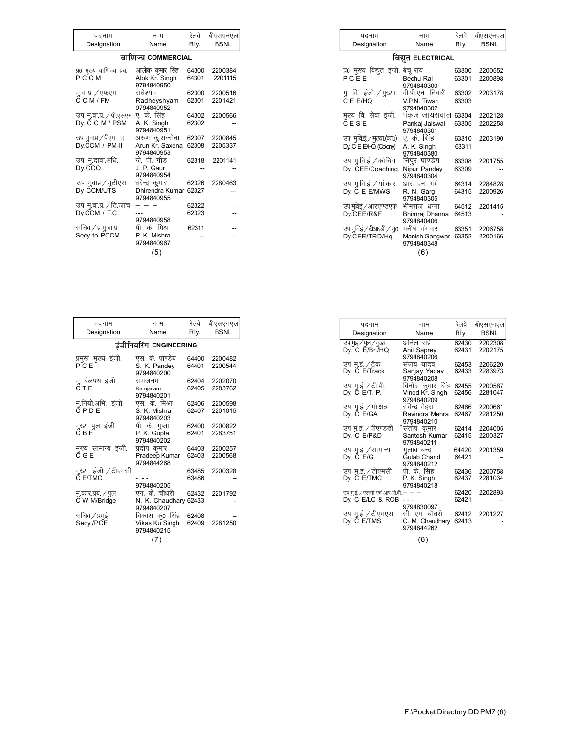| पदनाम       | नाम  |      | रेलवे बीएसएनएल |
|-------------|------|------|----------------|
| Designation | Name | RIy. | BSNL           |
|             |      |      |                |

 $\overline{\Gamma}$ 

वाणिज्य COMMERCIAL

| प्र0 मुख्य वाणिज्य प्रब.<br>PCCM                        | आलोक कुमार सिंह<br>Alok Kr. Singh<br>9794840950       | 64300<br>64301 | 2200384<br>2201115 | प्र0 मुख्य विद्युत इंजी. बेचू राय<br>PCEE       | Bechu Ra<br>97948403                   |
|---------------------------------------------------------|-------------------------------------------------------|----------------|--------------------|-------------------------------------------------|----------------------------------------|
| म्.वा.प्र. / एफएम<br>C C M / FM                         | राधेश्याम<br>Radheyshyam<br>9794840952                | 62300<br>62301 | 2200516<br>2201421 | म्. वि. इंजी. / मुख्या.<br>C E E/HQ             | वी.पी.एन.<br>V.P.N. Tiv<br>9794840     |
| उप मु.वा.प्र. / पी.एसएम. ए. के. सिंह<br>Dy. C C M / PSM | A. K. Singh<br>9794840951                             | 64302<br>62302 | 2200566            | मुख्य वि. सेवा इंजी.<br>CESE                    | पकज ज<br>Pankaj Ja<br>9794840          |
| उप मुवाप्र / पीएम—।।<br>Dy.CCM / PM-II                  | अरुण क्.सक्सेना<br>Arun Kr. Saxena<br>9794840953      | 62307<br>62308 | 2200845<br>2205337 | उप मुविइ / मुख्या (का0)<br>Dy. C E EHQ (Colony) | ए. के. रि<br>A. K. Sin<br>97948403     |
| उप मुदावा.अधि.<br>Dy.CCO                                | जे. पी. गौड<br>J. P. Gaur<br>9794840954               | 62318          | 2201141            | उप मु.वि.इं. / कोचिंग<br>Dy. CEE/Coaching       | निपुर पाप<br>Nipur Pa<br>97948403      |
| उप मुवाप्र / यूटीएस<br>Dy CCM/UTS                       | धरेन्द्र कुमार<br>Dhirendra Kumar 62327<br>9794840955 | 62326          | 2280463            | उप मु.वि.इ. / यां.कार.<br>Dy. C E E/MWS         | आर. एन.<br>R. N. Ga<br>97948403        |
| उप मु.वा.प्र. / टि.जांच<br>Dy.CCM / T.C.                | 9794840958                                            | 62322<br>62323 |                    | उप मुविइं/आरएण्डएफ<br>Dy.CEE/R&F                | भीमराज ।<br>Bhimraj I<br>97948404      |
| सचिव / प्र.मु.वा.प्र.<br>Secy to PCCM                   | पी. के. मिश्रा<br>P. K. Mishra<br>9794840967<br>(5)   | 62311          |                    | उप मृविइं/टीआरडी/मृ0<br>Dy.CEE/TRD/Hq           | मनीष गंग<br>Manish G<br>9794840<br>(6) |
|                                                         |                                                       |                |                    |                                                 |                                        |

| पदनाम                              | नाम                                             | रेलवे          | बीएसएनएल    |
|------------------------------------|-------------------------------------------------|----------------|-------------|
| Designation                        | Name                                            | Rly.           | <b>BSNL</b> |
|                                    | विद्युत ELECTRICAL                              |                |             |
| प्र0 मुख्य विद्युत इंजी. बेचू राय  |                                                 | 63300          | 2200552     |
| P C F F                            | Bechu Rai<br>9794840300                         | 63301          | 2200898     |
| म्. वि. इंजी. / मुख्या.<br>ČE E/HQ | वी.पी.एन. तिवारी<br>V.P.N. Tiwari<br>9794840302 | 63302<br>63303 | 2203178     |
| मुख्य वि. सेवा इंजी.               | पकज जायसवाल                                     | 63304          | 2202128     |
| C E S E                            | Pankaj Jaiswal<br>9794840301                    | 63305          | 2202258     |
| उप मुवि.इं / मुख्या.(का0)          | ए. के. सिंह                                     | 63310          | 2203190     |
| Dy. C E EHQ (Colony)               | A. K. Singh<br>9794840380                       | 63311          |             |
| उप मृ.वि.इ. / कोचिंग               | निपुर पाण्डेय                                   | 63308          | 2201755     |
| Dy. CEE/Coaching                   | Nipur Pandey<br>9794840304                      | 63309          |             |
| उप मु.वि.इं. / यां.कार.            | आर. एन. गर्ग                                    | 64314          | 2284828     |
| Dy. C E E/MWS                      | R. N. Garg<br>9794840305                        | 64315          | 2200926     |
| उप मुविइं ⁄ आरएण्डएफ               | भीमराज धन्ना                                    | 64512          | 2201415     |
| Dy.CEE/R&F                         | Bhimraj Dhanna<br>9794840406                    | 64513          |             |
| उप मुविइं/टीआरडी/मु0               | मनीष गंगवार                                     | 63351          | 2206758     |
| Dy.CEE/TRD/Hq                      | Manish Gangwar<br>9794840348<br>$\sqrt{2}$      | 63352          | 2200166     |

| पदनाम               | नाम                     | रेलवे | बीएसएनएल    |
|---------------------|-------------------------|-------|-------------|
| Designation         | Name                    | Rly.  | <b>BSNL</b> |
|                     | इंजीनियरिंग ENGINEERING |       |             |
|                     |                         |       |             |
| प्रमुख मुख्य इंजी.  | एस. के. पाण्डेय         | 64400 | 2200482     |
| PCE                 | S. K. Pandey            | 64401 | 2200544     |
|                     | 9794840200              |       |             |
| मु. रेलपथ इंजी.     | रामजनम                  | 62404 | 2202070     |
| <b>CTE</b>          | Ramjanam                | 62405 | 2283762     |
|                     | 9794840201              |       |             |
| मुनियो.अभि. इंजी.   | एस. के. मिश्रा          | 62406 | 2200598     |
| CPDE                | S. K. Mishra            | 62407 | 2201015     |
|                     | 9794840203              |       |             |
| मुख्य पुल इंजी.     | पी. के. गुप्ता          | 62400 | 2200822     |
| <b>CBE</b>          | P. K. Gupta             | 62401 | 2283751     |
|                     | 9794840202              |       |             |
| मुख्य सामान्य इंजी. | प्रदीप कुमार            | 64403 | 2200257     |
| C G E               | Pradeep Kumar           | 62403 | 2200568     |
|                     | 9794844268              |       |             |
| मुख्य इंजी / टीएमसी |                         | 63485 | 2200328     |
| C E/TMC             | 9794840205              | 63486 |             |
| मु.कार.प्रब. / पुल  | एन. के. चौधरी           | 62432 | 2201792     |
| C W M/Bridge        | N. K. Chaudhary 62433   |       |             |
|                     | 9794840207              |       |             |
| सचिव ⁄ प्रमुई       | विकास कु0 सिंह          | 62408 |             |
| Secy./PCE           | Vikas Ku Singh          | 62409 | 2281250     |
|                     | 9794840215              |       |             |
|                     | (7)                     |       |             |
|                     |                         |       |             |

| पदनाम                               | नाम                           | रेलवे | बीएसएनएल    |
|-------------------------------------|-------------------------------|-------|-------------|
| Designation                         | Name                          | Rly.  | <b>BSNL</b> |
| उप पूइ / पूज / पूछा.                | अनिल सप्रे                    | 62430 | 2202308     |
| Dy. C E/Br./HQ                      | Anil Saprey<br>9794840206     | 62431 | 2202175     |
| उप मु.इं. ∕ ट्रैक<br>Dy. C E/Track  | संजय यादव                     | 62453 | 2206220     |
|                                     | Sanjay Yadav<br>9794840208    | 62433 | 2283973     |
| उप मृ.इं. / टी.पी.                  | विनोद कुमार सिंह              | 62455 | 2200587     |
| Dy. C E/T. P.                       | Vinod Kr. Singh<br>9794840209 | 62456 | 2281047     |
| उप मू.इ. ∕ गो.क्षेत्र               | रविन्द्र मेहरा                | 62466 | 2200661     |
| Dy. C E/GA                          | Ravindra Mehra<br>9794840210  | 62467 | 2281250     |
| उप मु.इं. ∕ पीएण्डडी<br>Dy. C E/P&D | ैसंतोष कमार                   | 62414 | 2204005     |
|                                     | Santosh Kumar<br>9794840211   | 62415 | 2200327     |
| उप मु.इं. / सामान्य                 | गलाब चन्द                     | 64420 | 2201359     |
| Dy. C E/G                           | Gulab Chand<br>9794840212     | 64421 |             |
|                                     | पी. के. सिंह                  | 62436 | 2200758     |
| उप मु.इं. ∕ टीएमसी<br>Dy. C E/TMC   | P. K. Singh<br>9794840218     | 62437 | 2281034     |
| उप मु.इ. / एलसी एवं आर.ओ.बी. —      |                               | 62420 | 2202893     |
| Dy. C E/LC & ROB                    | $ -$<br>9794830097            | 62421 |             |
| उप मृ.इ. / टीएमएस                   | सी. एम. चौधरी                 | 62412 | 2201227     |
| Dy. C E/TMS                         | C. M. Chaudhary<br>9794844262 | 62413 |             |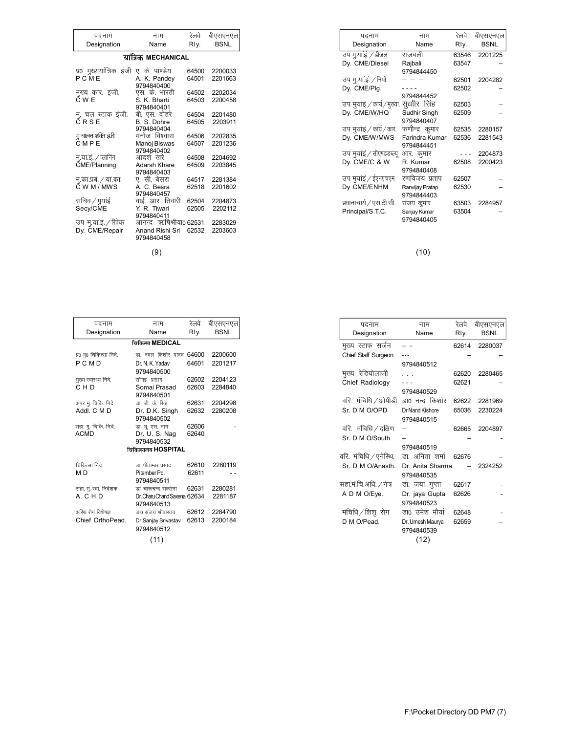| पदनाम       | नाम  | रेलवे | बीएसएनएल    |
|-------------|------|-------|-------------|
| Designation | Name | RIv.  | <b>BSNI</b> |

Г

#### यांत्रिक MECHANICAL

|                                                | यांत्रिक MECHANICAL        |                |         |  | उप मु.या.इ. / डीजल           | राजबली       |
|------------------------------------------------|----------------------------|----------------|---------|--|------------------------------|--------------|
|                                                |                            |                |         |  | Dy. CME/Diesel               | Rajbali      |
| प्र0 मुख्ययांत्रिक इंजी ए. के. पाण्डेय         |                            | 64500          | 2200033 |  |                              | 97948444     |
| PCME                                           | A. K. Pandev               | 64501          | 2201663 |  | उप मु.या.इ. / नियो.          |              |
|                                                | 9794840400                 |                |         |  | Dy. CME/Plg.                 |              |
| मुख्य कार. इंजी.                               | एस. के. भारती              | 64502          | 2202034 |  |                              | 97948444     |
| ČWE                                            | S. K. Bharti               | 64503          | 2200458 |  | उप मुयांइं / कार्य / मुख्या. | सुधाीर सि    |
|                                                | 9794840401                 |                |         |  |                              | Sudhir Sin   |
| मु. चल स्टाक इंजी.                             | बी. एस. दोहरे              | 64504          | 2201480 |  | Dy. CME/W/HQ                 |              |
| CRSE                                           | B. S. Dohre                | 64505          | 2203911 |  |                              | 97948404     |
|                                                | 9794840404                 |                |         |  | उप मुयांइं / कार्य / कार.    | फणीन्द्र कु  |
| मुचालन शक्ति इंजी                              | मनोज विश्वास               | 64506          | 2202835 |  | Dy. CME/W/MWS                | Farindra K   |
| CMPE                                           | Manoj Biswas               | 64507          | 2201236 |  |                              | 97948444     |
|                                                | 9794840402                 |                |         |  | उप मुयांइं / सीएण्डडब्ल्यू   | आर. कुमार    |
| मु.या.इ. ∕ प्लानिंग                            | आदर्श खरे                  | 64508          | 2204692 |  | Dy. CME/C & W                | R. Kumar     |
| CME/Planning                                   | Adarsh Khare               | 64509          | 2203845 |  |                              | 97948404     |
|                                                | 9794840403<br>ए. सी. बेसरा |                | 2281384 |  | उप मुयांइं ∕ ईएनएचएम         | रणविजय प्र   |
| म् का.प्रबं. / या.का.<br>$\tilde{C}$ W M / MWS | A. C. Besra                | 64517<br>62518 | 2201602 |  | Dy CME/ENHM                  |              |
|                                                | 9794840457                 |                |         |  |                              | Ranvijay Pra |
| सचिव / मुयांई                                  | वाइं. आर. तिवारी           | 62504          | 2204873 |  |                              | 97948444     |
| Secy/CME                                       | Y. R. Tiwari               | 62505          | 2202112 |  | प्रधानाचार्य / एस.टी.सी.     | संजय कुमार   |
|                                                | 9794840411                 |                |         |  | Principal/S.T.C.             | Sanjay Kuma  |
| उप मु.या.इ. / रिपेयर                           | आनन्द ऋषिश्रीवा0 62531     |                | 2283029 |  |                              | 97948404     |
| Dy. CME/Repair                                 | Anand Rishi Sri            | 62532          | 2203603 |  |                              |              |
|                                                | 9794840458                 |                |         |  |                              |              |
|                                                |                            |                |         |  |                              |              |
|                                                | (9)                        |                |         |  |                              |              |
|                                                |                            |                |         |  |                              |              |

| पदनाम                                   | नाम             | रेलवे | बीएसएनएल    |
|-----------------------------------------|-----------------|-------|-------------|
| Designation                             | Name            | Rly.  | <b>BSNL</b> |
| उप मृया.इ. / डीजल                       | राजबली          | 63546 | 2201225     |
| Dy. CME/Diesel                          | Rajbali         | 63547 |             |
|                                         | 9794844450      |       |             |
| उप मृ.या.इ. ∕ नियो.                     |                 | 62501 | 2204282     |
| Dy. CME/Plg.                            |                 | 62502 |             |
|                                         | 9794844452      |       |             |
| उप मुयाइं / कार्य / मुख्या. सुधाीर सिंह |                 | 62503 |             |
| Dy. CME/W/HQ                            | Sudhir Singh    | 62509 |             |
|                                         | 9794840407      |       |             |
| उप मुयांइं / कार्य / कार.               | फणीन्द्र कुमार  | 62535 | 2280157     |
| Dy. CME/W/MWS                           | Farindra Kumar  | 62536 | 2281543     |
|                                         | 9794844451      |       |             |
| उप मुयांइं / सीएण्डडब्ल्यू              | आर. कुमार       |       | 2204873     |
| Dy. CME/C & W                           | R. Kumar        | 62508 | 2200423     |
|                                         | 9794840408      |       |             |
| उप मुयांइं ∕ ईएनएचएम                    | रणविजय प्रताप   | 62507 |             |
| Dy CME/ENHM                             | Ranvijay Pratap | 62530 |             |
|                                         | 9794844403      |       |             |
| प्रधानाचार्य / एस.टी.सी.                | संजय कुमार      | 63503 | 2284957     |
| Principal/S.T.C.                        | Sanjay Kumar    | 63504 |             |
|                                         | 9794840405      |       |             |

|                         | (9)                                        |                |             |
|-------------------------|--------------------------------------------|----------------|-------------|
|                         |                                            |                |             |
|                         |                                            |                |             |
|                         |                                            |                |             |
|                         |                                            |                |             |
| पदनाम                   | नाम                                        | रेलवे          | बीएसएनएल    |
| Designation             | Name                                       | Rly.           | <b>BSNL</b> |
|                         | चिकित्सा MEDICAL                           |                |             |
| प्र0 मृ0 चिकित्सा निदे. | डा. नवल किशोर यादव 64600                   |                | 2200600     |
| PCMD                    | Dr. N. K. Yadav                            | 64601          | 2201217     |
| मुख्य स्वास्थ्य निदे.   | 9794840500<br>सोमई प्रसाद                  | 62602          | 2204123     |
| C H D                   | Somai Prasad<br>9794840501                 | 62603          | 2284840     |
| अपर मू. चिकि. निदे.     | डा. डी. के. सिंह                           | 62631          | 2204298     |
| Addl. C M D             | Dr. D.K. Singh<br>9794840502               | 62632          | 2280208     |
| सहा. मू. चिकि. निदे.    | डा. यू. एस. नाग                            | 62606          |             |
| <b>ACMD</b>             | Dr. U. S. Nag<br>9794840532                | 62640          |             |
|                         | चिकित्सालय HOSPITAL                        |                |             |
|                         |                                            |                |             |
| चिकित्सा निदे.<br>M D   | डा. पीताम्बर प्रसाद<br>Pitamber Pd.        | 62610<br>62611 | 2280119     |
|                         | 9794840511                                 |                |             |
| सहा. मू. स्वा. निदेशक   | डा. चारूचन्द सक्सेना                       | 62631          | 2280281     |
| A. C H D                | Dr. Charu Chand Saxena 62634<br>9794840513 |                | 2281187     |
| अस्थि रोग विशेषज्ञ      | डा0 संजय श्रीवास्तव                        | 62612          | 2284790     |
| Chief OrthoPead.        | Dr.Sanjay Srivastav<br>9794840512          | 62613          | 2200184     |
|                         | $\sqrt{44}$                                |                |             |

| नाम                      | रेलवे | बीएसएनएल    |
|--------------------------|-------|-------------|
| Name                     | Rly.  | <b>BSNL</b> |
| <b>MEDICAL</b>           |       |             |
| ल किशोर यादव 64600       |       | 2200600     |
| K. Yadav                 | 64601 | 2201217     |
| 840500                   |       |             |
| प्रसाद                   | 62602 | 2204123     |
| ai Prasad<br>840501      | 62603 | 2284840     |
| के. सिंह                 | 62631 | 2204298     |
| K. Singh                 | 62632 | 2280208     |
| 840502                   |       |             |
| एस. नाग                  | 62606 |             |
| I. S. Nag<br>840532      | 62640 |             |
| ፣ HOSPITAL               |       |             |
|                          |       |             |
| म्बर प्रसाद              | 62610 | 2280119     |
| per Pd.                  | 62611 |             |
| 840511<br>ब्चन्द सक्सेना | 62631 | 2280281     |
| aru Chand Saxena 62634   |       | 2281187     |
| 840513                   |       |             |
| जय श्रीवास्तव            | 62612 | 2284790     |
| njay Srivastav           | 62613 | 2200184     |
| 840512                   |       |             |
| (11)                     |       |             |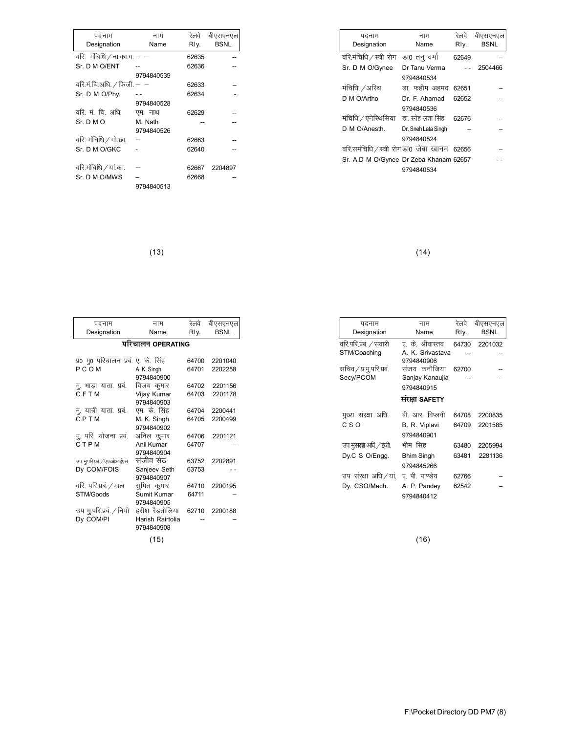| पदनाम                       | नाम        | रेलवे | बीएसएनएल    |
|-----------------------------|------------|-------|-------------|
| Designation                 | Name       | RIy.  | <b>BSNL</b> |
| वरि. मंचिधि ∕ ना.का.ग. –    |            | 62635 |             |
| Sr. D M O/ENT               |            | 62636 |             |
|                             | 9794840539 |       |             |
| वरि.मं.चि.अधि. / फिजी. —  — |            | 62633 |             |
| Sr. D M O/Phy.              |            | 62634 |             |
|                             | 9794840528 |       |             |
| वरि. मं. चि. अधि.           | एम. नाथ    | 62629 |             |
| Sr. D M O                   | M. Nath    |       |             |
|                             | 9794840526 |       |             |
| वरि. मंचिधि ∕ गो.छा.        |            | 62663 |             |
| Sr. D M O/GKC               |            | 62640 |             |
|                             |            |       |             |
| वरि.मंचिधि / यां.का.        |            | 62667 | 2204897     |
| Sr. D M O/MWS               |            | 62668 |             |
|                             | 9794840513 |       |             |

| पदनाम                                        | नाम                 | रेलवे | बीएसएनएल    |
|----------------------------------------------|---------------------|-------|-------------|
| Designation                                  | Name                | RIy.  | <b>BSNL</b> |
| वरि.मंचिधि ∕स्त्री रोग                       | डा0 तन वर्मा        | 62649 |             |
| Sr. D M O/Gynee                              | Dr Tanu Verma       |       | 2504466     |
|                                              | 9794840534          |       |             |
| मंचिधि. / अस्थि                              | डा. फहीम अहमद 62651 |       |             |
| D M O/Artho                                  | Dr. F. Ahamad       | 62652 |             |
|                                              | 9794840536          |       |             |
| मंचिधि / एनेस्थिसिया ज्ञा स्नेह लता सिंह     |                     | 62676 |             |
| D M O/Anesth                                 | Dr. Sneh Lata Singh |       |             |
|                                              | 9794840524          |       |             |
| वरि.समंचिधि / स्त्री रोग डा0 जेबा खानम 62656 |                     |       |             |
| Sr. A.D M O/Gynee Dr Zeba Khanam 62657       |                     |       |             |
|                                              | 9794840534          |       |             |

 $(13)$  (14)

| पदनाम                               | नाम               | रेलवे | बीएसएनएल    |
|-------------------------------------|-------------------|-------|-------------|
| Designation                         | Name              | Rly.  | <b>BSNL</b> |
|                                     | परिचालन OPERATING |       |             |
|                                     |                   |       |             |
| प्र0 मु0 परिचालन प्रबं. ए. के. सिंह |                   | 64700 | 2201040     |
| PCOM                                | A. K. Singh       | 64701 | 2202258     |
|                                     | 9794840900        |       |             |
| मु. भाड़ा याता. प्रबं.              | विजय कुमार        | 64702 | 2201156     |
| CFTM                                | Vijay Kumar       | 64703 | 2201178     |
|                                     | 9794840903        |       |             |
| म्. यात्री याता. प्रबं.             | एम. के. सिंह      | 64704 | 2200441     |
| CPTM                                | M. K. Singh       | 64705 | 2200499     |
|                                     | 9794840902        |       |             |
| म्. परि. योजना प्रबं.               | अनिल कुमार        | 64706 | 2201121     |
| CTPM                                | Anil Kumar        | 64707 |             |
|                                     | 9794840904        |       |             |
| उप मुपरि प्रबं / एफओआईएस            | संजीव सेत         | 63752 | 2202891     |
| Dy COM/FOIS                         | Sanjeev Seth      | 63753 |             |
|                                     | 9794840907        |       |             |
| वरि. परि.प्रबं. ∕ माल               | सुमित कुमार       | 64710 | 2200195     |
| STM/Goods                           | Sumit Kumar       | 64711 |             |
|                                     | 9794840905        |       |             |
| उप मू.परि.प्रबं. ∕ नियो             | हरीश रैडतोलिया    | 62710 | 2200188     |
| Dy COM/PI                           | Harish Rairtolia  |       |             |
|                                     | 9794840908        |       |             |
|                                     |                   |       |             |
|                                     | (15)              |       |             |

| पदनाम                    | नाम                        | रेलवे             | बीएसएनएल    |
|--------------------------|----------------------------|-------------------|-------------|
| Designation              | Name                       | RI <sub>V</sub> . | <b>BSNL</b> |
| वरि.परि.प्रबं. ⁄ सवारी   | ए. के. श्रीवास्तव          | 64730             | 2201032     |
| STM/Coaching             | A. K. Srivastava           |                   |             |
| सचिव / प्र.मृ.परि.प्रबं. | 9794840906<br>संजय कनौजिया | 62700             |             |
| Secy/PCOM                | Sanjay Kanaujia            |                   |             |
|                          | 9794840915                 |                   |             |
|                          | संरक्षा SAFETY             |                   |             |
| मुख्य संरक्षा अधि.       | बी. आर. विप्लवी            | 64708             | 2200835     |
| C S O                    | B. R. Viplavi              | 64709             | 2201585     |
|                          | 9794840901                 |                   |             |
| उप मुरस्क्षा अघि / इंजी. | भीम सिंह                   | 63480             | 2205994     |
| Dy.C S O/Engg.           | Bhim Singh                 | 63481             | 2281136     |
|                          | 9794845266                 |                   |             |
| उप संरक्षा अधि ⁄ यां.    | ए. पी. पाण्डेय             | 62766             |             |
| Dy. CSO/Mech.            | A. P. Pandey               | 62542             |             |
|                          | 9794840412                 |                   |             |

(16)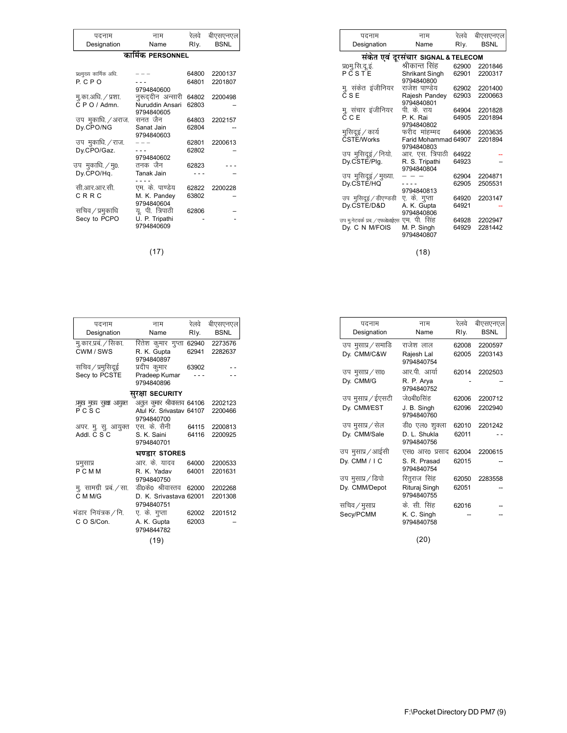| पदनाम       | नाम  | रेलवे             | बीएसएनएल    |
|-------------|------|-------------------|-------------|
| Designation | Name | RI <sub>V</sub> . | <b>BSNL</b> |

## कार्मिक PERSONNEL

| प्र0मुख्य कार्मिक अधि. | $ -$             | 64800 | 2200137 |
|------------------------|------------------|-------|---------|
| P. C. P. O             |                  | 64801 | 2201807 |
|                        | 9794840600       |       |         |
| म्.का.अधि. / प्रशा.    | नुरूददीन अन्सारी | 64802 | 2200498 |
| $CPO/Admn$ .           | Nuruddin Ansari  | 62803 |         |
|                        | 9794840605       |       |         |
| उप मुकाधि /अराज.       | सनत जैन          | 64803 | 2202157 |
| Dy.CPO/NG              | Sanat Jain       | 62804 |         |
|                        | 9794840603       |       |         |
| उप मुकाधि / राज.       |                  | 62801 | 2200613 |
| Dy.CPO/Gaz.            |                  | 62802 |         |
|                        | 9794840602       |       |         |
| उप मुकाधि. / मृ0.      | तनक जैन          | 62823 |         |
| Dy.CPO/Hq.             | Tanak Jain       |       |         |
|                        |                  |       |         |
| सी.आर.आर.सी.           | एम. के. पाण्डेय  | 62822 | 2200228 |
| CRRC                   | M. K. Pandey     | 63802 |         |
|                        | 9794840604       |       |         |
| सचिव / प्रमुकाधि       | यु. पी. त्रिपाठी | 62806 |         |
| Secy to PCPO           | U. P. Tripathi   |       |         |
|                        | 9794840609       |       |         |

(17)

| पदनाम                         | नाम                                 | रेलवे | बीएसएनएल    |
|-------------------------------|-------------------------------------|-------|-------------|
| Designation                   | Name                                | Rly.  | <b>BSNL</b> |
|                               | संकेत एवं दूरसंचार SIGNAL & TELECOM |       |             |
| प्र0म्.सि.दू.इ.               | श्रीकान्त सिंह                      | 62900 | 2201846     |
| PCSTE                         | <b>Shrikant Singh</b><br>9794840800 | 62901 | 2200317     |
| मु. संकेत इंजीनियर<br>C S E   | राजेश पाण्डेय                       | 62902 | 2201400     |
|                               | Rajesh Pandey<br>9794840801         | 62903 | 2200663     |
| मु. संचार इंजीनियर<br>C C E   | पी. के. राय                         | 64904 | 2201828     |
|                               | P. K. Rai<br>9794840802             | 64905 | 2201894     |
| मुसिदूइं / कार्य              | फरीद मांहम्मद                       | 64906 | 2203635     |
| ČSTË/Works                    | Farid Mohammad 64907<br>9794840803  |       | 2201894     |
| उप मुसिदूइं / नियो.           | आर. एस. त्रिपाठी                    | 64922 |             |
| Dv.CSTE/Plg.                  | R. S. Tripathi<br>9794840804        | 64923 |             |
| उप मुसिदूइं / मुख्या.         |                                     | 62904 | 2204871     |
| Dy.CSTE/HQ                    | 9794840813                          | 62905 | 2505531     |
| उप मुसिदूइं / डीएण्डडी        | ए. के. गप्ता                        | 64920 | 2203147     |
| Dy.CSTE/D&D                   | A. K. Gupta<br>9794840806           | 64921 |             |
| उप मु.नेटवर्क प्रब. / एफओआईएस | एम. पी. सिंह                        | 64928 | 2202947     |
| Dy. C N M/FOIS                | M. P. Singh<br>9794840807           | 64929 | 2281442     |

(18)

| नाम               | रेलवे                                                   | बीएसएनएल                                                                                                                                         |
|-------------------|---------------------------------------------------------|--------------------------------------------------------------------------------------------------------------------------------------------------|
| Name              | Rly.                                                    | <b>BSNL</b>                                                                                                                                      |
|                   |                                                         | 2273576                                                                                                                                          |
|                   |                                                         | 2282637                                                                                                                                          |
|                   |                                                         |                                                                                                                                                  |
| Pradeep Kumar     |                                                         |                                                                                                                                                  |
| 9794840896        |                                                         |                                                                                                                                                  |
| सुरक्षा SECURITY  |                                                         |                                                                                                                                                  |
|                   |                                                         | 2202123                                                                                                                                          |
|                   |                                                         | 2200466                                                                                                                                          |
| 9794840700        |                                                         |                                                                                                                                                  |
| एस. के. सैनी      | 64115                                                   | 2200813                                                                                                                                          |
| S. K. Saini       | 64116                                                   | 2200925                                                                                                                                          |
| 9794840701        |                                                         |                                                                                                                                                  |
|                   |                                                         |                                                                                                                                                  |
| आर. के. यादव      | 64000                                                   | 2200533                                                                                                                                          |
| R. K. Yadav       | 64001                                                   | 2201631                                                                                                                                          |
| 9794840750        |                                                         |                                                                                                                                                  |
| डी0के0 श्रीवास्तव | 62000                                                   | 2202268                                                                                                                                          |
|                   |                                                         | 2201308                                                                                                                                          |
| 9794840751        |                                                         |                                                                                                                                                  |
| ए. के. गुप्ता     | 62002                                                   | 2201512                                                                                                                                          |
| A. K. Gupta       | 62003                                                   |                                                                                                                                                  |
|                   |                                                         |                                                                                                                                                  |
| (19)              |                                                         |                                                                                                                                                  |
|                   | R. K. Gupta<br>9794840897<br>प्रदीप कुमार<br>9794844782 | रितेश कुमार गुप्ता 62940<br>62941<br>63902<br>अतूल कुमार श्रीवास्तव 64106<br>Atul Kr. Srivastav 64107<br>भण्डार stores<br>D. K. Srivastava 62001 |

| पदनाम<br>Designation | नाम<br>Name                 | रेलवे<br>Rly. | बीएसएनएल<br><b>BSNL</b> |
|----------------------|-----------------------------|---------------|-------------------------|
| उप मुसाप्र / समाडि   | राजेश लाल                   | 62008         | 2200597                 |
| Dy. CMM/C&W          | Rajesh Lal<br>9794840754    | 62005         | 2203143                 |
| उप मूसाप्र / सा0     | आर.पी. आर्या                | 62014         | 2202503                 |
| Dy. CMM/G            | R. P. Arya<br>9794840752    |               |                         |
| उप मुसाप्र ∕ ईएसटी   | जे0बी0सिंह                  | 62006         | 2200712                 |
| Dy. CMM/EST          | J. B. Singh<br>9794840760   | 62096         | 2202940                 |
| उप मुसाप्र ∕ सेल     | डी0 एल0 शक्ला               | 62010         | 2201242                 |
| Dy. CMM/Sale         | D. L. Shukla<br>9794840756  | 62011         |                         |
| उप मुसाप्र / आईसी    | एस0 आर0 प्रसाद              | 62004         | 2200615                 |
| Dy. CMM / I C        | S. R. Prasad<br>9794840754  | 62015         |                         |
| उप मुसाप्र ∕ डिपो    | रितुराज सिंह                | 62050         | 2283558                 |
| Dy. CMM/Depot        | Rituraj Singh<br>9794840755 | 62051         |                         |
| सचिव ⁄ मुसाप्र       | के. सी. सिंह                | 62016         |                         |
| Secy/PCMM            | K. C. Singh<br>9794840758   |               |                         |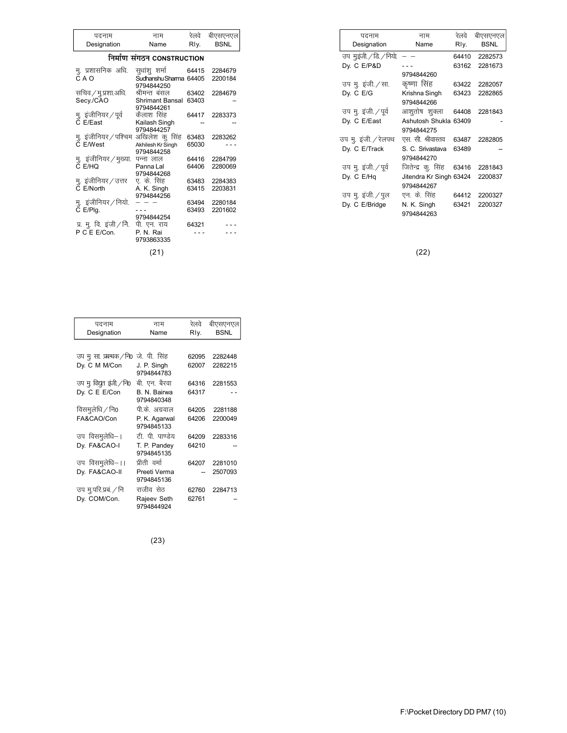| पदनाम                   | नाम                                     | रेलवे | बीएसएनएल    |
|-------------------------|-----------------------------------------|-------|-------------|
| Designation             | Name                                    | Rly.  | <b>BSNL</b> |
|                         | निर्माण संगठन CONSTRUCTION              |       |             |
|                         |                                         |       |             |
| म्. प्रशासनिक अधि.      | सुधांशु शर्मा                           | 64415 | 2284679     |
| CAO                     | Sudhanshu Sharma 64405                  |       | 2200184     |
|                         | 9794844250                              |       |             |
| सचिव / मु.प्रशा.अधि.    | श्रीमन्त बंसल<br><b>Shrimant Bansal</b> | 63402 | 2284679     |
| Secy./CAO               | 9794844261                              | 63403 |             |
| मु. इंजीनियर / पूर्व    | कैलाश सिंह                              | 64417 | 2283373     |
| C E/East                | Kailash Singh                           |       |             |
|                         | 9794844257                              |       |             |
| मु. इंजीनियर / पश्चिम   | अखिलेश कु सिंह                          | 63483 | 2283262     |
| C E/West                | Akhilesh Kr Singh                       | 65030 |             |
|                         | 9794844258                              |       |             |
| मु. इंजीनियर / मुख्या.  | पन्ना लाल                               | 64416 | 2284799     |
| C E/HQ                  | Panna Lal                               | 64406 | 2280069     |
| मु. इंजीनियर / उत्तर    | 9794844268<br>ए. के. सिंह               | 63483 | 2284383     |
| C E/North               | A. K. Singh                             | 63415 | 2203831     |
|                         | 9794844256                              |       |             |
| मु. इंजीनियर / नियो.    |                                         | 63494 | 2280184     |
| C E/Plg.                |                                         | 63493 | 2201602     |
|                         | 9794844254                              |       |             |
| प्र. मु. वि. इंजी ∕ नि. | पी. एन. राय                             | 64321 |             |
| P C E E/Con.            | P. N. Rai                               |       |             |
|                         | 9793863335                              |       |             |
|                         | (21)                                    |       |             |

| पदनाम                | नाम                     | रेलवे | बीएसएनएल    |
|----------------------|-------------------------|-------|-------------|
| Designation          | Name                    | Rly.  | <b>BSNL</b> |
| उप मुइंजी /डि./नियो  |                         | 64410 | 2282573     |
| Dy. C E/P&D          |                         | 63162 | 2281673     |
|                      | 9794844260              |       |             |
| उप मु. इंजी. / सा.   | कृष्णा सिंह             | 63422 | 2282057     |
| Dy. C E/G            | Krishna Singh           | 63423 | 2282865     |
|                      | 9794844266              |       |             |
| उप मृ. इंजी. ∕ पूर्व | आशूतोष शुक्ला           | 64408 | 2281843     |
| Dy. C E/East         | Ashutosh Shukla         | 63409 |             |
|                      | 9794844275              |       |             |
| उप म्. इंजी. ⁄ रेलपथ | एस. सी. श्रीवास्तव      | 63487 | 2282805     |
| Dy. C E/Track        | S. C. Srivastava        | 63489 |             |
|                      | 9794844270              |       |             |
| उपम् इंजी / पूर्व    | जितेन्द्र क्. सिंह      | 63416 | 2281843     |
| Dy. C E/Hq           | Jitendra Kr Singh 63424 |       | 2200837     |
|                      | 9794844267              |       |             |
| उप मृ. इंजी. ⁄ पूल   | एन. के. सिंह            | 64412 | 2200327     |
| Dy. C E/Bridge       | N. K. Singh             | 63421 | 2200327     |
|                      | 9794844263              |       |             |
|                      |                         |       |             |

| पदनाम<br>Designation    | नाम<br>Name                 | रेलवे<br>Rly. | बीएसएनएल<br><b>BSNL</b> |
|-------------------------|-----------------------------|---------------|-------------------------|
|                         |                             |               |                         |
| उप मु सा. प्रबन्धक /नि0 | जे. पी. सिंह                | 62095         | 2282448                 |
| Dy. C M M/Con           | J. P. Singh<br>9794844783   | 62007         | 2282215                 |
| उप मु विद्यूत इंजी./नि0 | बी. एन. बैरवा               | 64316         | 2281553                 |
| Dy. C E E/Con           | B. N. Bairwa<br>9794840348  | 64317         |                         |
| विसमूलेधि / नि0         | पी.के. अग्रवाल              | 64205         | 2281188                 |
| FA&CAO/Con              | P. K. Agarwal<br>9794845133 | 64206         | 2200049                 |
| उप विसमुलेधि–।          | टी. पी. पाण्डेय             | 64209         | 2283316                 |
| Dy. FA&CAO-I            | T. P. Pandey<br>9794845135  | 64210         |                         |
| उप विसमुलेधि–।।         | प्रीती वर्मा                | 64207         | 2281010                 |
| Dy. FA&CAO-II           | Preeti Verma<br>9794845136  |               | 2507093                 |
| उप मृ.परि.प्रबं. ∕ नि   | राजीव सेठ                   | 62760         | 2284713                 |
| Dy. COM/Con.            | Rajeev Seth<br>9794844924   | 62761         |                         |

(23)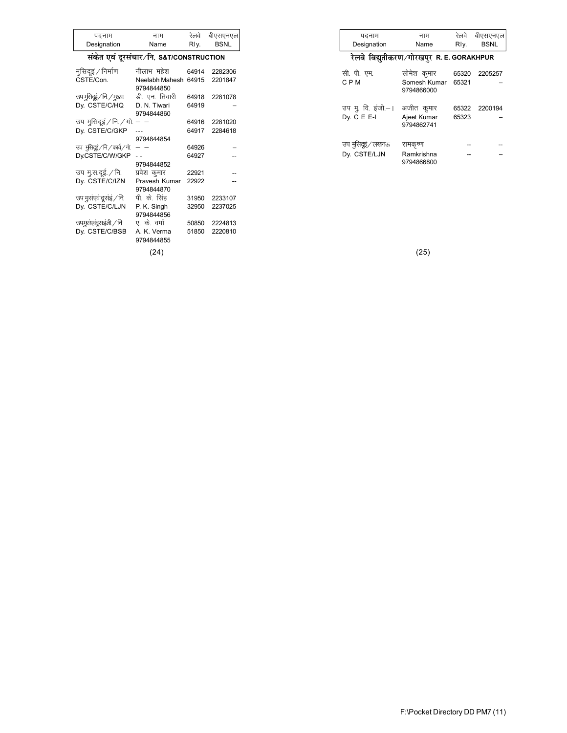| पदनाम       | नाम  | रेलवे | बीएसएनएल    |
|-------------|------|-------|-------------|
| Designation | Name | RIy.  | <b>BSNL</b> |

# संकेत एवं दूरसंचार $\sqrt{r}$ न. s&T/CONSTRUCTION

| मुसिदूइं / निर्माण<br>CSTE/Con.         | नीलाभ महेश<br>Neelabh Mahesh 64915<br>9794844850 | 64914          | 2282306<br>2201847 | सी. पी. एम.<br><b>CPM</b> | सोमेश कुम<br>Somesh K<br>97948660 |
|-----------------------------------------|--------------------------------------------------|----------------|--------------------|---------------------------|-----------------------------------|
| उप मूसेदूइं/नि./मुख्या<br>Dy. CSTE/C/HQ | डी. एन. तिवारी<br>D. N. Tiwari                   | 64918<br>64919 | 2281078            | उप मृ. वि. इंजी.–।        | अजीत कुम                          |
| उप मूसिदुइं $/$ नि. $/$ गो. — $-$       | 9794844860                                       | 64916          | 2281020            | Dy. C E E-I               | Ajeet Kum                         |
| Dy. CSTE/C/GKP                          |                                                  | 64917          | 2284618            |                           | 97948627                          |
| उप मुसिदूइं/नि/कार्य/गो – –             | 9794844854                                       | 64926          |                    | उप मुसिद्ग्रं/लखनऊ        | रामकृष्ण                          |
| Dy.CSTE/C/W/GKP --                      | 9794844852                                       | 64927          |                    | Dy. CSTE/LJN              | Ramkrish<br>97948668              |
| उप मृ.स.दूई. ∕ नि.                      | प्रवेश कुमार                                     | 22921          |                    |                           |                                   |
| Dy. CSTE/C/IZN                          | Pravesh Kumar<br>9794844870                      | 22922          |                    |                           |                                   |
| उप मुसंएवं दूसंइं / नि.                 | पी. के. सिंह                                     | 31950          | 2233107            |                           |                                   |
| Dy. CSTE/C/LJN                          | P. K. Singh<br>9794844856                        | 32950          | 2237025            |                           |                                   |
| उपमुसंएक्ट्रसइंजी / नि                  | ए. के. वर्मा                                     | 50850          | 2224813            |                           |                                   |
| Dy. CSTE/C/BSB                          | A. K. Verma<br>9794844855                        | 51850          | 2220810            |                           |                                   |
|                                         | (24)                                             |                |                    |                           | (25)                              |

| पदनाम<br>Designation                      | नाम<br>Name                              | रेलवे<br>RIy.  | बीएसएनएल<br><b>BSNL</b> |  |  |  |  |
|-------------------------------------------|------------------------------------------|----------------|-------------------------|--|--|--|--|
| रेलवे विद्युतीकरण गोरखपुर R. E. GORAKHPUR |                                          |                |                         |  |  |  |  |
| सी. पी. एम.<br>CPM                        | सोमेश कमार<br>Somesh Kumar<br>9794866000 | 65320<br>65321 | 2205257                 |  |  |  |  |
| उप मृ. वि. इंजी.–।<br>Dy. C E E-I         | अजीत कुमार<br>Ajeet Kumar<br>9794862741  | 65322<br>65323 | 2200194                 |  |  |  |  |
| उप मूसिदूइं ⁄ लखनऊ<br>Dy. CSTE/LJN        | रामकृष्ण<br>Ramkrishna<br>9794866800     |                |                         |  |  |  |  |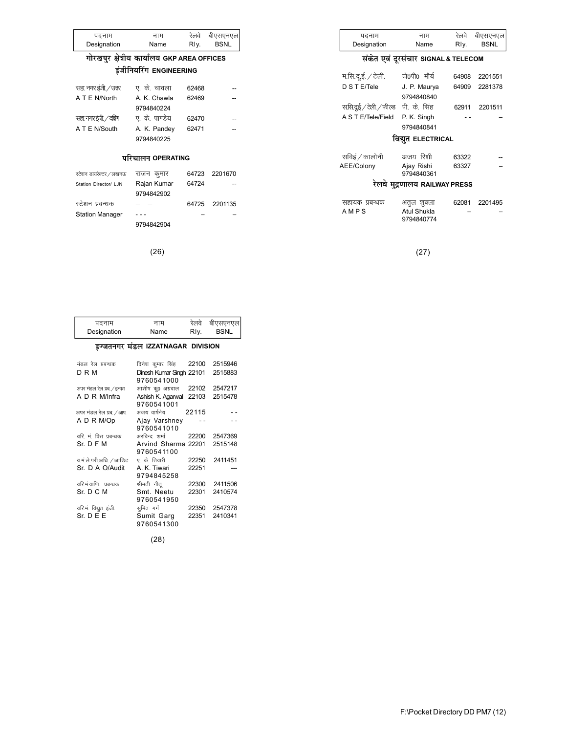| पदनाम       | नाम   |                   | रेलवे बीएसएनएल |
|-------------|-------|-------------------|----------------|
| Designation | Name. | RI <sub>V</sub> . | <b>BSNI</b>    |

## गोरखपुर क्षेत्रीय कार्यालय GKP AREA OFFICES इंजीनियरिंग ENGINEERING

| सहा नगर इंजी ∕उक्तर   | ए. के. चावला             | 62468 |  |
|-----------------------|--------------------------|-------|--|
| A T E N/North         | A K Chawla<br>9794840224 | 62469 |  |
| सहा नगर इंजी / दक्षिप | ए. के. पाण्डेय           | 62470 |  |
| A T E N/South         | A. K. Pandey             | 62471 |  |
|                       | 9794840225               |       |  |

## परिचालन OPERATING

| रटेशन डायरेक्टर / लखनऊ | राजन कुमार  |       | 64723 2201670 |
|------------------------|-------------|-------|---------------|
| Station Director/ LJN  | Rajan Kumar | 64724 |               |
|                        | 9794842902  |       |               |
| स्टेशन प्रबन्धक        |             |       | 64725 2201135 |
| <b>Station Manager</b> |             |       |               |
|                        | 9794842904  |       |               |

| पदनाम                                 | नाम                        | रेलवे | बीएसएनएल    |  |  |  |
|---------------------------------------|----------------------------|-------|-------------|--|--|--|
| Designation                           | Name                       | RIy.  | <b>BSNL</b> |  |  |  |
| संकेत एवं दूरसंचार SIGNAL & TELECOM   |                            |       |             |  |  |  |
| म.सि.दू.ई. / टेली.                    | जे0पी0 मौर्य               | 64908 | 2201551     |  |  |  |
| D S T E/Tele                          | J. P. Maurya<br>9794840840 | 64909 | 2281378     |  |  |  |
| स.सि.दूई / देली. / फील्ड पी. के. सिंह |                            | 62911 | 2201511     |  |  |  |
| A S T E/Tele/Field                    | P. K. Singh<br>9794840841  |       |             |  |  |  |
|                                       | विद्यत ELECTRICAL          |       |             |  |  |  |
| सविइं / कालोनी                        | अजय रिशी                   | 63322 |             |  |  |  |
| AEE/Colony                            | Ajay Rishi<br>9794840361   | 63327 |             |  |  |  |
|                                       | मद्रणालय RAILWAY PRESS     |       |             |  |  |  |

| सहायक प्रबन्धक | अतुल शुक्ला |   | 62081 2201495 |
|----------------|-------------|---|---------------|
| AMPS           | Atul Shukla | - | -             |
|                | 9794840774  |   |               |

 $(26)$  (27)

| पदनाम                        | नाम                                    | रेलवे | बीएसएनएल      |
|------------------------------|----------------------------------------|-------|---------------|
| Designation                  | Name                                   | Rly.  | <b>BSNL</b>   |
|                              | इंज्जतनगर मंडल IZZATNAGAR DIVISION     |       |               |
| मंडल रेल प्रबन्धक            | दिनेश कुमार सिंह 22100                 |       | 2515946       |
| DRM                          | Dinesh Kumar Singh 22101<br>9760541000 |       | 2515883       |
| अपर मंडल रेल प्रब. / इन्फ्रा | आशीष क्0 अग्रवाल 22102 2547217         |       |               |
| A D R M/Infra                | Ashish K. Agarwal 22103<br>9760541001  |       | 2515478       |
| अपर मंडल रेल प्रब. / आप.     | अजय वार्षनेय                           | 22115 |               |
| A D R M/Op                   | Ajay Varshney<br>9760541010            |       |               |
| वरि. मं. वित्त प्रबन्धक      | अरविन्द शर्मा                          |       | 22200 2547369 |
| Sr. D F M                    | Arvind Sharma 22201<br>9760541100      |       | 2515148       |
| व.मं.ले.परी.अधि. / आडिट      | ए. के. तिवारी                          | 22250 | 2411451       |
| Sr. D A O/Audit              | A. K. Tiwari<br>9794845258             | 22251 |               |
| वरि.मं.वाणि. प्रबन्धक        | श्रीमती नीत्                           | 22300 | 2411506       |
| Sr. D C M                    | Smt. Neetu<br>9760541950               | 22301 | 2410574       |
| वरि.मं. विद्युत इंजी.        | सुमित गर्ग                             | 22350 | 2547378       |
| Sr. D E E                    | Sumit Garg<br>9760541300               | 22351 | 2410341       |
|                              | (28)                                   |       |               |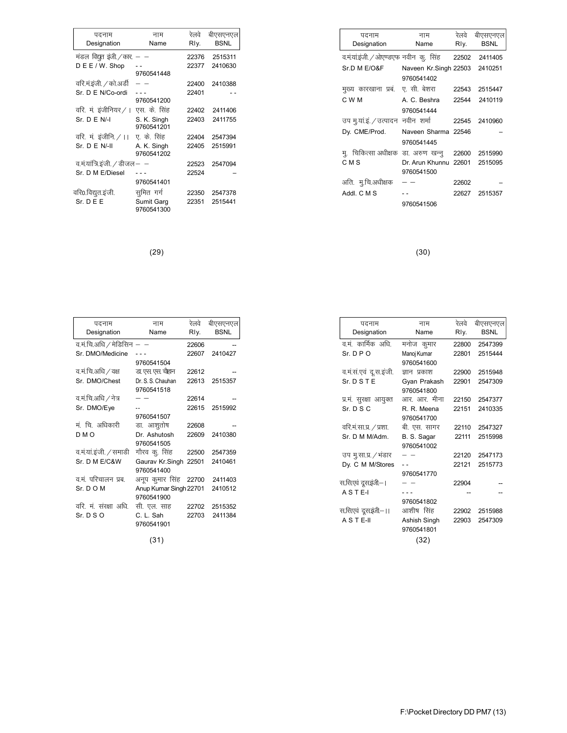| पदनाम                                 | नाम                       | रेलवे | बीएसएनएल    |
|---------------------------------------|---------------------------|-------|-------------|
| Designation                           | Name                      | Rly.  | <b>BSNL</b> |
| मंडल विद्युत इंजी / कार.              | $ -$                      | 22376 | 2515311     |
| $D \mathsf{E} \mathsf{E} / W$ . Shop  |                           | 22377 | 2410630     |
|                                       | 9760541448                |       |             |
| वरि.मं.इंजी. / को.अडी                 |                           | 22400 | 2410388     |
| Sr. D E N/Co-ordi                     |                           | 22401 |             |
|                                       | 9760541200                |       |             |
| वरि. मं. इंजीनियर ∕ ।                 | एस. के. सिंह              | 22402 | 2411406     |
| $Sr. D E N-I$                         | S. K. Singh<br>9760541201 | 22403 | 2411755     |
| वरि. मं. इंजीनि. ∕ ।।   ए.  के.  सिंह |                           | 22404 | 2547394     |
| Sr. D E N/H                           | A. K. Singh<br>9760541202 | 22405 | 2515991     |
| व.म.यांत्रि.इंजी. / डीजल—             |                           | 22523 | 2547094     |
| Sr. D M E/Diesel                      |                           | 22524 |             |
|                                       | 9760541401                |       |             |
| वरि0.विद्युत.इंजी.                    | सुमित गर्ग                | 22350 | 2547378     |
| Sr. D E E                             | Sumit Garg<br>9760541300  | 22351 | 2515441     |

#### $(29)$  (30)

| पदनाम<br>Designation                  | नाम<br>Name                   | रेलवे<br>Rly. | बीएसएनएल<br><b>BSNL</b> |
|---------------------------------------|-------------------------------|---------------|-------------------------|
| व.मं.यां.इंजी / ओएण्डएफ नवीन कु. सिंह |                               |               | 22502 2411405           |
| Sr.D M E/O&F                          | Naveen Kr.Singh 22503 2410251 |               |                         |
|                                       | 9760541402                    |               |                         |
| मुख्य कारखाना प्रबं. ए. सी. बेशरा     |                               | 22543         | 2515447                 |
| C W M                                 | A. C. Beshra                  | 22544         | 2410119                 |
|                                       | 9760541444                    |               |                         |
| उप मु.यां.इं. / उत्पादन नवीन शर्मा    |                               | 22545         | 2410960                 |
| Dy. CME/Prod.                         | Naveen Sharma 22546           |               |                         |
|                                       | 9760541445                    |               |                         |
| म्. चिकित्सा अधीक्षक डा. अरुण खन्न्   |                               |               | 22600 2515990           |
| C M S                                 | Dr. Arun Khunnu 22601         |               | 2515095                 |
|                                       | 9760541500                    |               |                         |
| अति. मृ.चि.अधीक्षक                    |                               | 22602         |                         |
| Addl. C M S                           |                               | 22627         | 2515357                 |
|                                       | 9760541506                    |               |                         |

| पदनाम                      | नाम                    | रेलवे | बीएसएनएल    |
|----------------------------|------------------------|-------|-------------|
| Designation                | Name                   | Rly.  | <b>BSNL</b> |
| व.मं.चि.अधि / मेडिसिन —  — |                        | 22606 |             |
| Sr. DMO/Medicine           |                        | 22607 | 2410427     |
|                            | 9760541504             |       |             |
| व.मं.चि.अधि / वक्ष         | डा एस एस चेहान         | 22612 |             |
| Sr. DMO/Chest              | Dr S S Chauhan         | 22613 | 2515357     |
|                            | 9760541518             |       |             |
| व.मं.चि.अधि / नेत्र        |                        | 22614 |             |
| Sr. DMO/Eye                |                        | 22615 | 2515992     |
|                            | 9760541507             |       |             |
| मं चि अधिकारी              | डा. आशुतोष             | 22608 |             |
| D <sub>M</sub> O           | Dr. Ashutosh           | 22609 | 2410380     |
|                            | 9760541505             |       |             |
| व.मं.यां.इंजी. / समाडी     | गौरव क. सिंह           | 22500 | 2547359     |
| Sr. D M E/C&W              | Gaurav Kr.Singh 22501  |       | 2410461     |
|                            | 9760541400             |       |             |
| व.मं. परिचालन प्रब.        | अनूप कुमार सिंह 22700  |       | 2411403     |
| Sr. DOM                    | Anup Kumar Singh 22701 |       | 2410512     |
|                            | 9760541900             |       |             |
| वरि. मं. संरक्षा अधि.      | सी. एल. साह            | 22702 | 2515352     |
| $Sr. D.S.$ $O$             | C. L. Sah              | 22703 | 2411384     |
|                            | 9760541901             |       |             |
|                            |                        |       |             |

| नाम                         | रेलवे | बीएसएनएल    |
|-----------------------------|-------|-------------|
| Name                        | Rly.  | <b>BSNL</b> |
|                             | 22606 |             |
|                             | 22607 | 2410427     |
| 541504                      |       |             |
| I एस चेहान                  | 22612 |             |
| S. Chauhan                  | 22613 | 2515357     |
| 541518                      |       |             |
|                             | 22614 |             |
|                             | 22615 | 2515992     |
| 541507                      |       |             |
| आशूतोष                      | 22608 |             |
| <b>\shutosh</b>             | 22609 | 2410380     |
| 541505                      |       |             |
| क्, सिंह                    | 22500 | 2547359     |
| av Kr.Singh 22501           |       | 2410461     |
| 541400                      |       |             |
| कुमार सिंह 22700            |       | 2411403     |
| Kumar Singh 22701<br>541900 |       | 2410512     |
| रल. साह                     | 22702 | 2515352     |
| Sah                         | 22703 | 2411384     |
| 541901                      |       |             |
|                             |       |             |
| (31)                        |       |             |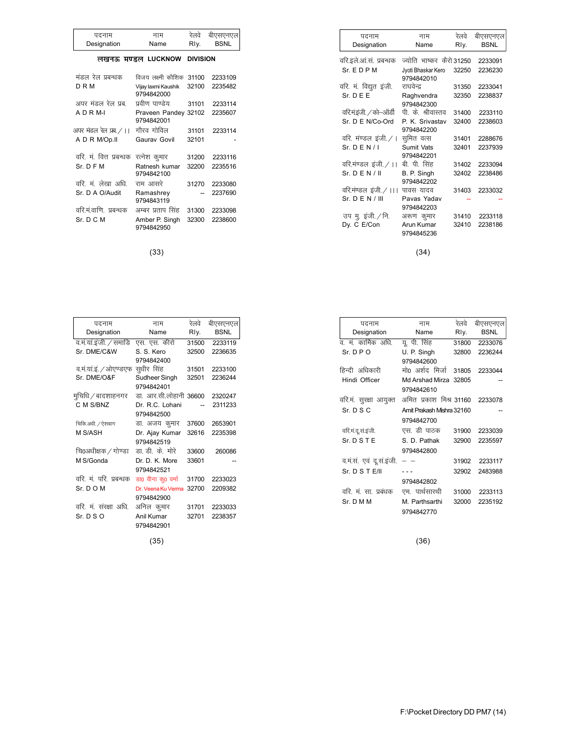| पदनाम       | नाम   | रेलवे             | बीएसएनएल    |
|-------------|-------|-------------------|-------------|
| Designation | Name. | RI <sub>V</sub> . | <b>BSNI</b> |

#### लखनऊ मण्डल LUCKNOW DIVISION

| मंडल रेल प्रबन्धक       | विजय लक्ष्मी कौशिक                | 31100 | 2233109 |
|-------------------------|-----------------------------------|-------|---------|
| D R M                   | Vijay laxmi Kaushik<br>9794842000 | 32100 | 2235482 |
| अपर मंडल रेल प्रब.      | प्रवीण पाण्डेय                    | 31101 | 2233114 |
| A D R M-I               | Praveen Pandey<br>9794842001      | 32102 | 2235607 |
| अपर मंडल रेल प्रब. / ।। | गौरव गोविल                        | 31101 | 2233114 |
| A D R M/Op.II           | Gauray Govil                      | 32101 |         |
|                         |                                   |       |         |
| वरि. मं. वित्त प्रबन्धक | रत्नेश कुमार                      | 31200 | 2233116 |
| Sr. D F M               | Ratnesh kumar<br>9794842100       | 32200 | 2235516 |
| वरि मं लेखा अधि         | राम आसरे                          | 31270 | 2233080 |
| Sr. D A O/Audit         | Ramashrey<br>9794843119           |       | 2237690 |
| वरि मं वाणि प्रबन्धक    | अम्बर प्रताप सिंह                 | 31300 | 2233098 |
| Sr. D C M               | Amber P. Singh<br>9794842950      | 32300 | 2238600 |

| पदनाम                            | नाम                              | रेलवे | बीएसएनएल    |
|----------------------------------|----------------------------------|-------|-------------|
| Designation                      | Name                             | Rly.  | <b>BSNL</b> |
| वरि.इले.आं.सं. प्रबन्धक          | ज्योति भाष्कर कैरो 31250         |       | 2233091     |
|                                  |                                  |       |             |
| Sr. E D P M                      | Jyoti Bhaskar Kero<br>9794842010 | 32250 | 2236230     |
| वरि. मं. विद्युत इंजी.           | राघवेन्द्र                       | 31350 | 2233041     |
| Sr. D E E                        | Raghvendra                       | 32350 | 2238837     |
|                                  | 9794842300                       |       |             |
| वरिमंइंजी ∕को–ऑर्डी              | पी. के. श्रीवास्तव               | 31400 | 2233110     |
| Sr. D E N/Co-Ord                 | P. K. Srivastav                  | 32400 | 2238603     |
|                                  | 9794842200                       |       |             |
| वरि. मंण्डल इंजी. ∕ ।            | समित वत्स                        | 31401 | 2288676     |
| Sr. D E N / I                    | Sumit Vats                       | 32401 | 2237939     |
|                                  | 9794842201                       |       |             |
| वरि.मंण्डल इंजी. ∕ ।।            | बी. पी. सिंह                     | 31402 | 2233094     |
| Sr. D. E. N / II                 | B. P. Singh                      | 32402 | 2238486     |
|                                  | 9794842202                       |       |             |
| वरि.मंण्डल इंजी. / ।।। पावस यादव |                                  | 31403 | 2233032     |
| Sr. D. E. N. / III               | Pavas Yadav                      |       |             |
|                                  | 9794842203                       |       |             |
| उप मृ. इंजी. / नि.               | अरूण कुमार                       | 31410 | 2233118     |
| Dy. C E/Con                      | Arun Kumar                       | 32410 | 2238186     |
|                                  | 9794845236                       |       |             |
|                                  |                                  |       |             |

 $(33)$   $(34)$ 

| पदनाम                  | नाम                    | रेलवे | बीएसएनएल    |
|------------------------|------------------------|-------|-------------|
| Designation            | Name                   | Rly.  | <b>BSNL</b> |
| व.म.या.इजी. / समाडि    | एस. एस. कीरो           | 31500 | 2233119     |
| Sr. DME/C&W            | S S Kero               | 32500 | 2236635     |
|                        | 9794842400             |       |             |
| व.मं.यां.इ. / ओएण्डएफ  | सधीर सिंह              | 31501 | 2233100     |
| Sr. DME/O&F            | Sudheer Singh          | 32501 | 2236244     |
|                        | 9794842401             |       |             |
| र्माचेधि / बादशाहनगर   | डा. आर.सी.लोहानी 36600 |       | 2320247     |
| C M S/BNZ              | Dr. R.C. Lohani        |       | 2311233     |
|                        | 9794842500             |       |             |
| चिकि.अधी. / ऐशबाग      | डा. अजय कुमार          | 37600 | 2653901     |
| M S/ASH                | Dr. Ajay Kumar         | 32616 | 2235398     |
|                        | 9794842519             |       |             |
| चि0अधीक्षक / गोण्डा    | डा डी. के. मोरे        | 33600 | 260086      |
| M S/Gonda              | Dr. D. K. More         | 33601 |             |
|                        | 9794842521             |       |             |
| वरि. मं. परि. प्रबन्धक | डा0 वीना कू0 वर्मा     | 31700 | 2233023     |
| Sr. DOM                | Dr. Veena Ku Verma     | 32700 | 2209382     |
|                        | 9794842900             |       |             |
| वरि. मं. संरक्षा अधि.  | अनिल कुमार             | 31701 | 2233033     |
| Sr. D S O              | Anil Kumar             | 32701 | 2238357     |
|                        | 9794842901             |       |             |

 $(35)$  (35)

पदनाम Designation नाम Name रेलवे बीएसएनएल Rly. BSNL o- ea- dkfedZ vf/k- ;w- ih- flag 31800 2233076 32800 2236244 9794842600 fgUnh vf/kdkjh eks0 v'kZn fetkZ 31805 2233044 Md Arshad Mirza 32805 --9794842610 वरि.मं. सुरक्षा आयुक्त अमित प्रकाश मिश्र 31160 2233078 Sr. D S C Amit Prakash Mishra 32160 --9794842700 वरि.मं.दू.सं.इंजी. एस. डी पाठक 31900 2233039 Sr. D S T E S. D. Pathak 32900 2235597 9794842800 व.मं.सं. एवं दू.सं.इंजी.  $-$  31902 2233117 Sr. D S T E/II --- 32902 2483988 9794842802 ofj- ea- lk- izca/kd ,e- ikFkZlkjFkh 31000 2233113 32000 2235192 9794842770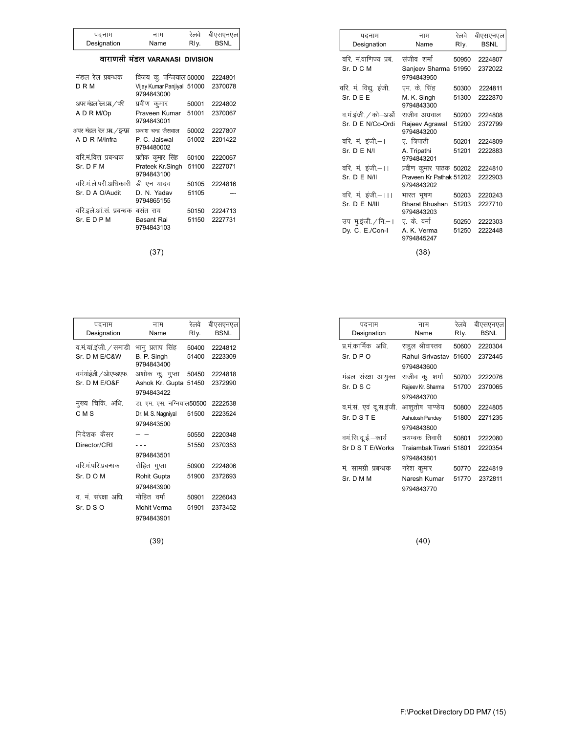| पटनाम       | नाम   | रेलवे           | बीएसएनएल    |
|-------------|-------|-----------------|-------------|
| Designation | Name. | RI <sub>v</sub> | <b>BSNL</b> |

#### वाराणसी मंडल VARANASI DIVISION

| मंडल रेल प्रबन्धक<br>DRM    | विजय क्. पन्जियाल 50000<br>Vijay Kumar Panjiyal 51000<br>9794843000 |       | 2224801<br>2370078 |
|-----------------------------|---------------------------------------------------------------------|-------|--------------------|
| अपर मंडल रेल प्रव / परि     | प्रवीण कुमार                                                        | 50001 | 2224802            |
| A D R M/Op                  | Praveen Kumar<br>9794843001                                         | 51001 | 2370067            |
| अपर मंडल रेल प्रब / इन्फ्रा | प्रकाश चन्द्र जैसवाल                                                | 50002 | 2227807            |
| A D R M/Infra               | P. C. Jaiswal<br>9794480002                                         | 51002 | 2201422            |
| वरि.मं.वित्त प्रबन्धक       | प्रतीक कुमार सिंह                                                   | 50100 | 2220067            |
| Sr. D F M                   | Prateek Kr.Singh<br>9794843100                                      | 51100 | 2227071            |
| वरि मं ले परी अधिकारी       | डी एन यादव                                                          | 50105 | 2224816            |
| Sr. D A O/Audit             | D. N. Yadav<br>9794865155                                           | 51105 |                    |
| वरि.इले.आं.सं. प्रबन्धक     | बसंत राय                                                            | 50150 | 2224713            |
| Sr. E D P M                 | Basant Rai<br>9794843103                                            | 51150 | 2227731            |

|                                   | बीएसएनएल<br><b>BSNL</b> |
|-----------------------------------|-------------------------|
| /ARANASI DIVISION                 |                         |
|                                   |                         |
| 2224801                           |                         |
| 2370078<br>वरि. मं. विद्यू. इंजी. |                         |
| Sr. D E E                         |                         |
| 2224802                           |                         |
| 2370067<br>व.मं.इंजी. / को–अर्डो  |                         |
| Sr. D E N/Co-Ordi                 |                         |
| 2227807<br>2201422                |                         |
| वरि. मं. इंजी.–।                  |                         |
| Sr. D E N/I<br>2220067            |                         |
| 2227071<br>वरि. मं. इंजी.– ।।     |                         |
| Sr. D E N/II                      |                         |
| 2224816                           |                         |
| वरि. मं. इंजी.– ।।।               |                         |
| Sr. D E N/III                     |                         |
| 2224713                           |                         |
| 2227731<br>उप मु.इंजी. / नि.–।    |                         |
| Dy. C. E./Con-I                   |                         |
|                                   |                         |

पदनाम Designation नाम Name रेलवे Rly. बीएसएनएल BSNL व.मं.यां.इंजी. / समाडी भानु प्रताप सिंह 50400 2224812<br>Sr. D M E/C&W B. P. Singh 51400 2223309 Sr. D M E/C&W B. P. Singh 51400 2223309 9794843400 वमंयांइंजी./ओएण्डएफ. अशोक कु. गुप्ता 50450 2224818 Sr. D M E/O&F Ashok Kr. Gupta 51450 2372990 9794843422 मुख्य चिकि. अधि. ज. एम. एस. नग्नियाल50500 2222538 C M S Dr. M. S. Nagniyal 51500 2223524 9794843500 निदेशक कैंसर  $-$  50550 2220348 Director/CRI - - - 51550 2370353 9794843501 वरि.म.परि.प्रबन्धक रोहित गुप्ता 50900 2224806 Sr. D O M Rohit Gupta 51900 2372693 9794843900 व. मं. संरक्षा अधि. मोहित वर्मा 50901 2226043 Sr. D S O Mohit Verma 51901 2373452 9794843901

| पदनाम<br>Designation    | नाम<br>Name       | रेलवे<br>Rly. | बीएसएनएल<br><b>BSNL</b> |
|-------------------------|-------------------|---------------|-------------------------|
|                         |                   |               |                         |
| प्र.मं.कार्मिक अधि.     | राहल श्रीवास्तव   | 50600         | 2220304                 |
| Sr. D P O               | Rahul Srivastav   | 51600         | 2372445                 |
|                         | 9794843600        |               |                         |
| मंडल संरक्षा आयक्त      | राजीव क. शर्मा    | 50700         | 2222076                 |
| Sr. D S C               | Rajeev Kr. Sharma | 51700         | 2370065                 |
|                         | 9794843700        |               |                         |
| व.मं.सं. एवं दू.स.इंजी. | आशतोष पाण्डेय     | 50800         | 2224805                 |
| Sr. D S T E             | Ashutosh Pandey   | 51800         | 2271235                 |
|                         | 9794843800        |               |                         |
| वमं.सि.दू.ई.—कार्य      | त्रयम्बक तिवारी   | 50801         | 2222080                 |
| Sr D S T E/Works        | Traiambak Tiwari  | 51801         | 2220354                 |
|                         | 9794843801        |               |                         |
| मं. सामग्री प्रबन्धक    | नरेश कुमार        | 50770         | 2224819                 |
| Sr. D M M               | Naresh Kumar      | 51770         | 2372811                 |
|                         | 9794843770        |               |                         |
|                         |                   |               |                         |

 $(39)$   $(40)$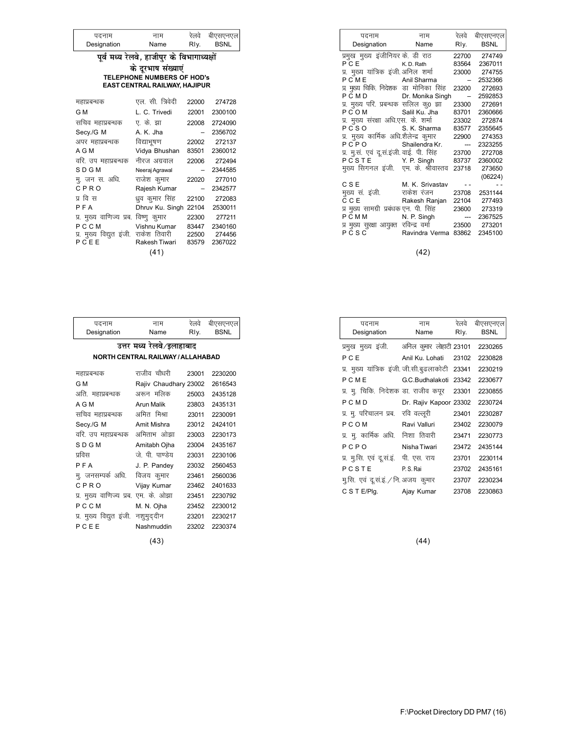| पटनाम       |      | रेलवे             | बीएसएनएल    |
|-------------|------|-------------------|-------------|
| Designation | Name | RI <sub>V</sub> . | <b>BSNI</b> |

 $\sqrt{ }$ 

पूर्व मध्य रेलवे, हाजीपुर के विभागाध्यक्षों TELEPHONE NUMBERS OF HOD's EAST CENTRAL RAILWAY, HAJIPUR

|                                                                                                                  |                                                                                                   |       |                                       | PUMD DIMMONIK                                                                                                                                                                                      |                       |
|------------------------------------------------------------------------------------------------------------------|---------------------------------------------------------------------------------------------------|-------|---------------------------------------|----------------------------------------------------------------------------------------------------------------------------------------------------------------------------------------------------|-----------------------|
| महाप्रबन्धक                                                                                                      | एल. सी. त्रिवेदी                                                                                  |       | 22000 274728                          | प्र. मुख्य परि. प्रबन्धक सलिल कु                                                                                                                                                                   |                       |
| G M                                                                                                              | L. C. Trivedi                                                                                     |       | 22001 2300100                         | PCOM Salil Ku.                                                                                                                                                                                     |                       |
| सचिव महाप्रबन्धक ए. के. झा 22008 2724090<br>Secy./G M<br>अपर महाप्रबन्धक<br>A G M<br>वरि. उप महाप्रबन्धक<br>SDGM | A. K. Jha<br>विद्याभूषण<br>Vidya Bhushan<br>नीरज अग्रवाल 22006 272494<br>Neeraj Agrawal - 2344585 | 22002 | $-2356702$<br>272137<br>83501 2360012 | प्र. मुख्य संरक्षा अधि.एस. के. शम<br>PCSO S.K. Sha<br>प्र. मुख्य कार्मिक अधि.शैलेन्द्र कुम<br>PCPO<br>प्र. मु.सं. एवं दू.सं.इंजी वाई. पी. नि<br>PCSTE Y. P. Sing<br>मुख्य सिगनल इंजी. एम. के. श्री | Shailendra            |
| मु. जन स. अधि.     राजेश कुमार      22020<br>CPRO<br>प्रविस ध्रुवकुमार सिंह 22100 272083<br>PFA                  | Rajesh Kumar - 2342577<br>Dhruv Ku. Singh 22104 2530011                                           |       | 277010                                | C S E<br>मुख्य सं. इंजी.       राकेश रंज<br>C C E<br>प्र मुख्य सामग्री प्रबंधक एन. पी. सि                                                                                                          | M. K. Sri<br>Rakesh R |
|                                                                                                                  |                                                                                                   |       | 277211                                | PCMM<br>प्र मुख्य सुरक्षा आयुक्त  रविन्द्र वर्मा                                                                                                                                                   | N. P. Sing            |
| <b>PCCM</b><br><b>PCEE</b>                                                                                       | Vishnu Kumar<br>Rakesh Tiwari                                                                     | 83447 | 2340160<br>274456<br>83579 2367022    | <b>PCSC</b>                                                                                                                                                                                        | Ravindra              |
|                                                                                                                  | (41)                                                                                              |       |                                       |                                                                                                                                                                                                    | (42)                  |

| पदनाम                                                                       | नाम             | रेलवे         | बीएसएनएल    |
|-----------------------------------------------------------------------------|-----------------|---------------|-------------|
| Designation                                                                 | Name            | RIy.          | <b>BSNL</b> |
| प्रमुख मुख्य इंजीनियर के. डी राठ                                            |                 | 22700         | 274749      |
|                                                                             |                 | 83564         | 2367011     |
| P C E $\overline{ }$ K. D. Rath<br>प्र.  मुख्य  यांत्रिक  इंजी. अनिल  शर्मा |                 | 23000         | 274755      |
| PCME                                                                        | Anil Sharma     | $\sim$        | 2532366     |
| प्र मुख्य चिकि. निदेशक डा मोनिका सिंह                                       |                 | 23200         | 272693      |
| P C M D Dr. Monika Singh                                                    |                 | $\sim$ $-$    | 2592853     |
| प्र. मुख्य परि. प्रबन्धक सलिल कु0 झा                                        |                 | 23300         | 272691      |
| P C O M Salil Ku. Jha                                                       |                 | 83701         | 2360666     |
| प्र. मुख्य संरक्षा अधि.एस. के. शर्मा                                        |                 | 23302         | 272874      |
| P C S O S. K. Sharma                                                        |                 | 83577         | 2355645     |
| प्र. मुख्य कार्मिक अधि.शैलेन्द्र कुमार                                      |                 | 22900         | 274353      |
| P C P O Shailendra Kr.                                                      |                 | $\sim$ $\sim$ | 2323255     |
| प्र. मु.सं. एवं दू.सं.इंजी. वाई. पी. सिंह          23700                    |                 |               | 272708      |
| PCSTE Y.P.Singh                                                             |                 | 83737         | 2360002     |
| मुख्य सिगनल इंजी. एम. के. श्रीवास्तव                                        |                 | 23718         | 273650      |
|                                                                             |                 |               | (06224)     |
| CSE                                                                         | M. K. Srivastav |               |             |
| मुख्य सं. इंजी.<br>C C E                                                    | राकेश रंजन      | 23708         | 2531144     |
|                                                                             | Rakesh Ranjan   | 22104         | 277493      |
| प्र मुख्य सामग्री प्रबंधक एन. पी. सिंह        23600                         |                 |               | 273319      |
| P C M M                                                                     | N. P. Singh --- |               | 2367525     |
|                                                                             |                 |               | 273201      |
| PCSC                                                                        | Ravindra Verma  | 83862         | 2345100     |

|             |       | ਹੋਕਾਂ | बीएसएनएल |
|-------------|-------|-------|----------|
| Designation | Name. |       | ٦NI.     |

उत्तर मध्य रेलवे ∕इलाहाबाद NORTH CENTRAL RAILWAY / ALLAHABAD

| महाप्रबन्धक              | राजीव चौधरी           | 23001 | 2230200 |
|--------------------------|-----------------------|-------|---------|
| G M                      | Rajiv Chaudhary 23002 |       | 2616543 |
| अति. महाप्रबन्धक         | अरून मलिक             | 25003 | 2435128 |
| A G M                    | Arun Malik            | 23803 | 2435131 |
| सचिव महाप्रबन्धक         | अमित मिश्रा           | 23011 | 2230091 |
| Secy./G M                | Amit Mishra           | 23012 | 2424101 |
| वरि. उप महाप्रबन्धक      | अमिताभ ओझा            | 23003 | 2230173 |
| SDGM                     | Amitabh Ojha          | 23004 | 2435167 |
| प्रविस                   | जे. पी. पाण्डेय       | 23031 | 2230106 |
| P F A                    | J. P. Pandey          | 23032 | 2560453 |
| मु. जनसम्पर्क अधि.       | विजय कुमार            | 23461 | 2560036 |
| CPRO                     | Vijay Kumar           | 23462 | 2401633 |
| प्र. मुख्य वाणिज्य प्रब. | एम. के. ओझा           | 23451 | 2230792 |
| PCCM                     | M. N. Ojha            | 23452 | 2230012 |
| प्र. मुख्य विद्युत इंजी. | नशमददीन               | 23201 | 2230217 |
| PCEE                     | Nashmuddin            | 23202 | 2230374 |
|                          |                       |       |         |

 $(43)$  (44)

| पदनाम                                          | नाम                    | रेलवे | बीएसएनएल    |
|------------------------------------------------|------------------------|-------|-------------|
| Designation                                    | Name                   | Rly.  | <b>BSNL</b> |
| प्रमुख मुख्य इंजी. अनिल कुमार लोहाटी 23101     |                        |       | 2230265     |
| PCE                                            | Anil Ku. Lohati        | 23102 | 2230828     |
| प्र. मुख्य यांत्रिक इंजी जी.सी.बुढलाकोटी 23341 |                        |       | 2230219     |
| PCME                                           | G.C.Budhalakoti 23342  |       | 2230677     |
| प्र. मु. चिकि. निदेशक डा. राजीव कपूर           |                        | 23301 | 2230855     |
| PCMD                                           | Dr. Rajiv Kapoor 23302 |       | 2230724     |
| प्र. मृ. परिचालन प्रब.   रवि वल्लूरी           |                        | 23401 | 2230287     |
| PCOM                                           | Ravi Valluri           | 23402 | 2230079     |
| प्र. मृ. कार्मिक अधि.  निशा तिवारी             |                        | 23471 | 2230773     |
| PCPO                                           | Nisha Tiwari           | 23472 | 2435144     |
| प्र मु.सि. एवं दू.सं.इ. . पी. एस. राय          |                        | 23701 | 2230114     |
| PCSTE                                          | P.S.Rai                | 23702 | 2435161     |
| मु.सि. एवं दू.सं.इं. / नि. अजय  कुमार          |                        | 23707 | 2230234     |
| C S T E/Plg.                                   | Ajay Kumar             | 23708 | 2230863     |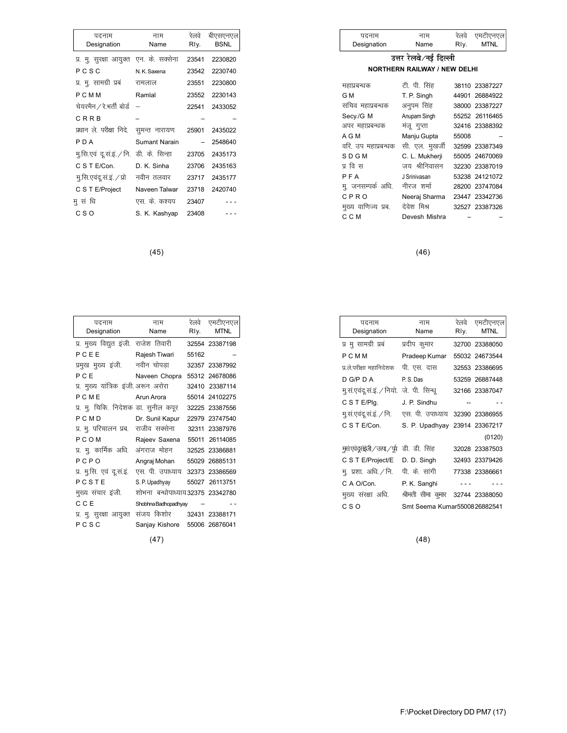| पदनाम                    | नाम                  | रेलवे | बीएसएनएल |
|--------------------------|----------------------|-------|----------|
| Designation              | Name                 | Rly.  | BSNL     |
| प्र. मृ. सुरक्षा आयुक्त  | एन. के. सक्सेना      | 23541 | 2230820  |
| PCSC                     | N. K. Saxena         | 23542 | 2230740  |
| प्र. मु. सामग्री प्रबं   | रामलाल               | 23551 | 2230800  |
| PCMM                     | Ramlal               | 23552 | 2230143  |
| चेयरमैन / रे.भर्ती बोर्ड |                      | 22541 | 2433052  |
| CRRB                     |                      |       |          |
| प्रधान ले. परीक्षा निदे. | सुमन्त नारायण        | 25901 | 2435022  |
| PDA                      | <b>Sumant Narain</b> |       | 2548640  |
| मृ.सि.एवं दू.सं.इ. / नि. | डी. के. सिन्हा       | 23705 | 2435173  |
| C S T E/Con.             | D. K. Sinha          | 23706 | 2435163  |
| म् सि.एवंद्.सं.इ. / प्रो | नवीन तलवार           | 23717 | 2435177  |
| C S T E/Project          | Naveen Talwar        | 23718 | 2420740  |
| मूसंधि                   | एस. के. कश्यप        | 23407 |          |
| C S O                    | S. K. Kashyap        | 23408 |          |

| पदनाम<br>Designation                | नाम<br><b>Name</b> | RIv. | रेलवे एमटीएनएल।<br>MTNI |  |  |
|-------------------------------------|--------------------|------|-------------------------|--|--|
| उत्तर रेलवे ∕नई दिल्ली              |                    |      |                         |  |  |
| <b>NORTHERN RAILWAY / NEW DELHI</b> |                    |      |                         |  |  |

| महाप्रबन्धक         | टी. पी. सिंह    | 38110 23387227 |  |
|---------------------|-----------------|----------------|--|
| G M                 | T. P. Singh     | 44901 26884922 |  |
| सचिव महाप्रबन्धक    | अनुपम सिंह      | 38000 23387227 |  |
| Secy./G M           | Anupam Singh    | 55252 26116465 |  |
| अपर महाप्रबन्धक     | मंज गप्ता       | 32416 23388392 |  |
| A G M               | Manju Gupta     | 55008          |  |
| वरि. उप महाप्रबन्धक | सी. एल. मुखर्जी | 32599 23387349 |  |
| SDGM                | C. L. Mukherji  | 55005 24670069 |  |
| प्र वि स            | जय श्रीनिवासन   | 32230 23387019 |  |
| PFA                 | J Srinivasan    | 53238 24121072 |  |
| म्. जनसम्पर्क अधि.  | नीरज शर्मा      | 28200 23747084 |  |
| CPRO                | Neeraj Sharma   | 23447 23342736 |  |
| मुख्य वाणिज्य प्रब. | देवेश मिश्र     | 32527 23387326 |  |
| C C M               | Devesh Mishra   |                |  |

 $(45)$  (46)

| पदनाम<br>Designation                  | नाम<br>Name                       | रेलवे<br>Rly. | एमटीएनएल<br><b>MTNL</b> |
|---------------------------------------|-----------------------------------|---------------|-------------------------|
| प्र म् सामग्री प्रबं                  | प्रदीप कुमार                      |               | 32700 23388050          |
| PCMM                                  | Pradeep Kumar                     |               | 55032 24673544          |
| प्र.ले.परीक्षा महानिदेशक              | पी. एस. दास                       |               | 32553 23386695          |
| $D$ G/P $D$ A                         | P.S.Das                           |               | 53259 26887448          |
| म.स.एवंद.स.इ. / नियो.  जे. पी. सिन्धू |                                   |               | 32166 23387047          |
| C S T E/Plg.                          | J. P. Sindhu                      |               |                         |
| म स.एवंदू.स.इ. / नि.                  | एस. पी. उपाध्याय  32390  23386955 |               |                         |
| C S T E/Con.                          | S. P. Upadhyay 23914 23367217     |               |                         |
|                                       |                                   |               | (0120)                  |
| मुसंएवंदुसंईजी/उत्पा/फूं              | डी. डी. सिंह                      |               | 32028 23387503          |
| C S T E/Project/E                     | D. D. Singh                       |               | 32493 23379426          |
| म्. प्रशा. अधि./नि.                   | पी. के. सांगी                     |               | 77338 23386661          |
| C A O/Con.                            | P. K. Sanghi                      |               |                         |
| मुख्य संरक्षा अधि.                    | श्रीमती सीमा कुमार 32744 23388050 |               |                         |
| C S O                                 | Smt Seema Kumar5500826882541      |               |                         |

 $(47)$  (48)

| पदनाम                                 | नाम                               |       | रेलवे एमटीएनएल |
|---------------------------------------|-----------------------------------|-------|----------------|
| Designation                           | Name                              | Rly.  | <b>MTNL</b>    |
| प्र. मुख्य विद्युत इंजी. राजेश तिवारी |                                   |       | 32554 23387198 |
| PCEE                                  | Rajesh Tiwari                     | 55162 |                |
| प्रमुख मुख्य इंजी.    नवीन चोपड़ा     |                                   |       | 32357 23387992 |
| PCE                                   | Naveen Chopra                     |       | 55312 24678086 |
| प्र. मुख्य यांत्रिक इंजी अरून अरोरा   |                                   |       | 32410 23387114 |
| PCME                                  | Arun Arora                        |       | 55014 24102275 |
| प्र. मू. चिकि. निदेशक डा. सुनील कपूर  |                                   |       | 32225 23387556 |
| PCMD                                  | Dr. Sunil Kapur                   |       | 22979 23747540 |
| प्र. मृ. परिचालन प्रब.  राजीव सक्सेना |                                   |       | 32311 23387976 |
| PCOM                                  | Rajeev Saxena                     |       | 55011 26114085 |
| प्र. म्. कार्मिक अधि.                 | अंगराज मोहन                       |       | 32525 23386881 |
| $P$ C $P$ O                           | Angraj Mohan                      |       | 55029 26885131 |
| प्र. मृ.सि. एवं दू.सं.इ.              | एस. पी. उपाध्याय                  |       | 32373 23386569 |
| PCSTE                                 | S. P. Upadhyay                    |       | 55027 26113751 |
| मुख्य संचार इंजी.                     | शोभना बन्धोपाध्याय 32375 23342780 |       |                |
| C C E                                 | Shobhna Badhopadhyay              |       |                |
| प्र. मु. सुरक्षा आयुक्त               | संजय किशोर 32431 23388171         |       |                |
| PCSC                                  | Sanjay Kishore 55006 26876041     |       |                |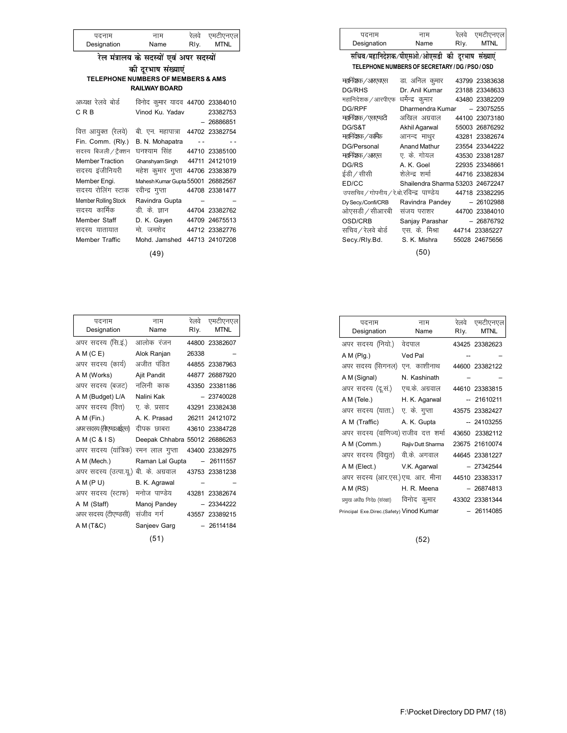| पटनाम       | नाम  |                   | रेलवे एमटीएनएल |
|-------------|------|-------------------|----------------|
| Designation | Name | RI <sub>V</sub> . | <b>MTNL</b>    |

# रेल मंत्रालय के सदस्यों एवं अपर सदस्यों की दूरभाष संख्याएं<br>TELEPHONE NUMBERS OF MEMBERS & AMS RAILWAY BOARD

| अध्यक्ष रेलवे बोर्ड    | विनोद कुमार यादव 44700 23384010   |                          |                |
|------------------------|-----------------------------------|--------------------------|----------------|
| CRB                    | Vinod Ku. Yadav                   |                          | 23382753       |
|                        |                                   |                          | $-26886851$    |
| वित्त आयुक्त (रेलवे)   | बी. एन. महापात्रा                 |                          | 44702 23382754 |
| Fin. Comm. (Rly.)      | B. N. Mohapatra                   | $\overline{\phantom{a}}$ |                |
| सदस्य बिजली / ट्रैक्शन | घनश्याम सिंह                      |                          | 44710 23385100 |
| <b>Member Traction</b> | Ghanshyam Singh 44711 24121019    |                          |                |
| सदस्य इंजीनियरी        | महेश कुमार गुप्ता                 |                          | 44706 23383879 |
|                        |                                   |                          |                |
| Member Engi.           | Mahesh Kumar Gupta 55001 26882567 |                          |                |
| सदस्य रोलिंग स्टाक     | रवीन्द्र गुप्ता                   |                          | 44708 23381477 |
| Member Rolling Stock   | Ravindra Gupta                    |                          |                |
| सदस्य कार्मिक          | डी. के. ज्ञान                     |                          | 44704 23382762 |
| Member Staff           | D. K. Gayen                       |                          | 44709 24675513 |
| सदस्य यातायात          | मो. जमशेद                         |                          | 44712 23382776 |
| Member Traffic         | Mohd. Jamshed                     |                          | 44713 24107208 |

(49)

| पदनाम<br>Designation                  | नाम<br>Name                   | RIv.  | रेलवे एमटीएनएल<br><b>MTNL</b> |
|---------------------------------------|-------------------------------|-------|-------------------------------|
| अपर सदस्य (सि.इ.)                     | आलोक रंजन                     |       | 44800 23382607                |
| A M (C E)                             | Alok Ranjan                   | 26338 |                               |
| अपर सदस्य (कार्य)                     | अजीत पंडित                    |       | 44855 23387963                |
| A M (Works)                           | Ajit Pandit                   |       | 44877 26887920                |
| अपर सदस्य (बजट)                       | नलिनी काक                     |       | 43350 23381186                |
| A M (Budget) L/A                      | Nalini Kak                    |       | $-23740028$                   |
| अपर सदस्य (वित्त)                     | ए. के. प्रसाद                 |       | 43291 23382438                |
| A M (Fin.)                            | A. K. Prasad                  |       | 26211 24121072                |
| अफरसदस्य (सीएण्डअर्ड्स्स) दीपक छाबरा  |                               |       | 43610 23384728                |
| A M (C & I S)                         | Deepak Chhabra 55012 26886263 |       |                               |
| अपर सदस्य (यांत्रिक) रमन लाल गुप्ता   |                               |       | 43400 23382975                |
| A M (Mech.)                           | Raman Lal Gupta               |       | $-26111557$                   |
| अपर सदस्य (उत्पा.यू.) बी. के. अग्रवाल |                               |       | 43753 23381238                |
| A M (P U)                             | B. K. Agrawal                 |       |                               |
| अपर सदस्य (स्टाफ)  मनोज पाण्डेय       |                               |       | 43281 23382674                |
| A M (Staff)                           | Manoj Pandey                  |       | $-23344222$                   |
| अपर सदस्य (टीएण्डसी)  संजीव गर्ग      |                               |       | 43557 23389215                |
| A M (T&C)                             | Sanjeev Garg                  |       | $-26114184$                   |
|                                       | (51)                          |       |                               |

| पदनाम                                         | नाम                                             | रेलवे | एमटीएनएल       |
|-----------------------------------------------|-------------------------------------------------|-------|----------------|
| Designation                                   | Name                                            | Rly.  | <b>MTNL</b>    |
| सचिव/महानिदेशक/पीएसओ/ओएसडी की दूरभाष संख्याएं |                                                 |       |                |
|                                               | TELEPHONE NUMBERS OF SECRETARY / DG / PSO / OSD |       |                |
| महनिदेशक /आरएचएस                              | डा. अनिल कुमार                                  |       | 43799 23383638 |
| DG/RHS                                        | Dr. Anil Kumar                                  |       | 23188 23348633 |
| महानिदेशक / आरपीएफ                            | धर्मेन्द्र कुमार                                |       | 43480 23382209 |
| DG/RPF                                        | Dharmendra Kumar                                |       | $-23075255$    |
| महानिदेशक / एसएण्डटी                          | अखिल अग्रवाल                                    |       | 44100 23073180 |
| DG/S&T                                        | Akhil Agarwal                                   |       | 55003 26876292 |
| महानिदेशक / कामिक                             | आनन्द माथूर                                     |       | 43281 23382674 |
| DG/Personal                                   | Anand Mathur                                    |       | 23554 23344222 |
| महानिदेशक / आरएस                              | ए. के. गोयल                                     |       | 43530 23381287 |
| DG/RS                                         | A. K. Goel                                      |       | 22935 23348661 |
| ईडी / सीसी                                    | शेलेन्द्र शर्मा                                 |       | 44716 23382834 |
| ED/CC                                         | Shailendra Sharma 53203 24672247                |       |                |
| उपसचिव ∕ गोपनीय ∕ रे.बो.रविन्द्र  पाण्डेय     |                                                 |       | 44718 23382295 |
| Dy Secy./Confi/CRB                            | Ravindra Pandey                                 |       | $-26102988$    |
|                                               | ओएसडी ⁄ सीआरबी    संजय  पराशर                   |       | 44700 23384010 |

Secy./Rly.Bd. S. K. Mishra 55028 24675656 (50)

OSD/CRB Sanjay Parashar – 26876792 सचिव $\sqrt{3}$ लवे बोर्ड एस. के. मिश्रा 44714 23385227

| पदनाम<br>Designation                     | नाम<br>Name       | रेलवे<br>RIy. | एमटीएनएल<br><b>MTNL</b> |
|------------------------------------------|-------------------|---------------|-------------------------|
| अपर सदस्य (नियो.)                        | वेदपाल            |               | 43425 23382623          |
| A M (PIg.)                               | Ved Pal           |               |                         |
| अपर सदस्य (सिगनल)                        | एन. काशीनाथ       |               | 44600 23382122          |
| A M (Signal)                             | N. Kashinath      |               |                         |
| अपर सदस्य (दू.सं.)                       | एच.के. अग्रवाल    |               | 44610 23383815          |
| A M (Tele.)                              | H. K. Agarwal     |               | $-21610211$             |
| अपर सदस्य (याता.)                        | ए. के. गुप्ता     |               | 43575 23382427          |
| A M (Traffic)                            | A. K. Gupta       |               | $-24103255$             |
| अपर सदस्य (वाणिज्य) राजीव दत्त शर्मा     |                   |               | 43650 23382112          |
| A M (Comm.)                              | Rajiv Dutt Sharma |               | 23675 21610074          |
| अपर सदस्य (विद्युत)                      | वी.के. अगवाल      |               | 44645 23381227          |
| A M (Elect.)                             | V.K. Agarwal      |               | $-27342544$             |
| अपर सदस्य (आर.एस.)एच. आर. मीना           |                   |               | 44510 23383317          |
| A M (RS)                                 | H. R. Meena       |               | $-26874813$             |
| प्रमुख अधी0 निदे0 (संरक्षा)              | विनोद कुमार       |               | 43302 23381344          |
| Principal Exe.Direc.(Safety) Vinod Kumar |                   |               | $-26114085$             |

(52)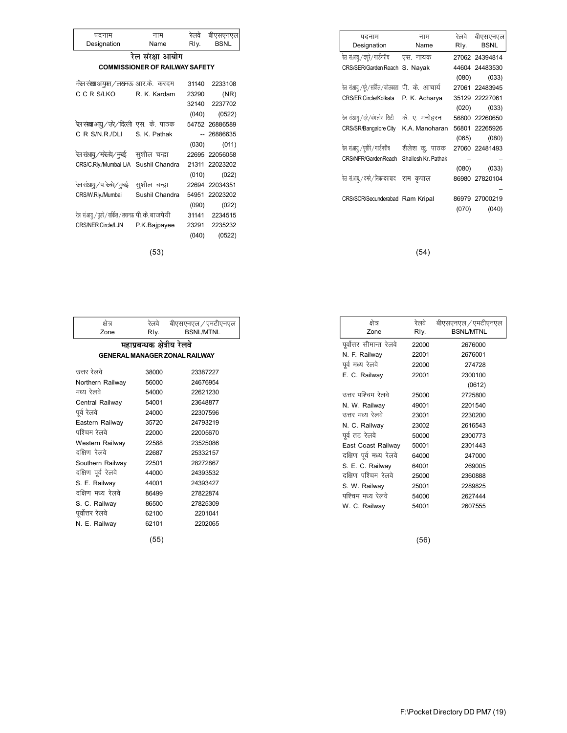| पदनाम<br>Designation                           | नाम<br>Name         | RI <sub>V</sub> . | रेलवे बीएसएनएल<br><b>BSNL</b> |
|------------------------------------------------|---------------------|-------------------|-------------------------------|
| रेल संआयु./दपूरे/गार्डेनरीच एस. नायक           |                     |                   | 27062 24394814                |
| CRS/SER/Garden Reach S. Nayak                  |                     |                   | 44604 24483530                |
|                                                |                     | (080)             | (033)                         |
| रेल संआय् /फ़्रे/सर्किल/कोलकाता पी. के. आचार्य |                     |                   | 27061 22483945                |
| CRS/ER Circle/Kolkata P. K. Acharya            |                     |                   | 35129 22227061                |
|                                                |                     | (020)             | (033)                         |
| रेल संआयु./दरे/बंगलोर सिटी                     | के. ए. मनोहरन       |                   | 56800 22260650                |
| CRS/SR/Bangalore City                          | K.A. Manoharan      |                   | 56801 22265926                |
|                                                |                     | (065)             | (080)                         |
| रेल संआय् / पूसीरे / गार्डेनरीच                | शैलेश क. पाठक       |                   | 27060 22481493                |
| CRS/NFR/GardenReach                            | Shailesh Kr. Pathak |                   |                               |
|                                                |                     | (080)             | (033)                         |
| रेल संआय् / दमरे / सिकन्दराबाद राम कृपाल       |                     |                   | 86980 27820104                |
|                                                |                     |                   |                               |
| CRS/SCR/Secunderabad Ram Kripal                |                     |                   | 86979 27000219                |
|                                                |                     | (070)             | (040)                         |

(54)

| क्षेत्र                              | रेलवे             | बीएसएनएल ⁄ एमटीएनएल |  |  |  |
|--------------------------------------|-------------------|---------------------|--|--|--|
| Zone                                 | RI <sub>V</sub> . | <b>BSNL/MTNL</b>    |  |  |  |
| महाप्रबन्धक क्षेत्रीय रेलवे          |                   |                     |  |  |  |
| <b>GENERAL MANAGER ZONAL RAILWAY</b> |                   |                     |  |  |  |
| उत्तर रेलवे                          | 38000             | 23387227            |  |  |  |
| Northern Railway                     | 56000             | 24676954            |  |  |  |
| मध्य रेलवे                           | 54000             | 22621230            |  |  |  |
| Central Railway                      | 54001             | 23648877            |  |  |  |
| पर्व रेलवे                           | 24000             | 22307596            |  |  |  |

Eastern Railway 35720 24793219 if'pe jsyos 22000 22005670 Western Railway 22588 23525086 nf{k.k j syos 22687 25332157

nf{k.k iwoZ jsyos 44000 24393532 S. E. Railway 44001 24393427 दक्षिण मध्य रेलवे 86499 27822874 S. C. Railway 86500 27825309 iwoksZÙkj j syos 62100 2201041 N. E. Railway 62101 2202065

(55)

Southern Railway

पदनाम Designation

CRS/NER Circle/LJN

नाम Name

COMMISSIONER OF RAILWAY SAFETY  $\frac{1}{2}$ मेल रसंक्ष आयुगत / लखनऊ आर.के. करदम 31140 2233108 C C R S/LKO R. K. Kardam 23290 (NR)

रेल संरक्षा आयोग

रेल रसंक्षा आयु/उरे/दिल्ली एस. के. पाठक 54752 26886589 C R S/N.R./DLI S. K. Pathak -- 26886635

रेल संआयु/मरेलवे/मुंबई सुशील चन्द्रा 22695 22056058 CRS/C.Rly./Mumbai L/A Sushil Chandra 21311 22023202

रेल संअप्यु/प रेलवे/मुंबई सुशील चन्द्रा 22694 22034351 CRS/W.Rly./Mumbai Sushil Chandra 54951 22023202

jsy l-avk;q-@iwmj@s lfdZy@y[kuÅ ih-d s-cktis;h 31141 2234515

(53)

रेलवे Rly.

बीएसएनएल BSNL

32140 2237702 (040) (0522)

(030) (011)

(010) (022)

(090) (022)

(040) (0522)

| क्षेत्र<br>Zone          | रेलवे<br>Rly. | बीएसएनएल ⁄ एमटीएनएल<br><b>BSNL/MTNL</b> |
|--------------------------|---------------|-----------------------------------------|
| पूर्वोत्तर सीमान्त रेलवे | 22000         | 2676000                                 |
| N. F. Railway            | 22001         | 2676001                                 |
| पूर्व मध्य रेलवे         | 22000         | 274728                                  |
| E. C. Railway            | 22001         | 2300100                                 |
|                          |               | (0612)                                  |
| उत्तर पश्चिम रेलवे       | 25000         | 2725800                                 |
| N. W. Railway            | 49001         | 2201540                                 |
| उत्तर मध्य रेलवे         | 23001         | 2230200                                 |
| N. C. Railway            | 23002         | 2616543                                 |
| पूर्व तट रेलवे           | 50000         | 2300773                                 |
| East Coast Railway       | 50001         | 2301443                                 |
| दक्षिण पूर्व मध्य रेलवे  | 64000         | 247000                                  |
| S. E. C. Railway         | 64001         | 269005                                  |
| दक्षिण पश्चिम रेलवे      | 25000         | 2360888                                 |
| S. W. Railway            | 25001         | 2289825                                 |
| पश्चिम मध्य रेलवे        | 54000         | 2627444                                 |
| W. C. Railway            | 54001         | 2607555                                 |
|                          |               |                                         |

(56)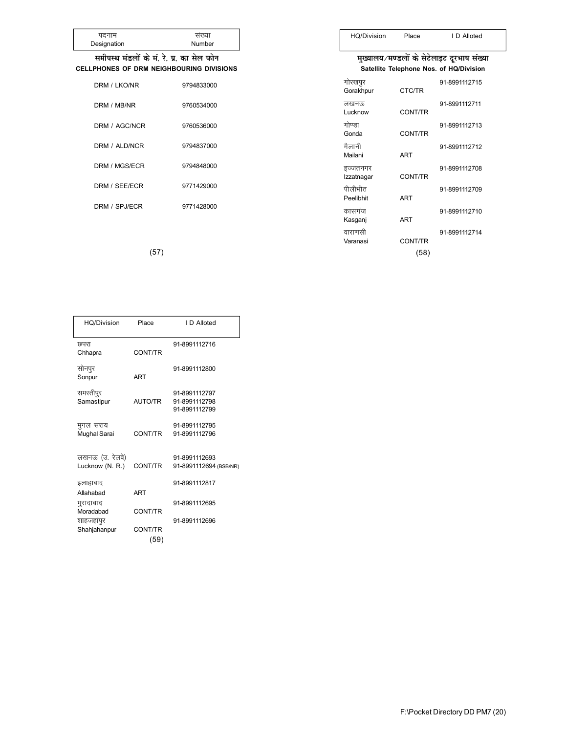| पदनाम       | सरव्या |
|-------------|--------|
| Designation | Number |

#### समीपस्थ मंडलों के मं. रे. प्र. का सेल फोन CELLPHONES OF DRM NEIGHBOURING DIVISIONS

| DRM / LKO/NR   | 9794833000 |
|----------------|------------|
| DRM / MB/NR    | 9760534000 |
| DRM / AGC/NCR  | 9760536000 |
| DRM / ALD/NCR  | 9794837000 |
| DRM / MGS/FCR  | 9794848000 |
| DRM / SFF/FCR  | 9771429000 |
| DRM / SP.I/FCR | 9771428000 |
|                |            |

(57)

#### \_<br>मुख्यालय∕मण्डलों के सेटेलाइट दूरभाष संख्या Satellite Telephone Nos. of HQ/Division

| गोरखपुर<br>Gorakhpur   | CTC/TR          | 91-8991112715 |
|------------------------|-----------------|---------------|
| लखनऊ<br>Lucknow        | CONT/TR         | 91-8991112711 |
| गोण्डा<br>Gonda        | CONT/TR         | 91-8991112713 |
| मैलानी<br>Mailani      | <b>ART</b>      | 91-8991112712 |
| इज्जतनगर<br>Izzatnagar | CONT/TR         | 91-8991112708 |
| पीलीभीत<br>Peelibhit   | <b>ART</b>      | 91-8991112709 |
| कासगंज<br>Kasganj      | ART             | 91-8991112710 |
| वाराणसी<br>Varanasi    | CONT/TR<br>(58) | 91-8991112714 |

| <b>HQ/Division</b>                 | Place           | I D Alloted                                     |
|------------------------------------|-----------------|-------------------------------------------------|
| छपरा<br>Chhapra                    | CONT/TR         | 91-8991112716                                   |
| सोनपुर<br>Sonpur                   | <b>ART</b>      | 91-8991112800                                   |
| समस्तीपुर<br>Samastipur            | <b>AUTO/TR</b>  | 91-8991112797<br>91-8991112798<br>91-8991112799 |
| मगल सराय<br>Mughal Sarai           | CONT/TR         | 91-8991112795<br>91-8991112796                  |
| लखनऊ (उ. रेलवे)<br>Lucknow (N. R.) | CONT/TR         | 91-8991112693<br>91-8991112694 (BSB/NR)         |
| इलाहाबाद<br>Allahabad              | <b>ART</b>      | 91-8991112817                                   |
| मुरादाबाद<br>Moradabad             | CONT/TR         | 91-8991112695                                   |
| शाहजहांपुर<br>Shahjahanpur         | CONT/TR<br>(59) | 91-8991112696                                   |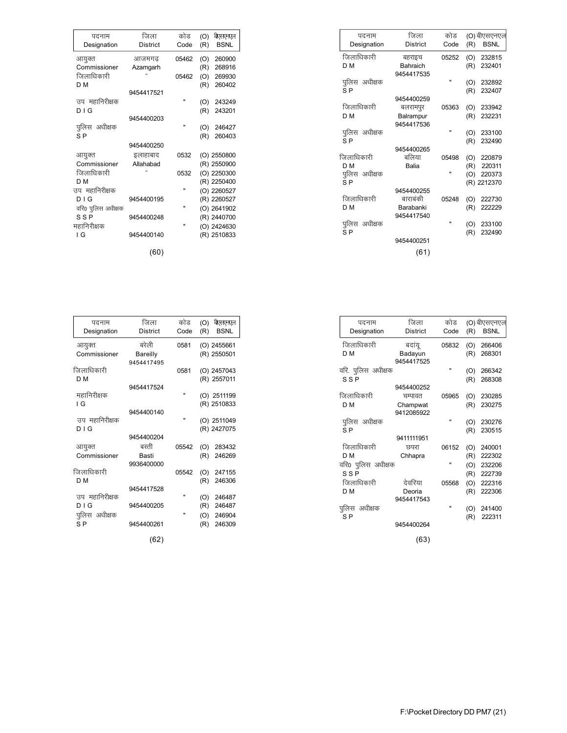| पदनाम              | जिला            | कोड          | (O) | बेख्सम्बल   |
|--------------------|-----------------|--------------|-----|-------------|
| Designation        | <b>District</b> | Code         | (R) | <b>BSNL</b> |
| आयुक्त             | आजमगढ           | 05462        | (O) | 260900      |
| Commissioner       | Azamgarh        |              | (R) | 268916      |
| जिलाधिकारी         |                 | 05462        |     | 269930      |
| D <sub>M</sub>     |                 |              | (O) | 260402      |
|                    | 9454417521      |              | (R) |             |
| उप महानिरीक्षक     |                 |              | (O) | 243249      |
| $D$   G            |                 |              | (R) | 243201      |
|                    | 9454400203      |              |     |             |
| पुलिस अधीक्षक      |                 | "            | (O) | 246427      |
| S <sub>P</sub>     |                 |              | (R) | 260403      |
|                    | 9454400250      |              |     |             |
|                    |                 |              |     |             |
| आयुक्त             | इलाहाबाद        | 0532         |     | (O) 2550800 |
| Commissioner       | Allahabad       |              |     | (R) 2550900 |
| जिलाधिकारी         | $\overline{a}$  | 0532         |     | (O) 2250300 |
| D <sub>M</sub>     |                 |              |     | (R) 2250400 |
| उप महानिरीक्षक     |                 | Ħ            |     | (O) 2260527 |
| D   G              | 9454400195      |              |     | (R) 2260527 |
| वरि0 पुलिस अधीक्षक |                 | $\mathbf{u}$ |     | (O) 2641902 |
| SSP                | 9454400248      |              |     | (R) 2440700 |
| महानिरीक्षक        |                 | $\mathbf{u}$ |     | (O) 2424630 |
| I G                | 9454400140      |              |     | (R) 2510833 |
|                    |                 |              |     |             |
|                    | (60)            |              |     |             |

पदनाम Designation कोड Code जिला District (O) बीएसएनएल (R) BSNL जिलाधिकारी बहराइच 05252 (O) 232815<br>D.M. Bahraich (R) 232401  $(R)$  232401 9454417535 iqfyl v/kh{kd " (O) 232892  $\widetilde{\mathbf{S}}$  P (R) 232407 9454400259<br>बलरामपुर जिलाधिकारी बलरामपुर 05363 (O) 233942<br>D.M. Balrampur (R) 232231  $(R)$  232231 9454417536 iqfyl v/kh{kd " (O) 233100  $\overline{S} P$  (R) 232490 9454400265<br>बलिया ftykf/kdkjh cfy;k 05498 (O) 220879  $(R)$  220311<br>" (O) 220373 iqfyl v/kh{kd " (O) 220373  $\widetilde{\mathbf{S}}$  P  $(\mathbf{R})$  2212370 9454400255<br>बाराबंकी क्ति कार्यको । अन्य । अन्य अन्य २०१९) (अत्र २२२७)<br>The Barabanki (R) 222229  $(R)$  222229 9454417540 iqfyl v/kh{kd " (O) 233100  $\overline{S} P$  (R) 232490 9454400251

| पदनाम           | जिला            | कोड   | (O) | बेख्स्स्नरल |
|-----------------|-----------------|-------|-----|-------------|
| Designation     | <b>District</b> | Code  | (R) | <b>BSNL</b> |
| आयुक्त          | बरेली           | 0581  |     | (O) 2455661 |
| Commissioner    | Bareilly        |       |     | (R) 2550501 |
|                 | 9454417495      |       |     |             |
| जिलाधिकारी      |                 | 0581  |     | (O) 2457043 |
| D <sub>M</sub>  |                 |       |     | (R) 2557011 |
|                 | 9454417524      |       |     |             |
| महानिरीक्षक     |                 | Ħ     |     | (O) 2511199 |
| I G             |                 |       |     | (R) 2510833 |
|                 | 9454400140      |       |     |             |
| उप महानिरीक्षक  |                 |       |     | (O) 2511049 |
| $D$ I G         |                 |       |     | (R) 2427075 |
|                 | 9454400204      |       |     |             |
| आयुक्त          | बस्ती           | 05542 | (O) | 283432      |
| Commissioner    | Basti           |       | (R) | 246269      |
|                 | 9936400000      |       |     |             |
| जिलाधिकारी      |                 | 05542 | (O) | 247155      |
| D <sub>M</sub>  |                 |       | (R) | 246306      |
|                 | 9454417528      |       |     |             |
| उप महानिरीक्षक  |                 |       | (O) | 246487      |
| $D$ I G         | 9454400205      |       | (R) | 246487      |
| अधीक्षक<br>पलिस |                 |       | (O) | 246904      |
| S <sub>P</sub>  | 9454400261      |       | (R) | 246309      |
|                 |                 |       |     |             |
|                 |                 |       |     |             |

| कोड<br>Code | बेखरम्बर<br>(O)<br><b>BSNL</b><br>(R) | पदनाम<br>Designation | जिला<br><b>District</b>         | कोड<br>Code          | (R)        |
|-------------|---------------------------------------|----------------------|---------------------------------|----------------------|------------|
| 0581        | (O) 2455661<br>(R) 2550501            | जिलाधिकारी<br>D M    | बदांयू<br>Badayun<br>9454417525 | 05832                | (O)<br>(R) |
| 0581        | (O) 2457043                           | वरि. पुलिस अधीक्षक   |                                 | $\pmb{\mathfrak{m}}$ | (O)        |
|             | (R) 2557011                           | <b>SSP</b>           | 9454400252                      |                      | (R)        |
|             | (O) 2511199                           | जिलाधिकारी           | चम्पावत                         | 05965                | (O)        |
|             | (R) 2510833                           | D <sub>M</sub>       | Champwat<br>9412085922          |                      | (R)        |
|             | (O) 2511049                           | पुलिस अधीक्षक        |                                 | $\pmb{\mathfrak{m}}$ | (O)        |
|             | (R) 2427075                           | S <sub>P</sub>       | 9411111951                      |                      | (R)        |
| 05542       | (O)<br>283432                         | जिलाधिकारी           | छपरा                            | 06152                | (O)        |
|             | (R)<br>246269                         | D <sub>M</sub>       | Chhapra                         |                      | (R)        |
|             |                                       | वरि0 पुलिस अधीक्षक   |                                 | $\pmb{\mathfrak{m}}$ | (O)        |
| 05542       | 247155<br>(O)                         | <b>SSP</b>           |                                 |                      | (R)        |
|             | 246306<br>(R)                         | जिलाधिकारी           | देवरिया                         | 05568                | (O)        |
|             | 246487<br>(O)                         | D <sub>M</sub>       | Deoria<br>9454417543            |                      | (R)        |
|             | 246487<br>(R)                         | पुलिस अधीक्षक        |                                 | $\pmb{\mathfrak{m}}$ | (O)        |
| "           | 246904<br>(O)                         | S <sub>P</sub>       |                                 |                      | (R)        |
|             | 246309<br>(R)                         |                      | 9454400264                      |                      |            |
|             |                                       |                      | (63)                            |                      |            |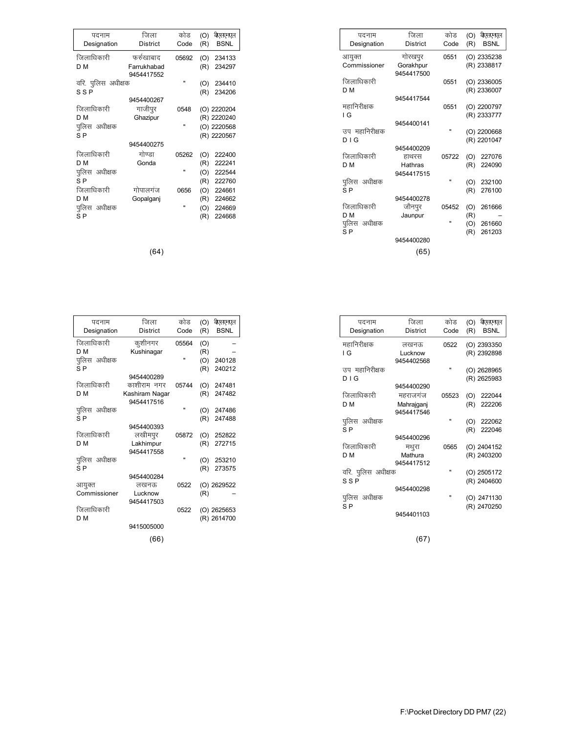| पदनाम              | जिला                      | कोड            | (O) | बेएसएनएल    |
|--------------------|---------------------------|----------------|-----|-------------|
| Designation        | <b>District</b>           | Code           | (R) | <b>BSNL</b> |
| जिलाधिकारी         | फर्रुखाबाद                | 05692          | (O) | 234133      |
| D <sub>M</sub>     | Farrukhabad<br>9454417552 |                | (R) | 234297      |
| वरि. पुलिस अधीक्षक |                           | "              | (O) | 234410      |
| SSP                |                           |                | (R) | 234206      |
|                    | 9454400267                |                |     |             |
| जिलाधिकारी         | गाजीपुर                   | 0548           |     | (O) 2220204 |
| D M                | Ghazipur                  |                |     | (R) 2220240 |
| पुलिस अधीक्षक      |                           | $\blacksquare$ |     | (O) 2220568 |
| S <sub>P</sub>     |                           |                |     | (R) 2220567 |
|                    | 9454400275                |                |     |             |
| जिलाधिकारी         | गोण्डा                    | 05262          | (O) | 222400      |
| D <sub>M</sub>     | Gonda                     |                | (R) | 222241      |
| पुलिस अधीक्षक      |                           | Ħ              | (O) | 222544      |
| S <sub>P</sub>     |                           |                | (R) | 222760      |
| जिलाधिकारी         | गोपालगंज                  | 0656           | (O) | 224661      |
| D M                | Gopalganj                 |                | (R) | 224662      |
| पलिस अधीक्षक       |                           | $\blacksquare$ | (O) | 224669      |
| S <sub>P</sub>     |                           |                | (R) | 224668      |

| पदनाम          | जिला            | कोड   |     | (O) बेएसएनएल |
|----------------|-----------------|-------|-----|--------------|
| Designation    | <b>District</b> | Code  | (R) | <b>BSNL</b>  |
| जिलाधिकारी     | कुशीनगर         | 05564 | (O) |              |
| D <sub>M</sub> | Kushinagar      |       | (R) |              |
| पुलिस अधीक्षक  |                 |       | (O) | 240128       |
| S <sub>P</sub> |                 |       | (R) | 240212       |
|                | 9454400289      |       |     |              |
| जिलाधिकारी     | काशीराम नगर     | 05744 | (O) | 247481       |
| D <sub>M</sub> | Kashiram Nagar  |       | (R) | 247482       |
|                | 9454417516      |       |     |              |
| पुलिस अधीक्षक  |                 |       | (O) | 247486       |
| S <sub>P</sub> |                 |       | (R) | 247488       |
|                | 9454400393      |       |     |              |
| जिलाधिकारी     | लखीमपुर         | 05872 | (O) | 252822       |
| D <sub>M</sub> | Lakhimpur       |       | (R) | 272715       |
| पुलिस अधीक्षक  | 9454417558      |       |     | 253210       |
| S <sub>P</sub> |                 |       | (O) | 273575       |
|                | 9454400284      |       | (R) |              |
| आयुक्त         | लखनऊ            | 0522  |     | (O) 2629522  |
| Commissioner   | Lucknow         |       | (R) |              |
|                | 9454417503      |       |     |              |
| जिलाधिकारी     |                 | 0522  |     | (O) 2625653  |
| D <sub>M</sub> |                 |       |     | (R) 2614700  |
|                | 9415005000      |       |     |              |
|                | (66)            |       |     |              |
|                |                 |       |     |              |

| जिला<br>बेख्सल<br>कोड<br>पदनाम<br>Designation<br>Code<br><b>BSNL</b><br><b>District</b><br>गोरखपुर<br>0551<br>आयुक्त<br>234133<br>Commissioner<br>Gorakhpur<br>234297 |
|-----------------------------------------------------------------------------------------------------------------------------------------------------------------------|
|                                                                                                                                                                       |
|                                                                                                                                                                       |
|                                                                                                                                                                       |
| 9454417500                                                                                                                                                            |
| जिलाधिकारी<br>0551                                                                                                                                                    |
| 9454417544                                                                                                                                                            |
| महानिरीक्षक<br>0551                                                                                                                                                   |
|                                                                                                                                                                       |
| 9454400141                                                                                                                                                            |
| उप महानिरीक्षक<br>$D \mid G$                                                                                                                                          |
|                                                                                                                                                                       |
| 9454400209<br>जिलाधिकारी<br>हाथरस<br>05722                                                                                                                            |
| Hathras                                                                                                                                                               |
| 9454417515                                                                                                                                                            |
| पुलिस अधीक्षक<br>$\pmb{\mathfrak{m}}$                                                                                                                                 |
|                                                                                                                                                                       |
| 9454400278                                                                                                                                                            |
| जिलाधिकारी<br>जौनपुर<br>05452                                                                                                                                         |
| Jaunpur<br>पुलिस अधीक्षक<br>$\pmb{\mathfrak{m}}$                                                                                                                      |
|                                                                                                                                                                       |
| 9454400280                                                                                                                                                            |
| (65)                                                                                                                                                                  |

| पदनाम<br>Designation            | जिला<br><b>District</b>  | कोड<br>Code    | (O) बेरसरनरल<br><b>BSNL</b><br>(R) |
|---------------------------------|--------------------------|----------------|------------------------------------|
| महानिरीक्षक                     | लखनऊ                     | 0522           | (O) 2393350                        |
| I G                             | Lucknow<br>9454402568    |                | (R) 2392898                        |
| उप महानिरीक्षक                  |                          | $\blacksquare$ | (O) 2628965                        |
| $D$ I G                         | 9454400290               |                | (R) 2625983                        |
| जिलाधिकारी                      | महराजगंज                 | 05523          | 222044<br>(O)                      |
| D M                             | Mahrajganj<br>9454417546 |                | (R)<br>222206                      |
| पुलिस अधीक्षक<br>S <sub>P</sub> |                          |                | (O)<br>222062<br>(R)<br>222046     |
|                                 | 9454400296               |                |                                    |
| जिलाधिकारी                      | मथुरा                    | 0565           | (O) 2404152                        |
| D M                             | Mathura<br>9454417512    |                | (R) 2403200                        |
| वरि. पुलिस अधीक्षक              |                          | $\blacksquare$ | (O) 2505172                        |
| <b>SSP</b>                      |                          |                | (R) 2404600                        |
| पुलिस अधीक्षक                   | 9454400298               |                | (O) 2471130                        |
| S P                             |                          |                | (R) 2470250                        |
|                                 | 9454401103               |                |                                    |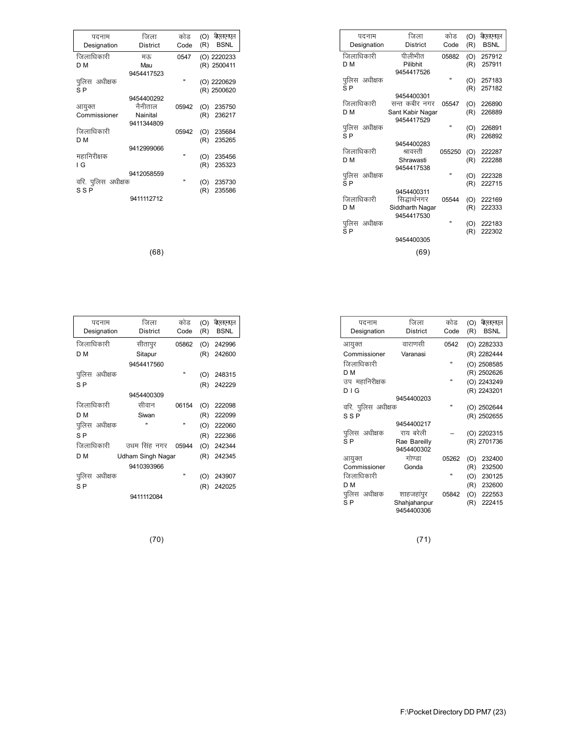| पदनाम              | जिला            | कोड            |     | (O) बेरसरनरल |
|--------------------|-----------------|----------------|-----|--------------|
| Designation        | <b>District</b> | Code           | (R) | <b>BSNL</b>  |
| जिलाधिकारी         | मऊ              | 0547           |     | (O) 2220233  |
| D M                | Mau             |                |     | (R) 2500411  |
|                    | 9454417523      |                |     |              |
| पुलिस अधीक्षक      |                 | Ħ              |     | (O) 2220629  |
| S <sub>P</sub>     |                 |                |     | (R) 2500620  |
|                    | 9454400292      |                |     |              |
| आयुक्त             | नैनीताल         | 05942          | (O) | 235750       |
| Commissioner       | Nainital        |                | (R) | 236217       |
|                    | 9411344809      |                |     |              |
| जिलाधिकारी         |                 | 05942          | (O) | 235684       |
| D M                |                 |                | (R) | 235265       |
|                    | 9412999066      |                |     |              |
| महानिरीक्षक        |                 | $\blacksquare$ | (O) | 235456       |
| ١G                 |                 |                | (R) | 235323       |
|                    | 9412058559      |                |     |              |
| वरि. पुलिस अधीक्षक |                 | $\blacksquare$ | (O) | 235730       |
| SSP                |                 |                | (R) | 235586       |
|                    | 9411112712      |                |     |              |

| पदनाम<br>Designation | जिला<br><b>District</b> | कोड<br>Code    | (O)<br>(R) | बेएसएनएल<br><b>BSNL</b> |
|----------------------|-------------------------|----------------|------------|-------------------------|
| जिलाधिकारी           | सीतापुर                 | 05862          | (O)        | 242996                  |
| D M                  | Sitapur                 |                | (R)        | 242600                  |
|                      | 9454417560              |                |            |                         |
| पुलिस अधीक्षक        |                         | $\blacksquare$ | (O)        | 248315                  |
| S <sub>P</sub>       |                         |                | (R)        | 242229                  |
|                      | 9454400309              |                |            |                         |
| जिलाधिकारी           | सीवान                   | 06154          | (O)        | 222098                  |
| D M                  | Siwan                   |                | (R)        | 222099                  |
| पुलिस अधीक्षक        | $\blacksquare$          | $\blacksquare$ | (O)        | 222060                  |
| S P                  |                         |                | (R)        | 222366                  |
| जिलाधिकारी           | उधम सिंह नगर            | 05944          | (O)        | 242344                  |
| D M                  | Udham Singh Nagar       |                | (R)        | 242345                  |
|                      | 9410393966              |                |            |                         |
| पुलिस अधीक्षक        |                         | Ħ              | (O)        | 243907                  |
| S P                  |                         |                | (R)        | 242025                  |
|                      | 9411112084              |                |            |                         |

(70)

|      | कोड          | (O) | बेखराजल     | पदनाम          | जिला                           | कोड          | (O)        |  |
|------|--------------|-----|-------------|----------------|--------------------------------|--------------|------------|--|
|      | Code         | (R) | <b>BSNL</b> | Designation    | <b>District</b>                | Code         | (R)        |  |
|      | 0547         |     | (O) 2220233 | जिलाधिकारी     | पीलीभीत                        | 05882        | (O)        |  |
| 7523 |              |     | (R) 2500411 | D <sub>M</sub> | Pilibhit<br>9454417526         |              | (R)        |  |
|      | $\mathbf{u}$ |     | (O) 2220629 | पुलिस अधीक्षक  |                                | $\mathbf{u}$ | (O)        |  |
| 0292 |              |     | (R) 2500620 | S <sub>P</sub> | 9454400301                     |              | (R)        |  |
|      | 05942        | (O) | 235750      | जिलाधिकारी     | सन्त कबीर नगर                  | 05547        | (O)        |  |
| 4809 |              | (R) | 236217      | D M            | Sant Kabir Nagar<br>9454417529 |              | (R)        |  |
|      | 05942        | (O) | 235684      | पुलिस अधीक्षक  |                                | $\mathbf{u}$ | (O)        |  |
|      |              | (R) | 235265      | S <sub>P</sub> |                                |              | (R)        |  |
|      |              |     |             | जिलाधिकारी     | 9454400283<br>श्रावस्ती        |              |            |  |
|      |              | (O) | 235456      | D <sub>M</sub> | Shrawasti                      | 055250       | (O)<br>(R) |  |
|      |              | (R) | 235323      |                | 9454417538                     |              |            |  |
|      |              |     |             | पुलिस अधीक्षक  |                                | $\mathbf{u}$ | (O)        |  |
|      |              | (O) | 235730      | S <sub>P</sub> |                                |              | (R)        |  |
|      |              | (R) | 235586      |                | 9454400311                     |              |            |  |
| 2712 |              |     |             | जिलाधिकारी     | सिद्धार्थनगर                   | 05544        | (O)        |  |
|      |              |     |             | D <sub>M</sub> | Siddharth Nagar<br>9454417530  |              | (R)        |  |
|      |              |     |             | पुलिस अधीक्षक  |                                | $\mathbf{u}$ | (O)        |  |
|      |              |     |             | S <sub>P</sub> |                                |              | (R)        |  |
|      |              |     |             |                | 9454400305                     |              |            |  |
|      |              |     |             |                | (69)                           |              |            |  |
|      |              |     |             |                |                                |              |            |  |

| पदनाम              | जिला            | कोड            | (O) | बेखराजस्त   |
|--------------------|-----------------|----------------|-----|-------------|
| Designation        | <b>District</b> | Code           | (R) | <b>BSNL</b> |
| आयुक्त             | वाराणसी         | 0542           |     | (O) 2282333 |
| Commissioner       | Varanasi        |                |     | (R) 2282444 |
| जिलाधिकारी         |                 | Ħ              |     | (O) 2508585 |
| D <sub>M</sub>     |                 |                |     | (R) 2502626 |
| उप महानिरीक्षक     |                 | Ħ              |     | (O) 2243249 |
| D   G              |                 |                |     | (R) 2243201 |
|                    | 9454400203      |                |     |             |
| वरि. पुलिस अधीक्षक |                 | $\blacksquare$ |     | (O) 2502644 |
| <b>SSP</b>         |                 |                |     | (R) 2502655 |
|                    | 9454400217      |                |     |             |
| पुलिस अधीक्षक      | राय बरेली       |                |     | (O) 2202315 |
| S <sub>P</sub>     | Rae Bareilly    |                |     | (R) 2701736 |
|                    | 9454400302      |                |     |             |
| आयुक्त             | गोण्डा          | 05262          | (O) | 232400      |
| Commissioner       | Gonda           |                | (R) | 232500      |
| जिलाधिकारी         |                 | Ħ              | (O) | 230125      |
| D <sub>M</sub>     |                 |                | (R) | 232600      |
| अधीक्षक<br>पलिस    | शाहजहांपुर      | 05842          | (O) | 222553      |
| S <sub>P</sub>     | Shahjahanpur    |                | (R) | 222415      |
|                    | 9454400306      |                |     |             |

(71)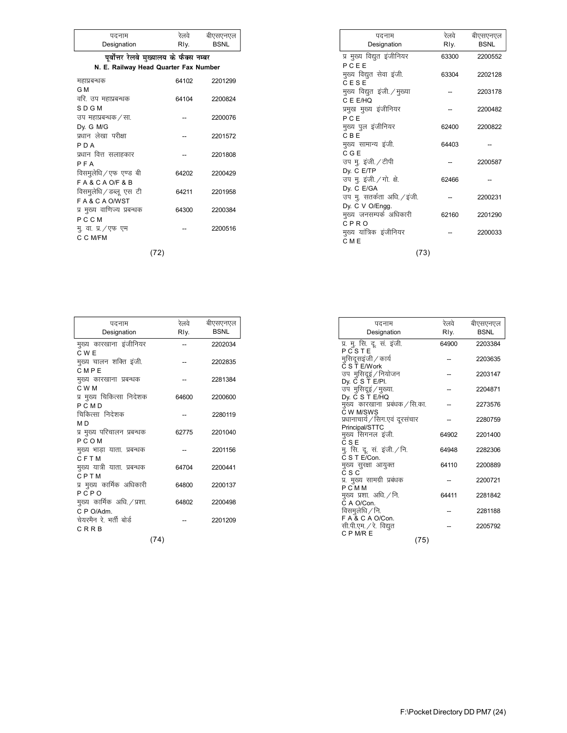| पदनाम       | रेलवे             | बीएसएनएल    |
|-------------|-------------------|-------------|
| Designation | RI <sub>v</sub> . | <b>BSNI</b> |

## पूर्वोत्तर रेलवे मुख्यालय के फैक्स नम्बर

#### N. E. Railway Head Quarter Fax Number

| महाप्रबन्धक                |      | 64102 | 2201299 |
|----------------------------|------|-------|---------|
| G M                        |      |       |         |
| वरि. उप महाप्रबन्धक        |      | 64104 | 2200824 |
| S D G M                    |      |       |         |
| उप महाप्रबन्धक / सा.       |      |       | 2200076 |
| Dy. G M/G                  |      |       |         |
| प्रधान लेखा परीक्षा        |      |       | 2201572 |
| PDA                        |      |       |         |
| प्रधान वित्त सलाहकार       |      |       | 2201808 |
| PFA                        |      |       |         |
| विसमलेधि ∕ एफ एण्ड बी      |      | 64202 | 2200429 |
| FA & C A O/F & B           |      |       |         |
| विसमलेधि ∕ डब्ल् एस टी     |      | 64211 | 2201958 |
| FA&CAO/WST                 |      |       |         |
| प्र मुख्य वाणिज्य प्रबन्धक |      | 64300 | 2200384 |
| PCCM                       |      |       |         |
| मु. वा. प्र. ⁄ एफ) एम      |      |       | 2200516 |
| C C M/FM                   |      |       |         |
|                            | (72) |       |         |
|                            |      |       |         |

iz eq[; fo|qr bathfu;j 63300 2200552 P C E E मुख्य विद्युत सेवा इंजी. 63304 2202128 C E S E मुख्य विद्युत इंजी. / मुख्या -- 2203178 C E E/HQ izeq[k e[q ; bathfu;j -- 2200482  $P$   $C$   $E$ e[q ; iqy bathfu;j 62400 2200822 C B E मुख्य सामान्य इंजी. 64403 --C G E उपमु. इंजी. $\angle$ टीपी -- 2200587 Dy. C E/TP mi eq- bath-@xks- {ks- 62466 -- Dy. C E/GA mi e-q lrdZrk vf/k-@bath- -- 2200231 Dy. C V O/Engg. मुख्य जनसम्पर्क अधिकारी  $62160$  2201290 C P R O e[q ; ;kaf=d bathfu;j -- 2200033 C M E (73)

रेलवे Rly. बीएसएनएल BSNL

पदनाम Designation

| पदनाम                       | रेलवे | बीएसएनएल    |
|-----------------------------|-------|-------------|
| Designation                 | Rly.  | <b>BSNL</b> |
| मुख्य कारखाना इंजीनियर      |       | 2202034     |
| C W E                       |       |             |
| मुख्य चालन शक्ति इंजी.      |       | 2202835     |
| CMPE                        |       |             |
| मुख्य कारखाना प्रबन्धक      |       | 2281384     |
| C W M                       |       |             |
| प्र मुख्य चिकित्सा निदेशक   | 64600 | 2200600     |
| PCMD                        |       |             |
| चिकित्सा निदेशक             |       | 2280119     |
| M <sub>D</sub>              |       |             |
| प्र मुख्य परिचालन प्रबन्धक  | 62775 | 2201040     |
| PCOM                        |       |             |
| मुख्य भाड़ा याता. प्रबन्धक  |       | 2201156     |
| <b>CFTM</b>                 |       |             |
| मुख्य यात्री याता. प्रबन्धक | 64704 | 2200441     |
| CPTM                        |       |             |
| प्र मुख्य कार्मिक अधिकारी   | 64800 | 2200137     |
| PCPO                        |       |             |
| मुख्य कार्मिक अधि. / प्रशा. | 64802 | 2200498     |
| C P O/Adm.                  |       |             |
| चेयरमैन रे. भर्ती बोर्ड     |       | 2201209     |
| CRRB                        |       |             |

$$
(74)
$$

| पदनाम                                       | रेलवे | बीएसएनएल    |
|---------------------------------------------|-------|-------------|
| Designation                                 | Rly.  | <b>BSNL</b> |
| प्र. मु. सि. दू. सं. इंजी.                  | 64900 | 2203384     |
| PCSTE                                       |       |             |
| मुसिदूसइंजी / कार्य<br>C S T E/Work         |       | 2203635     |
| उप मुसिद्इं / नियोजन                        |       | 2203147     |
| Dy. C S T E/PI.                             |       |             |
| उप मुसिद्इं / मुख्या.                       |       | 2204871     |
| Dy. Č S Ť E/HQ                              |       |             |
| मुख्य कारखाना प्रबंधक / सि.का.<br>C W M/SWS |       | 2273576     |
| प्रधानाचार्य / सिग.एवं दूरसंचार             |       | 2280759     |
| Principal/STTC                              |       |             |
| मुख्य सिगनल इंजी.                           | 64902 | 2201400     |
| ĆSE                                         |       |             |
| मु. सि. दू. सं. इंजी. ∕ नि.<br>C S T E/Con. | 64948 | 2282306     |
| मुख्य सुरक्षा आयुक्त                        | 64110 | 2200889     |
| ć s c                                       |       |             |
| प्र. मुख्य सामग्री प्रबंधक                  |       | 2200721     |
| PCMM                                        |       |             |
| मुख्य प्रशा. अधि. / नि.<br>C A O/Con.       | 64411 | 2281842     |
| विसमुलेधि / नि.                             |       | 2281188     |
| FA&CAO/Con.                                 |       |             |
| सी.पी.एम. ∕ रे. विद्युत                     |       | 2205792     |
| $C$ P M/R F                                 |       |             |
| (75)                                        |       |             |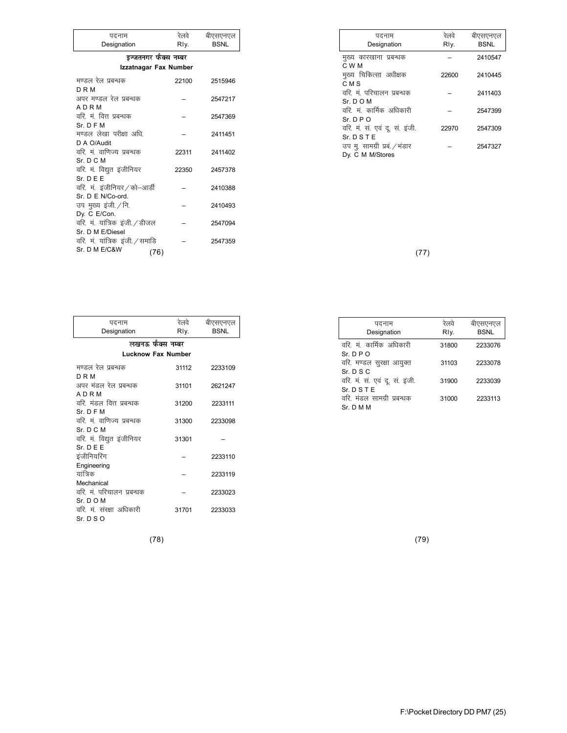| पदनाम                          | रेलवे | बीएसएनएल    |
|--------------------------------|-------|-------------|
| Designation                    | Rly.  | <b>BSNL</b> |
| इज्जतनगर फैक्स नम्बर           |       |             |
| Izzatnagar Fax Number          |       |             |
| मण्डल रेल प्रबन्धक             | 22100 | 2515946     |
| D <sub>R</sub> M               |       |             |
| अपर मण्डल रेल प्रबन्धक         |       | 2547217     |
| <b>ADRM</b>                    |       |             |
| वरि मं वित्त प्रबन्धक          |       | 2547369     |
| $Sr$ D $F$ M                   |       |             |
| मण्डल लेखा परीक्षा अधि.        |       | 2411451     |
| D A O/Audit                    |       |             |
| वरि. मं. वाणिज्य प्रबन्धक      | 22311 | 2411402     |
| Sr. D C M                      |       |             |
| वरि. मं. विद्युत इंजीनियर      | 22350 | 2457378     |
| $Sr$ D <sub>FF</sub>           |       |             |
| वरि. मं. इंजीनियर ∕ को–आर्डी   |       | 2410388     |
| Sr. D E N/Co-ord.              |       |             |
| उप मुख्य इंजी /नि.             |       | 2410493     |
| Dy. C E/Con.                   |       |             |
| वरि. मं. यांत्रिक इंजी. / डीजल |       | 2547094     |
| Sr. D M E/Diesel               |       |             |
| वरि. मं. यांत्रिक इंजी / समाडि |       | 2547359     |
| Sr D M F/C&W<br>(76)           |       |             |

| पदनाम<br>Designation                       | रेलवे<br>RIy. | बीएसएनएल<br><b>BSNL</b> |
|--------------------------------------------|---------------|-------------------------|
| मुख्य कारखाना प्रबन्धक                     |               | 2410547                 |
| C.W.M<br>मुख्य चिकित्सा अधीक्षक            | 22600         | 2410445                 |
| C M S                                      |               |                         |
| वरि. मं. परिचालन प्रबन्धक<br>$Sr$ D $O$ M  |               | 2411403                 |
| वरि मं कार्मिक अधिकारी                     |               | 2547399                 |
| $Sr$ DPO<br>वरि. मं. सं. एवं दू. सं. इंजी. | 22970         | 2547309                 |
| $Sr$ D $S$ T F                             |               |                         |
| उप मू. सामग्री प्रबं. / भंडार              |               | 2547327                 |
| Dy. C M M/Stores                           |               |                         |

(77)

| पदनाम<br>Designation                                 | रेलवे<br>Rly. | बीएसएनएल<br>BSNL |
|------------------------------------------------------|---------------|------------------|
| लखनऊ फैक्स नम्बर                                     |               |                  |
| Lucknow Fax Number                                   |               |                  |
| मण्डल रेल प्रबन्धक<br>D R M                          | 31112         | 2233109          |
| अपर मंडल रेल प्रबन्धक                                | 31101         | 2621247          |
| <b>ADRM</b><br>वरि मंडल वित्त प्रबन्धक               | 31200         | 2233111          |
| $Sr$ D F M<br>वरि. मं. वाणिज्य प्रबन्धक              | 31300         | 2233098          |
| $Sr$ D $C$ M                                         |               |                  |
| वरि. मं. विद्युत इंजीनियर<br>Sr. D E E               | 31301         |                  |
| इंजीनियरिंग<br>Engineering                           |               | 2233110          |
| यांत्रिक<br>Mechanical                               |               | 2233119          |
| वरि. मं. परिचालन प्रबन्धक                            |               | 2233023          |
| $Sr$ DOM<br>वरि. मं. संरक्षा अधिकारी<br>$Sr$ D $S$ O | 31701         | 2233033          |

| पदनाम                          | रेलवे | बीएसएनएल    |
|--------------------------------|-------|-------------|
| Designation                    | RIy.  | <b>BSNL</b> |
| वरि मं कार्मिक अधिकारी         | 31800 | 2233076     |
| Sr. D. PO                      |       |             |
| वरि. मण्डल सुरक्षा आयुक्त      | 31103 | 2233078     |
| $Sr$ D $S$ C                   |       |             |
| वरि. मं. सं. एवं दू. सं. इंजी. | 31900 | 2233039     |
| $Sr$ D $S$ T F                 |       |             |
| वरि. मंडल सामग्री प्रबन्धक     | 31000 | 2233113     |
| Sr D M M                       |       |             |

(78) (79)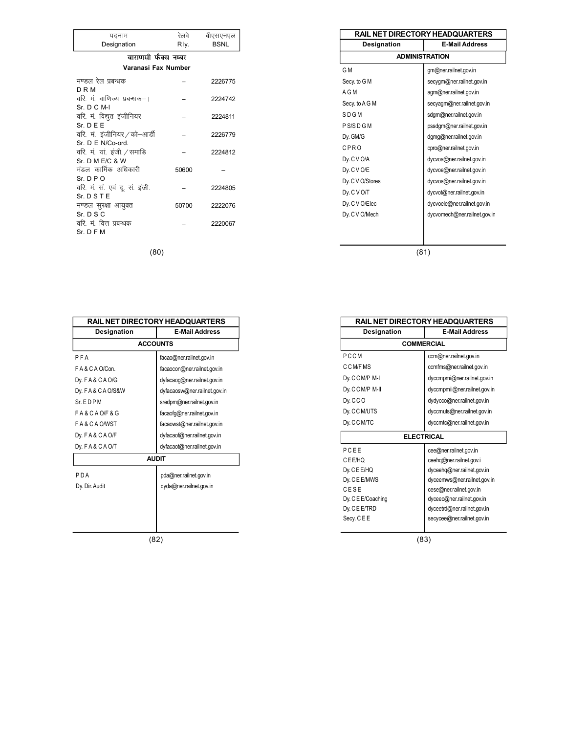| पदनाम<br>Designation                              | रेलवे<br>Rly. | बीएसएनएल<br><b>BSNL</b> |
|---------------------------------------------------|---------------|-------------------------|
| वाराणसी फैक्स नम्बर                               |               |                         |
| Varanasi Fax Number                               |               |                         |
| मण्डल रेल प्रबन्धक                                |               | 2226775                 |
| D <sub>R</sub> M                                  |               |                         |
| वरि. मं. वाणिज्य प्रबन्धक– ।                      |               | 2224742                 |
| $Sr$ D $C$ M-I                                    |               |                         |
| वरि. मं. विद्युत इंजीनियर                         |               | 2224811                 |
| $Sr$ D <sub>FF</sub>                              |               |                         |
| वरि. मं. इंजीनियर ∕ को−आर्डी<br>Sr. D E N/Co-ord. |               | 2226779                 |
| वरि. मं. यां. इंजी. ∕समाडि                        |               | 2224812                 |
| $S_r$ D M F/C & W                                 |               |                         |
| मंडल कार्मिक अधिकारी                              | 50600         |                         |
| $Sr$ DPO                                          |               |                         |
| वरि. मं. सं. एवं दू. सं. इंजी.                    |               | 2224805                 |
| $Sr$ D S T F                                      |               |                         |
| मण्डल सुरक्षा आयुक्त                              | 50700         | 2222076                 |
| $Sr$ D $S$ C                                      |               |                         |
| वरि. मं. वित्त प्रबन्धक                           |               | 2220067                 |
| $Sr$ D $F$ M                                      |               |                         |

(80)

| <b>ADMINISTRATION</b><br>G M<br>gm@ner.railnet.gov.in<br>Secy. to GM<br>A G M<br>agm@ner.railnet.gov.in<br>Secy. to A G M<br>SDGM<br>PS/SDGM<br>Dy. GM/G<br>CPRO<br>cpro@ner.railnet.gov.in<br>Dy. CV O/A<br>Dy. C V O/E<br>Dy. C V O/Stores<br>Dy. C V O/T<br>Dy. C V O/Elec | Designation | <b>E-Mail Address</b>        |
|-------------------------------------------------------------------------------------------------------------------------------------------------------------------------------------------------------------------------------------------------------------------------------|-------------|------------------------------|
|                                                                                                                                                                                                                                                                               |             |                              |
|                                                                                                                                                                                                                                                                               |             |                              |
|                                                                                                                                                                                                                                                                               |             | secygm@ner.railnet.gov.in    |
|                                                                                                                                                                                                                                                                               |             |                              |
|                                                                                                                                                                                                                                                                               |             | secyagm@ner.railnet.gov.in   |
|                                                                                                                                                                                                                                                                               |             | sdgm@ner.railnet.gov.in      |
|                                                                                                                                                                                                                                                                               |             | pssdgm@ner.railnet.gov.in    |
|                                                                                                                                                                                                                                                                               |             | dgmg@ner.railnet.gov.in      |
|                                                                                                                                                                                                                                                                               |             |                              |
|                                                                                                                                                                                                                                                                               |             | dycvoa@ner.railnet.gov.in    |
|                                                                                                                                                                                                                                                                               |             | dycvoe@ner.railnet.gov.in    |
|                                                                                                                                                                                                                                                                               |             | dycvos@ner.railnet.gov.in    |
|                                                                                                                                                                                                                                                                               |             | dycvot@ner.railnet.gov.in    |
|                                                                                                                                                                                                                                                                               |             | dycvoele@ner.railnet.gov.in  |
| Dy. C V O/Mech                                                                                                                                                                                                                                                                |             | dycvomech@ner.railnet.gov.in |
|                                                                                                                                                                                                                                                                               |             |                              |

(81)

| RAIL NET DIRECTORY HEADQUARTERS |                              |
|---------------------------------|------------------------------|
| Designation                     | <b>E-Mail Address</b>        |
|                                 | <b>ACCOUNTS</b>              |
| PFA                             | facao@ner.railnet.gov.in     |
| FA&CAO/Con.                     | facaocon@ner.railnet.gov.in  |
| Dy. FA&CAO/G                    | dyfacaog@ner.railnet.gov.in  |
| Dy. FA&CAO/S&W                  | dyfacaosw@ner.railnet.gov.in |
| Sr FDPM                         | sredpm@ner.railnet.gov.in    |
| FA & C A O/F & G                | facaofg@ner.railnet.gov.in   |
| FA&CAO/WST                      | facaowst@ner.railnet.gov.in  |
| Dy. FA&CAO/F                    | dyfacaof@ner.railnet.gov.in  |
| Dy. FA&CAO/T                    | dyfacaot@ner.railnet.gov.in  |
| <b>AUDIT</b>                    |                              |
| PDA                             | pda@ner.railnet.gov.in       |
| Dy. Dir. Audit                  | dyda@ner.railnet.gov.in      |
|                                 |                              |
|                                 |                              |
|                                 |                              |
|                                 |                              |
| (82)                            |                              |

| RAIL NET DIRECTORY HEADQUARTERS |                              |  |
|---------------------------------|------------------------------|--|
| Designation                     | <b>E-Mail Address</b>        |  |
| <b>COMMERCIAL</b>               |                              |  |
| PCCM                            | ccm@ner.railnet.gov.in       |  |
| C C M/F MS                      | ccmfms@ner.railnet.gov.in    |  |
| Dy. C C M/P M-I                 | dyccmpmi@ner.railnet.gov.in  |  |
| Dy. C C M/P M-II                | dyccmpmii@ner.railnet.gov.in |  |
| Dy. CCO                         | dydycco@ner.railnet.gov.in   |  |
| Dy. CCM/UTS                     | dyccmuts@ner.railnet.gov.in  |  |
| Dy. C C M/TC                    | dyccmtc@ner.railnet.gov.in   |  |
| <b>ELECTRICAL</b>               |                              |  |
| PCFF                            | cee@ner.railnet.gov.in       |  |
| CEE/HO                          | ceehq@ner.railnet.gov.i      |  |
| Dy. CEE/HQ                      | dyceehq@ner.railnet.gov.in   |  |
| Dy. CE E/MWS                    | dyceemws@ner.railnet.gov.in  |  |
| CESE                            | cese@ner.railnet.gov.in      |  |
| Dy. C E E/Coaching              | dyceec@ner.railnet.gov.in    |  |
| Dy. CE E/TRD                    | dyceetrd@ner.railnet.gov.in  |  |
| Secy. CEE                       | secycee@ner.railnet.gov.in   |  |
|                                 |                              |  |
| (83)                            |                              |  |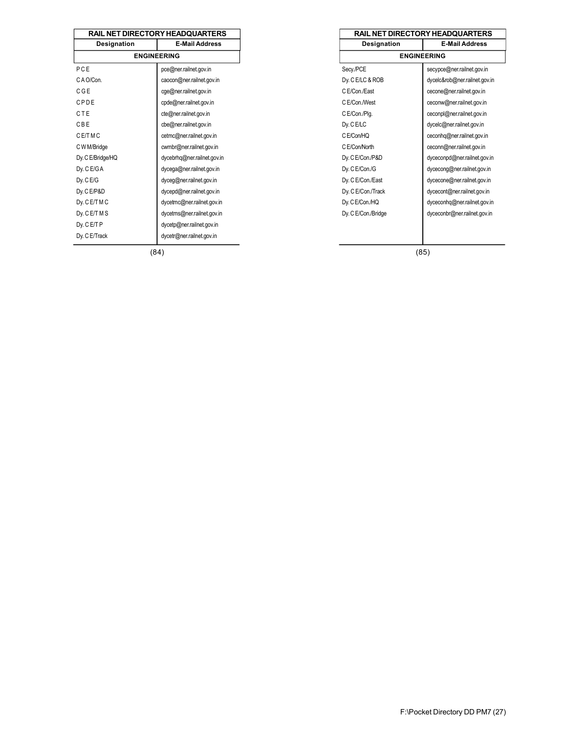| RAIL NET DIRECTORY HEADQUARTERS      |                             |
|--------------------------------------|-----------------------------|
| <b>E-Mail Address</b><br>Designation |                             |
| <b>ENGINEERING</b>                   |                             |
| PCF                                  | pce@ner.railnet.gov.in      |
| CAO/Con.                             | caocon@ner.railnet.gov.in   |
| CGE                                  | cge@ner.railnet.gov.in      |
| CPDE                                 | cpde@ner.railnet.gov.in     |
| C <sub>TF</sub>                      | cte@ner.railnet.gov.in      |
| CBF                                  | cbe@ner.railnet.gov.in      |
| C F/T M C                            | cetmc@ner.railnet.gov.in    |
| C W M/Bridge                         | cwmbr@ner.railnet.gov.in    |
| Dy. C E/Bridge/HQ                    | dycebrhq@ner.railnet.gov.in |
| Dy. C E/G A                          | dycega@ner.railnet.gov.in   |
| Dy. C E/G                            | dyceg@ner.railnet.gov.in    |
| Dy. C E/P&D                          | dycepd@ner.railnet.gov.in   |
| Dy. CE/T M C                         | dycetmc@ner.railnet.gov.in  |
| Dy. C E/T M S                        | dycetms@ner.railnet.gov.in  |
| Dy. C E/T P                          | dycetp@ner.railnet.gov.in   |
| Dy. C E/Track                        | dycetr@ner.railnet.gov.in   |

| <b>RAIL NET DIRECTORY HEADQUARTERS</b> |                               |  |
|----------------------------------------|-------------------------------|--|
| Designation                            | <b>E-Mail Address</b>         |  |
|                                        | <b>ENGINEERING</b>            |  |
| Secy./PCE                              | secypce@ner.railnet.gov.in    |  |
| Dy. C E/LC & ROB                       | dycelc&rob@ner.railnet.gov.in |  |
| C E/Con./East                          | cecone@ner.railnet.gov.in     |  |
| C E/Con./West                          | ceconw@ner.railnet.gov.in     |  |
| C E/Con./Plg.                          | ceconpl@ner.railnet.gov.in    |  |
| Dy. C E/LC                             | dycelc@ner.railnet.gov.in     |  |
| C E/Con/HQ                             | ceconhq@ner.railnet.gov.in    |  |
| C E/Con/North                          | ceconn@ner.railnet.gov.in     |  |
| Dy. C E/Con./P&D                       | dyceconpd@ner.railnet.gov.in  |  |
| Dy. C E/Con./G                         | dycecong@ner.railnet.gov.in   |  |
| Dy. C E/Con./East                      | dycecone@ner.railnet.gov.in   |  |
| Dy. C E/Con./Track                     | dycecont@ner.railnet.gov.in   |  |
| Dy. C E/Con./HQ                        | dyceconhq@ner.railnet.gov.in  |  |
| Dy. C E/Con./Bridge                    | dyceconbr@ner.railnet.gov.in  |  |
|                                        |                               |  |

(84)

(85)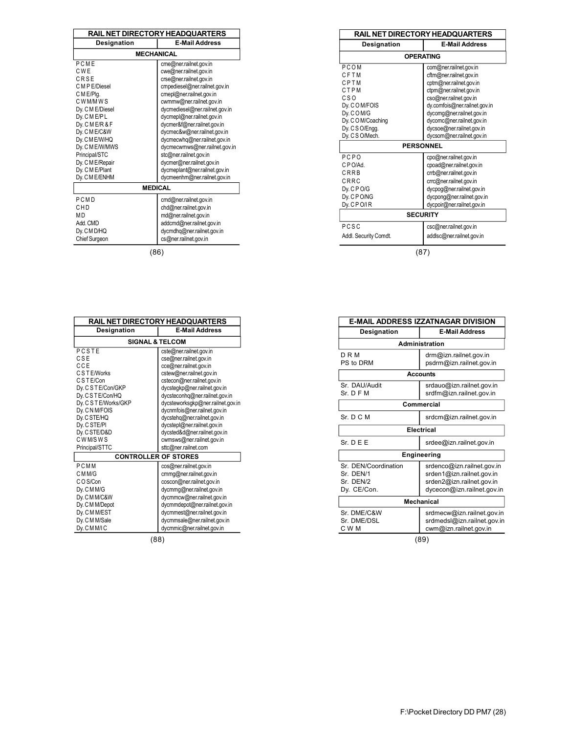| RAIL NET DIRECTORY HEADQUARTERS |                                |
|---------------------------------|--------------------------------|
| Designation                     | <b>E-Mail Address</b>          |
| <b>MECHANICAL</b>               |                                |
| PCME                            | cme@ner.railnet.gov.in         |
| CWF                             | cwe@ner.railnet.gov.in         |
| CRSF                            | crse@ner.railnet.gov.in        |
| C M P F/Diesel                  | cmpediesel@ner.railnet.gov.in  |
| C M E/Pla.                      | cmepl@ner.railnet.gov.in       |
| CWM/MWS                         | cwmmw@ner.railnet.gov.in       |
| Dy. C M E/Diesel                | dycmediesel@ner.railnet.gov.in |
| Dy. C M E/P L                   | dycmepl@ner.railnet.gov.in     |
| Dy. C M E/R & F                 | dycmer&f@ner.railnet.gov.in    |
| Dy. C M E/C&W                   | dycmec&w@ner.railnet.gov.in    |
| Dy. C M E/W/HQ                  | dycmecwhq@ner.railnet.gov.in   |
| Dy. C M E/W/MWS                 | dycmecwmws@ner.railnet.gov.in  |
| Principal/STC                   | stc@ner.railnet.gov.in         |
| Dy. C M E/Repair                | dycmer@ner.railnet.gov.in      |
| Dy. C M E/Plant                 | dycmeplant@ner.railnet.gov.in  |
| Dy. C M E/ENHM                  | dycmeenhm@ner.railnet.gov.in   |
| <b>MEDICAL</b>                  |                                |
| PCMD                            | cmd@ner.railnet.gov.in         |
| CHD                             | chd@ner.railnet.gov.in         |
| M <sub>D</sub>                  | md@ner.railnet.gov.in          |
| Add. CMD                        | addcmd@ner.railnet.gov.in      |
| Dy. CM D/HQ                     | dycmdhq@ner.railnet.gov.in     |
| <b>Chief Surgeon</b>            | cs@ner.railnet.gov.in          |
|                                 |                                |

(86)

| RAIL NET DIRECTORY HEADQUARTERS        |                                                   |  |  |
|----------------------------------------|---------------------------------------------------|--|--|
| <b>E-Mail Address</b><br>Designation   |                                                   |  |  |
| <b>OPERATING</b>                       |                                                   |  |  |
| PCOM<br>CFTM                           | com@ner.railnet.gov.in<br>cftm@ner.railnet.gov.in |  |  |
| CPTM                                   | cptm@ner.railnet.gov.in                           |  |  |
| CTPM                                   | ctpm@ner.railnet.gov.in                           |  |  |
| C.S.                                   | cso@ner.railnet.gov.in                            |  |  |
| Dv. COM/FOIS                           | dy.comfois@ner.railnet.gov.in                     |  |  |
| Dy. COM/G<br>dycomg@ner.railnet.gov.in |                                                   |  |  |
| Dy. C O M/Coaching                     | dycomc@ner.railnet.gov.in                         |  |  |
| Dy. C S O/Engg.                        | dycsoe@ner.railnet.gov.in                         |  |  |
| Dy. CS O/Mech.                         | dycsom@ner.railnet.gov.in                         |  |  |
| <b>PERSONNEL</b>                       |                                                   |  |  |
| PCPO                                   | cpo@ner.railnet.gov.in                            |  |  |
| CPO/Ad.                                | cpoad@ner.railnet.gov.in                          |  |  |
| CRRB                                   | crrb@ner.railnet.gov.in                           |  |  |
| CRRC                                   | crrc@ner.railnet.gov.in                           |  |  |
| Dy. CPO/G<br>dycpog@ner.railnet.gov.in |                                                   |  |  |
| Dy. CPO/NG                             | dycpong@ner.railnet.gov.in                        |  |  |
| Dy. CPO/IR                             | dycpoir@ner.railnet.gov.in                        |  |  |
| <b>SECURITY</b>                        |                                                   |  |  |
| PCSC                                   | csc@ner.railnet.gov.in                            |  |  |
| Addl. Security Comdt.                  | addlsc@ner.railnet.gov.in                         |  |  |
| (87)                                   |                                                   |  |  |

| RAIL NET DIRECTORY HEADQUARTERS                      |                                   |  |
|------------------------------------------------------|-----------------------------------|--|
| <b>E-Mail Address</b><br>Designation                 |                                   |  |
| <b>SIGNAL &amp; TELCOM</b>                           |                                   |  |
| PCSTE                                                | cste@ner.railnet.gov.in           |  |
| CSE                                                  | cse@ner.railnet.gov.in            |  |
| CCE                                                  | cce@ner.railnet.gov.in            |  |
| C S T E/Works                                        | cstew@ner.railnet.gov.in          |  |
| C S T E/Con                                          | cstecon@ner.railnet.gov.in        |  |
| Dy. C S T E/Con/GKP<br>dycstegkp@ner.railnet.gov.in  |                                   |  |
| Dy. C S T E/Con/HQ<br>dycsteconhq@ner.railnet.gov.in |                                   |  |
| Dy. C S T E/Works/GKP                                | dycsteworksgkp@ner.railnet.gov.in |  |
| Dy. CN M/FOIS<br>dycnmfois@ner.railnet.gov.in        |                                   |  |
| Dy. C STE/HQ                                         | dycstehq@ner.railnet.gov.in       |  |
| Dy. C STE/PI                                         | dycstepl@ner.railnet.gov.in       |  |
| Dy. C STE/D&D                                        | dycsted&d@ner.railnet.gov.in      |  |
| CWM/SWS                                              | cwmsws@ner.railnet.gov.in         |  |
| Principal/STTC                                       | sttc@ner.railnet.com              |  |
| <b>CONTROLLER OF STORES</b>                          |                                   |  |
| PCMM                                                 | cos@ner.railnet.gov.in            |  |
| CMM/G                                                | cmmg@ner.railnet.gov.in           |  |
| CO <sub>S/Con</sub>                                  | coscon@ner.railnet.gov.in         |  |
| Dy. C M M/G                                          | dycmmg@ner.railnet.gov.in         |  |
| Dy. C M M/C&W                                        | dycmmcw@ner.railnet.gov.in        |  |
| Dy. C M M/Depot                                      | dycmmdepot@ner.railnet.gov.in     |  |
| Dy. CMM/EST                                          | dycmmest@ner.railnet.gov.in       |  |
| Dy. CMM/Sale                                         | dycmmsale@ner.railnet.gov.in      |  |
| Dy. CMM/IC                                           | dycmmic@ner.railnet.gov.in        |  |

| <b>ORY HEADQUARTERS</b>           | <b>E-MAIL ADDRESS IZZATNAGAR DIVISION</b>                     |
|-----------------------------------|---------------------------------------------------------------|
| <b>E-Mail Address</b>             | Designation                                                   |
|                                   | Administration                                                |
|                                   | DRM<br>PS to DRM                                              |
|                                   | <b>Accounts</b>                                               |
|                                   | Sr. DAU/Audit<br>Sr. D F M                                    |
| dycsteworksgkp@ner.railnet.gov.in | Commercial                                                    |
|                                   | Sr. D C M                                                     |
|                                   |                                                               |
|                                   | Sr. D E E                                                     |
|                                   |                                                               |
|                                   | Sr. DEN/Coordination<br>Sr. DEN/1<br>Sr. DEN/2<br>Dy. CE/Con. |
|                                   |                                                               |
|                                   | Sr. DME/C&W<br>Sr. DME/DSL<br>C W M                           |
|                                   |                                                               |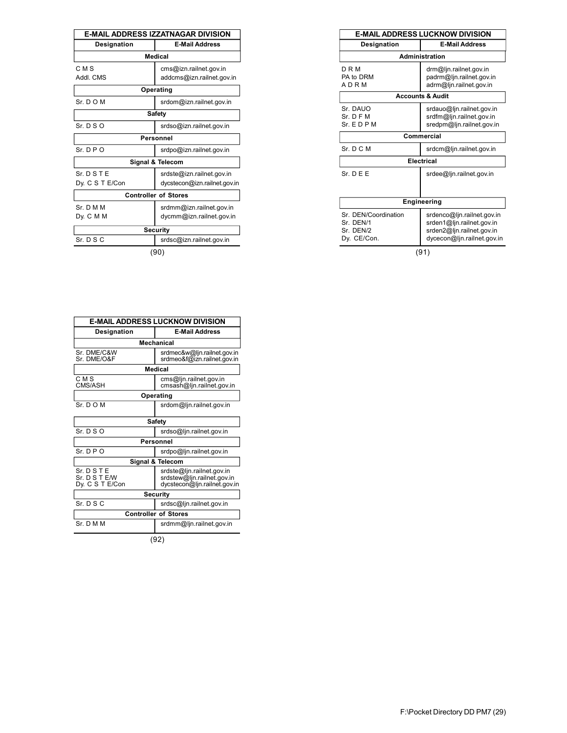| <b>E-MAIL ADDRESS IZZATNAGAR DIVISION</b> |                              |  |  |
|-------------------------------------------|------------------------------|--|--|
| <b>E-Mail Address</b><br>Designation      |                              |  |  |
| Medical                                   |                              |  |  |
| C M S                                     | cms@izn.railnet.gov.in       |  |  |
| Addl. CMS                                 | addcms@izn.railnet.gov.in    |  |  |
| Operating                                 |                              |  |  |
| $Sr$ DOM                                  | srdom@izn.railnet.gov.in     |  |  |
| <b>Safety</b>                             |                              |  |  |
| $Sr$ D $S$ O                              | srdso@izn.railnet.gov.in     |  |  |
| Personnel                                 |                              |  |  |
| Sr. D. PO                                 | srdpo@izn.railnet.gov.in     |  |  |
| Signal & Telecom                          |                              |  |  |
| Sr. D. S. T. E                            | srdste@izn.railnet.gov.in    |  |  |
| Dy. C S T E/Con                           | dycstecon@izn.railnet.gov.in |  |  |
| <b>Controller of Stores</b>               |                              |  |  |
| Sr D M M                                  | srdmm@izn.railnet.gov.in     |  |  |
| Dy. C M M                                 | dycmm@izn.railnet.gov.in     |  |  |
| <b>Security</b>                           |                              |  |  |
| Sr. D S C                                 | srdsc@izn.railnet.gov.in     |  |  |
| (90)                                      |                              |  |  |

| <b>E-MAIL ADDRESS LUCKNOW DIVISION</b>                        |                                                                                                                    |  |  |
|---------------------------------------------------------------|--------------------------------------------------------------------------------------------------------------------|--|--|
| <b>E-Mail Address</b><br><b>Designation</b>                   |                                                                                                                    |  |  |
| <b>Administration</b>                                         |                                                                                                                    |  |  |
| D R M<br>PA to DRM<br>ADRM                                    | drm@ljn.railnet.gov.in<br>padrm@ljn.railnet.gov.in<br>adrm@ljn.railnet.gov.in                                      |  |  |
| <b>Accounts &amp; Audit</b>                                   |                                                                                                                    |  |  |
| Sr DAUO<br>$Sr$ D F M<br>Sr. EDPM                             | srdauo@ljn.railnet.gov.in<br>srdfm@ljn.railnet.gov.in<br>sredpm@ljn.railnet.gov.in                                 |  |  |
| Commercial                                                    |                                                                                                                    |  |  |
| Sr. D C M                                                     | srdcm@ljn.railnet.gov.in                                                                                           |  |  |
| <b>Electrical</b>                                             |                                                                                                                    |  |  |
| $Sr$ DFF                                                      | srdee@lin.railnet.gov.in                                                                                           |  |  |
| Engineering                                                   |                                                                                                                    |  |  |
| Sr. DEN/Coordination<br>Sr. DEN/1<br>Sr. DEN/2<br>Dy. CE/Con. | srdenco@ljn.railnet.gov.in<br>srden1@ljn.railnet.gov.in<br>srden2@ljn.railnet.gov.in<br>dycecon@lin.railnet.gov.in |  |  |
| (91)                                                          |                                                                                                                    |  |  |

| <b>E-MAIL ADDRESS LUCKNOW DIVISION</b>                                                   |                                                                                         |  |  |
|------------------------------------------------------------------------------------------|-----------------------------------------------------------------------------------------|--|--|
| Designation                                                                              | <b>E-Mail Address</b>                                                                   |  |  |
| <b>Mechanical</b>                                                                        |                                                                                         |  |  |
| Sr. DME/C&W<br>srdmec&w@ljn.railnet.gov.in<br>srdmeo&f@izn.railnet.gov.in<br>Sr. DME/O&F |                                                                                         |  |  |
|                                                                                          | <b>Medical</b>                                                                          |  |  |
| C M S<br>CMS/ASH                                                                         | cms@lin.railnet.gov.in<br>cmsash@lin.railnet.gov.in                                     |  |  |
| Operating                                                                                |                                                                                         |  |  |
| $Sr$ DOM                                                                                 | srdom@ljn.railnet.gov.in                                                                |  |  |
| <b>Safety</b>                                                                            |                                                                                         |  |  |
| Sr. D.S.                                                                                 | srdso@ljn.railnet.gov.in                                                                |  |  |
| Personnel                                                                                |                                                                                         |  |  |
| $Sr$ DPO<br>srdpo@ljn.railnet.gov.in                                                     |                                                                                         |  |  |
| Signal & Telecom                                                                         |                                                                                         |  |  |
| Sr. D S T E<br>Sr. D S T E/W<br>Dy. C S T E/Con                                          | srdste@ljn.railnet.gov.in<br>srdstew@ljn.railnet.gov.in<br>dycstecon@ljn.railnet.gov.in |  |  |
|                                                                                          | <b>Security</b>                                                                         |  |  |
| Sr. D S C                                                                                | srdsc@ljn.railnet.gov.in                                                                |  |  |
| <b>Controller of Stores</b>                                                              |                                                                                         |  |  |
| Sr. D M M<br>srdmm@ljn.railnet.gov.in                                                    |                                                                                         |  |  |
| (92)                                                                                     |                                                                                         |  |  |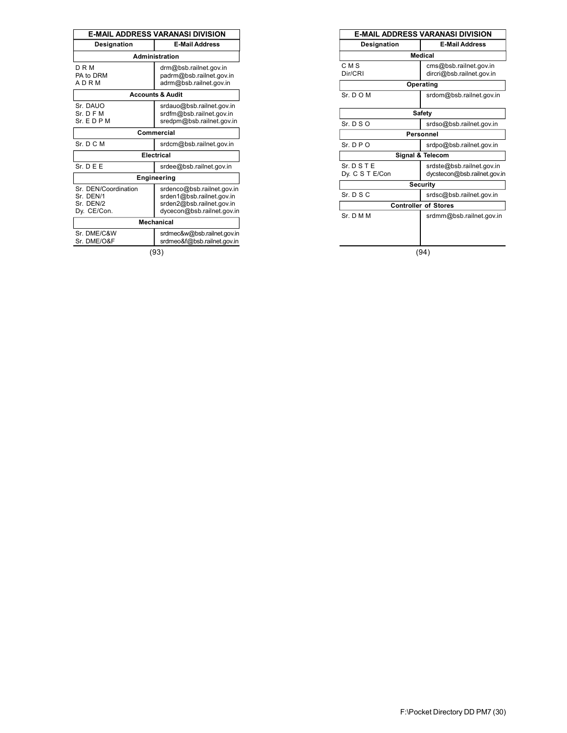|                            | <b>E-MAIL ADDRESS VARANASI DIVISION</b>                    |
|----------------------------|------------------------------------------------------------|
| Designation                | <b>E-Mail Address</b>                                      |
|                            | Administration                                             |
| DRM<br>PA to DRM           | drm@bsb.railnet.gov.in<br>padrm@bsb.railnet.gov.in         |
| <b>ADRM</b>                | adrm@bsb.railnet.gov.in                                    |
|                            | <b>Accounts &amp; Audit</b>                                |
| Sr. DAUO                   | srdauo@bsb.railnet.gov.in                                  |
| Sr. D F M<br>Sr. EDPM      | srdfm@bsb.railnet.gov.in<br>sredpm@bsb.railnet.gov.in      |
|                            |                                                            |
|                            | Commercial                                                 |
| Sr. D C M                  | srdcm@bsb.railnet.gov.in                                   |
|                            | <b>Electrical</b>                                          |
| Sr. D E E                  | srdee@bsb.railnet.gov.in                                   |
|                            | Engineering                                                |
| Sr. DEN/Coordination       | srdenco@bsb.railnet.gov.in                                 |
| Sr. DEN/1                  | srden1@bsb.railnet.gov.in                                  |
| Sr. DEN/2<br>Dy. CE/Con.   | srden2@bsb.railnet.gov.in<br>dycecon@bsb.railnet.gov.in    |
|                            | Mechanical                                                 |
|                            |                                                            |
| Sr. DME/C&W<br>Sr. DME/O&F | srdmec&w@bsb.railnet.gov.in<br>srdmeo&f@bsb.railnet.gov.in |
|                            |                                                            |
|                            | (93)                                                       |

| E-MAIL ADDRESS VARANASI DIVISION     |                              |  |  |
|--------------------------------------|------------------------------|--|--|
| <b>E-Mail Address</b><br>Designation |                              |  |  |
| <b>Medical</b>                       |                              |  |  |
| C M S                                | cms@bsb.railnet.gov.in       |  |  |
| Dir/CRI                              | dircri@bsb.railnet.gov.in    |  |  |
|                                      | Operating                    |  |  |
| Sr. DOM                              | srdom@bsb.railnet.gov.in     |  |  |
| <b>Safety</b>                        |                              |  |  |
| Sr. D.S.                             | srdso@bsb.railnet.gov.in     |  |  |
| Personnel                            |                              |  |  |
| Sr. DPO                              | srdpo@bsb.railnet.gov.in     |  |  |
| Signal & Telecom                     |                              |  |  |
| $Sr$ D $S$ T F                       | srdste@bsb.railnet.gov.in    |  |  |
| Dy. C S T E/Con                      | dycstecon@bsb.railnet.gov.in |  |  |
| <b>Security</b>                      |                              |  |  |
| Sr. D S C                            | srdsc@bsb.railnet.gov.in     |  |  |
| <b>Controller of Stores</b>          |                              |  |  |
| Sr. D M M                            | srdmm@bsb.railnet.gov.in     |  |  |
|                                      |                              |  |  |
|                                      |                              |  |  |
|                                      | $\sqrt{2}$                   |  |  |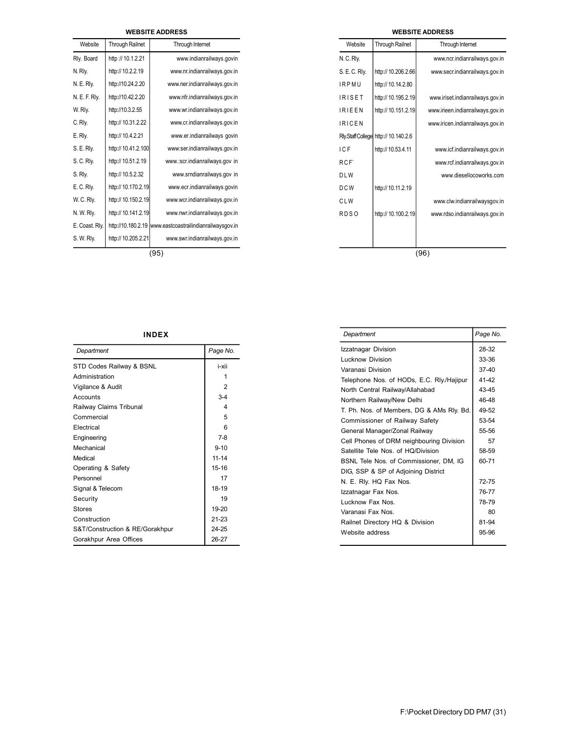#### WEBSITE ADDRESS

| Website        | Through Railnet     | Through Internet                      |  |
|----------------|---------------------|---------------------------------------|--|
| Rly. Board     | http:// 10.1.2.21   | www.indianrailways.govin              |  |
| N. Rly.        | http:// 10.2.2.19   | www.nr.indianrailways.gov.in          |  |
| N.E.Rly.       | http://10.24.2.20   | www.ner.indianrailways.gov.in         |  |
| N. E. F. Rly.  | http://10.42.2.20   | www.nfr.indianrailways.gov.in         |  |
| W. Rly.        | http://10.3.2.55    | www.wr.indianrailways.gov.in          |  |
| C. Rly.        | http:// 10.31.2.22  | www.cr.indianrailways.gov.in          |  |
| E. Rly.        | http:// 10.4.2.21   | www.er.indianrailways govin           |  |
| S. E. Rly.     | http:// 10.41.2.100 | www.ser.indianrailways.gov.in         |  |
| S.C.Rly.       | http:// 10.51.2.19  | www.:scr.indianrailways.gov in        |  |
| S. Rly.        | http:// 10.5.2.32   | www.srndianrailways.gov in            |  |
| E.C.Rly.       | http:// 10.170.2.19 | www.ecr.indianrailways.govin          |  |
| W.C.Rly.       | http:// 10.150.2.19 | www.wcr.indianrailways.gov.in         |  |
| N.W.Rly.       | http:// 10.141.2.19 | www.nwr.indianrailways.gov.in         |  |
| E. Coast. Rly. | http://10.180.2.19  | www.eastcoastrailindianrailwaysgov.in |  |
| S. W. Rly.     | http:// 10.205.2.21 | www.swr.indianrailways.gov.in         |  |
| (95)           |                     |                                       |  |

#### WEBSITE ADDRESS

| Through Internet                      | Website       | <b>Through Railnet</b>               | Through Internet                 |
|---------------------------------------|---------------|--------------------------------------|----------------------------------|
| www.indianrailways.govin              | N.C.Rly.      |                                      | www.ncr.indianrailways.gov.in    |
| www.nr.indianrailways.gov.in          | S.E.C.Rly.    | http:// 10.206.2.66                  | www.secr.indianrailways.gov.in   |
| www.ner.indianrailways.gov.in         | IRPMU         | http:// 10.14.2.80                   |                                  |
| www.nfr.indianrailways.gov.in         | IRISET        | http:// 10.195.2.19                  | www.iriset.indianrailways.gov.in |
| www.wr.indianrailways.gov.in          | <b>IRIEEN</b> | http:// 10.151.2.19                  | www.irieen.indianrailways.gov.in |
| www.cr.indianrailways.gov.in          | <b>IRICEN</b> |                                      | www.iricen.indianrailways.gov.in |
| www.er.indianrailways govin           |               | Rly.Staff College http:// 10.140.2.6 |                                  |
| www:ser.indianrailways.gov.in         | <b>ICF</b>    | http:// 10.53.4.11                   | www.icf.indianrailways.gov.in    |
| www.:scr.indianrailways.gov in        | RCF'          |                                      | www.rcf.indianrailways.gov.in    |
| www.srndianrailways.gov in            | <b>DLW</b>    |                                      | www.diesellocoworks.com          |
| www.ecr.indianrailways.govin          | <b>DCW</b>    | http:// 10.11.2.19                   |                                  |
| www.wcr.indianrailways.gov.in         | CLW           |                                      | www.clw.indianrailwaysgov.in     |
| www.nwr.indianrailways.gov.in         | <b>RDSO</b>   | http:// 10.100.2.19                  | www.rdso.indianrailways.gov.in   |
| www.eastcoastrailindianrailwaysgov.in |               |                                      |                                  |
| www.swr.indianrailways.gov.in         |               |                                      |                                  |
| (95)                                  |               |                                      | (96)                             |

#### INDEX

| Department                      | Page No.  |
|---------------------------------|-----------|
| STD Codes Railway & BSNL        | i-xii     |
| Administration                  | 1         |
| Vigilance & Audit               | 2         |
| Accounts                        | $3-4$     |
| Railway Claims Tribunal         | 4         |
| Commercial                      | 5         |
| Electrical                      | 6         |
| Engineering                     | $7-8$     |
| Mechanical                      | $9 - 10$  |
| Medical                         | $11 - 14$ |
| Operating & Safety              | 15-16     |
| Personnel                       | 17        |
| Signal & Telecom                | 18-19     |
| Security                        | 19        |
| <b>Stores</b>                   | 19-20     |
| Construction                    | 21-23     |
| S&T/Construction & RE/Gorakhpur | 24-25     |
| Gorakhpur Area Offices          | 26-27     |

| Department                                | Page No. |
|-------------------------------------------|----------|
| Izzatnagar Division                       | 28-32    |
| Lucknow Division                          | 33-36    |
| Varanasi Division                         | $37-40$  |
| Telephone Nos. of HODs, E.C. Rly./Hajipur | 41-42    |
| North Central Railway/Allahabad           | 43-45    |
| Northern Railway/New Delhi                | 46-48    |
| T. Ph. Nos. of Members, DG & AMs Rly. Bd. | 49-52    |
| Commissioner of Railway Safety            | 53-54    |
| General Manager/Zonal Railway             | 55-56    |
| Cell Phones of DRM neighbouring Division  | 57       |
| Satellite Tele Nos. of HQ/Division        | 58-59    |
| BSNL Tele Nos. of Commissioner, DM, IG    | 60-71    |
| DIG, SSP & SP of Adjoining District       |          |
| N. E. Rly. HQ Fax Nos.                    | 72-75    |
| Izzatnagar Fax Nos.                       | 76-77    |
| Lucknow Fax Nos.                          | 78-79    |
| Varanasi Fax Nos.                         | 80       |
| Railnet Directory HQ & Division           | 81-94    |
| Website address                           | 95-96    |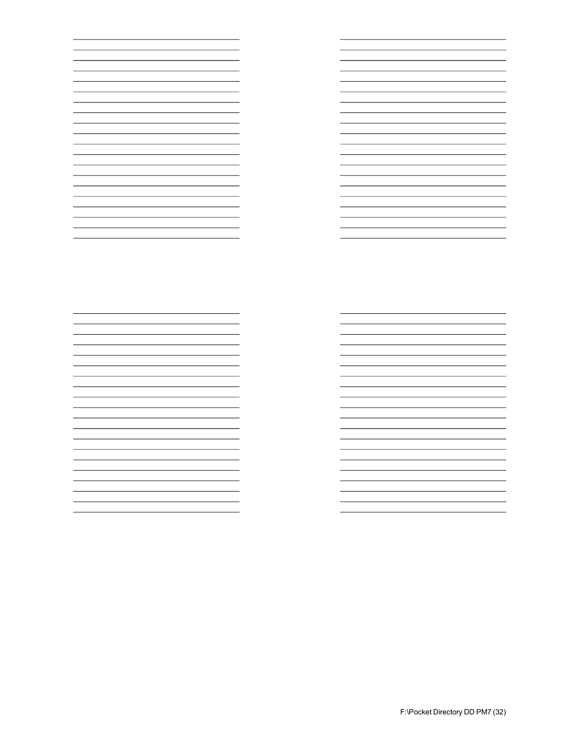

<u> 1989 - Johann Stein, marwolaethau a bhann an t-Amhair Aonaichte ann an t-Amhair Aonaichte ann an t-Amhair Aon</u>



<u> 1980 - Johann Barn, mars ann an t-Amhain Aonaich an t-Aonaich an t-Aonaich ann an t-Aonaich ann an t-Aonaich</u>

<u> 1980 - Johann Barn, mars ar breist fan de Amerikaansk kommunent fan de Amerikaanske kommunent fan de Amerikaa</u>

<u> 1989 - Johann Barn, fransk politik amerikansk politik (</u>